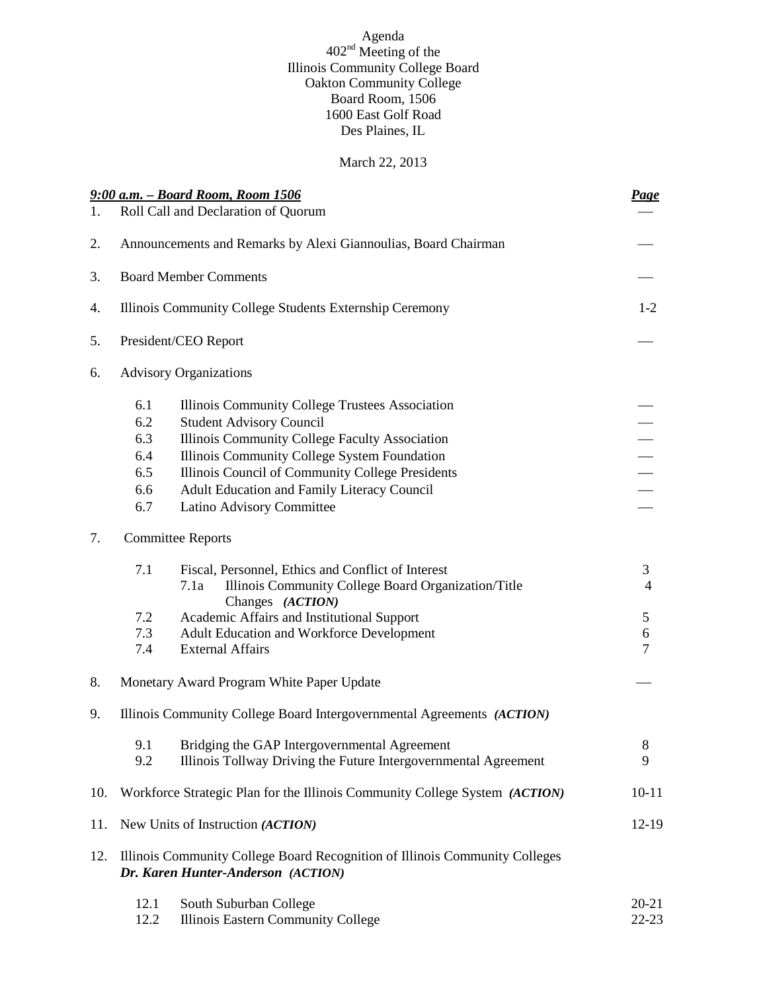#### Agenda  $402<sup>nd</sup>$  Meeting of the Illinois Community College Board Oakton Community College Board Room, 1506 1600 East Golf Road Des Plaines, IL

### March 22, 2013

|                | 9:00 a.m. - Board Room, Room 1506                                                                                 |                                                                                                                     |                     |  |
|----------------|-------------------------------------------------------------------------------------------------------------------|---------------------------------------------------------------------------------------------------------------------|---------------------|--|
| $\mathbf{1}$ . |                                                                                                                   | Roll Call and Declaration of Quorum                                                                                 | <u>Page</u>         |  |
| 2.             | Announcements and Remarks by Alexi Giannoulias, Board Chairman                                                    |                                                                                                                     |                     |  |
| 3.             | <b>Board Member Comments</b>                                                                                      |                                                                                                                     |                     |  |
| 4.             |                                                                                                                   | Illinois Community College Students Externship Ceremony                                                             | $1-2$               |  |
| 5.             |                                                                                                                   | President/CEO Report                                                                                                |                     |  |
| 6.             | <b>Advisory Organizations</b>                                                                                     |                                                                                                                     |                     |  |
|                | 6.1                                                                                                               | Illinois Community College Trustees Association                                                                     |                     |  |
|                | 6.2                                                                                                               | <b>Student Advisory Council</b>                                                                                     |                     |  |
|                | 6.3                                                                                                               | Illinois Community College Faculty Association                                                                      |                     |  |
|                | 6.4                                                                                                               | Illinois Community College System Foundation                                                                        | $\frac{-}{-}$       |  |
|                | 6.5                                                                                                               | Illinois Council of Community College Presidents                                                                    |                     |  |
|                | 6.6                                                                                                               | Adult Education and Family Literacy Council                                                                         |                     |  |
|                | 6.7                                                                                                               | Latino Advisory Committee                                                                                           |                     |  |
| 7.             | <b>Committee Reports</b>                                                                                          |                                                                                                                     |                     |  |
|                | 7.1                                                                                                               | Fiscal, Personnel, Ethics and Conflict of Interest<br>Illinois Community College Board Organization/Title<br>7.1a   | 3<br>$\overline{4}$ |  |
|                |                                                                                                                   | Changes (ACTION)                                                                                                    |                     |  |
|                | 7.2                                                                                                               | Academic Affairs and Institutional Support                                                                          | 5                   |  |
|                | 7.3                                                                                                               | Adult Education and Workforce Development                                                                           | 6                   |  |
|                | 7.4                                                                                                               | <b>External Affairs</b>                                                                                             | $\overline{7}$      |  |
| 8.             |                                                                                                                   | Monetary Award Program White Paper Update                                                                           |                     |  |
| 9.             | Illinois Community College Board Intergovernmental Agreements (ACTION)                                            |                                                                                                                     |                     |  |
|                | 9.2                                                                                                               | 9.1 Bridging the GAP Intergovernmental Agreement<br>Illinois Tollway Driving the Future Intergovernmental Agreement | $\,8\,$<br>9        |  |
| 10.            |                                                                                                                   | Workforce Strategic Plan for the Illinois Community College System (ACTION)                                         | $10 - 11$           |  |
| 11.            | New Units of Instruction (ACTION)                                                                                 |                                                                                                                     | $12-19$             |  |
| 12.            | Illinois Community College Board Recognition of Illinois Community Colleges<br>Dr. Karen Hunter-Anderson (ACTION) |                                                                                                                     |                     |  |
|                | 12.1                                                                                                              | South Suburban College                                                                                              | 20-21               |  |
|                | 12.2                                                                                                              | Illinois Eastern Community College                                                                                  | $22 - 23$           |  |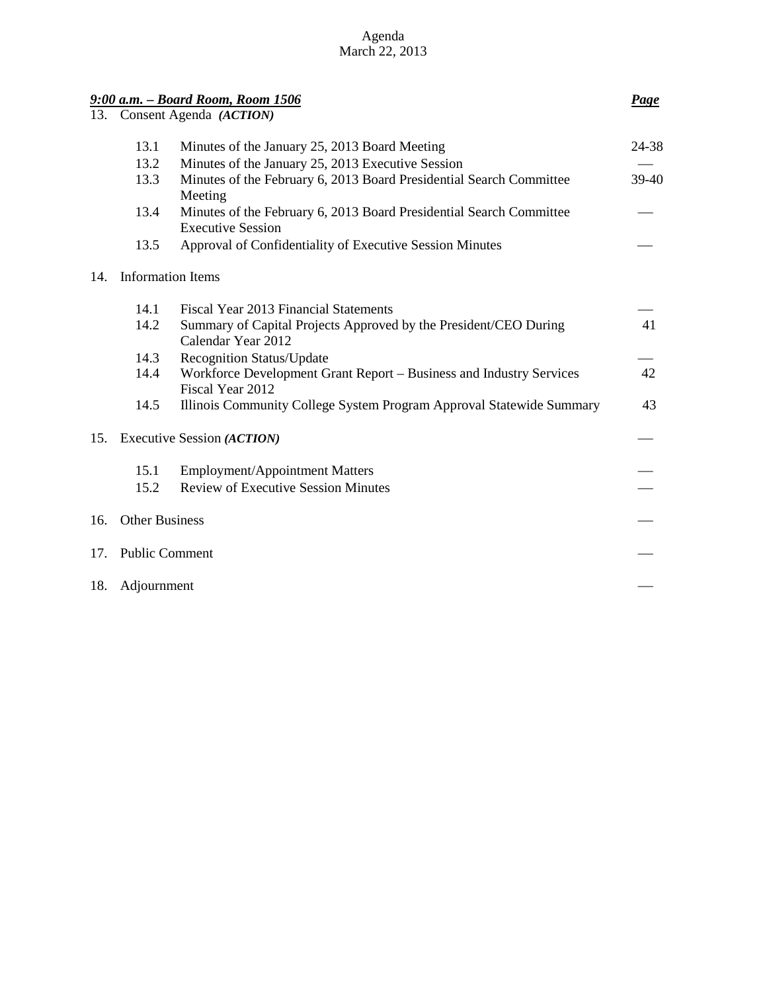| Agenda         |  |  |  |  |  |  |
|----------------|--|--|--|--|--|--|
| March 22, 2013 |  |  |  |  |  |  |

|     |                            | 9:00 a.m. - Board Room, Room 1506                                                               | Page  |  |
|-----|----------------------------|-------------------------------------------------------------------------------------------------|-------|--|
| 13. |                            | Consent Agenda (ACTION)                                                                         |       |  |
|     | 13.1                       | Minutes of the January 25, 2013 Board Meeting                                                   | 24-38 |  |
|     | 13.2                       | Minutes of the January 25, 2013 Executive Session                                               |       |  |
|     | 13.3                       | Minutes of the February 6, 2013 Board Presidential Search Committee<br>Meeting                  | 39-40 |  |
|     | 13.4                       | Minutes of the February 6, 2013 Board Presidential Search Committee<br><b>Executive Session</b> |       |  |
|     | 13.5                       | Approval of Confidentiality of Executive Session Minutes                                        |       |  |
| 14. | <b>Information Items</b>   |                                                                                                 |       |  |
|     | 14.1                       | Fiscal Year 2013 Financial Statements                                                           |       |  |
|     | 14.2                       | Summary of Capital Projects Approved by the President/CEO During<br>Calendar Year 2012          | 41    |  |
|     | 14.3                       | <b>Recognition Status/Update</b>                                                                |       |  |
|     | 14.4                       | Workforce Development Grant Report - Business and Industry Services<br>Fiscal Year 2012         | 42    |  |
|     | 14.5                       | Illinois Community College System Program Approval Statewide Summary                            | 43    |  |
| 15. | Executive Session (ACTION) |                                                                                                 |       |  |
|     | 15.1                       | <b>Employment/Appointment Matters</b>                                                           |       |  |
|     | 15.2                       | <b>Review of Executive Session Minutes</b>                                                      |       |  |
| 16. | <b>Other Business</b>      |                                                                                                 |       |  |
| 17. | <b>Public Comment</b>      |                                                                                                 |       |  |
| 18. | Adjournment                |                                                                                                 |       |  |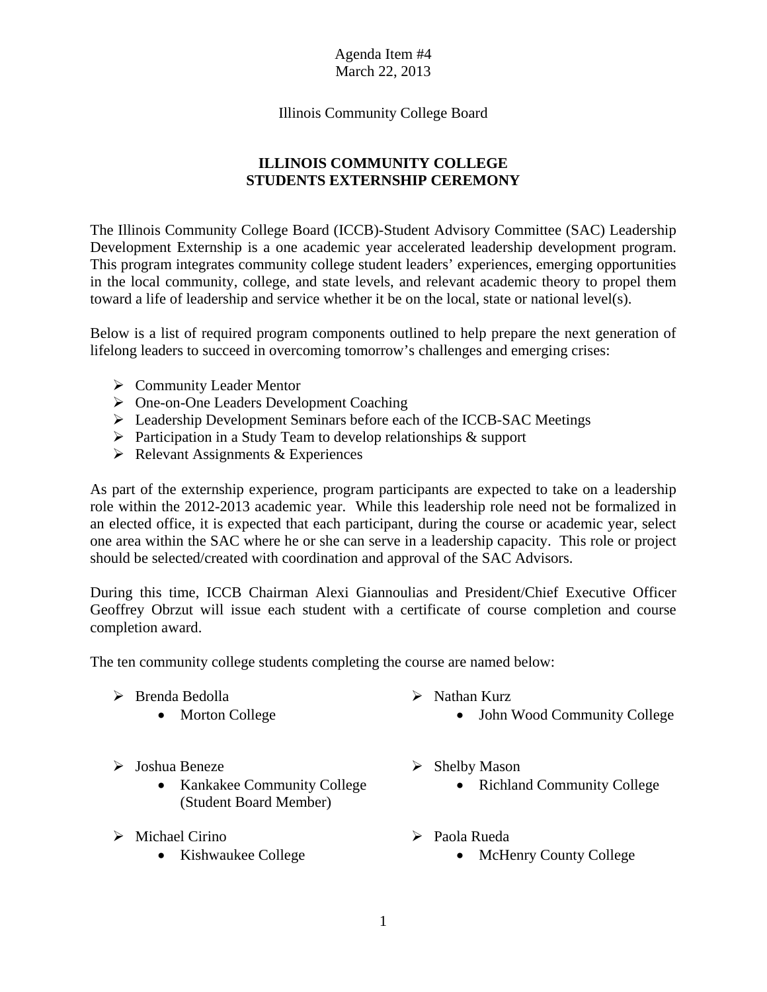Illinois Community College Board

## **ILLINOIS COMMUNITY COLLEGE STUDENTS EXTERNSHIP CEREMONY**

The Illinois Community College Board (ICCB)-Student Advisory Committee (SAC) Leadership Development Externship is a one academic year accelerated leadership development program. This program integrates community college student leaders' experiences, emerging opportunities in the local community, college, and state levels, and relevant academic theory to propel them toward a life of leadership and service whether it be on the local, state or national level(s).

Below is a list of required program components outlined to help prepare the next generation of lifelong leaders to succeed in overcoming tomorrow's challenges and emerging crises:

- $\triangleright$  Community Leader Mentor
- One-on-One Leaders Development Coaching
- Leadership Development Seminars before each of the ICCB-SAC Meetings
- $\triangleright$  Participation in a Study Team to develop relationships & support
- $\triangleright$  Relevant Assignments & Experiences

As part of the externship experience, program participants are expected to take on a leadership role within the 2012-2013 academic year. While this leadership role need not be formalized in an elected office, it is expected that each participant, during the course or academic year, select one area within the SAC where he or she can serve in a leadership capacity. This role or project should be selected/created with coordination and approval of the SAC Advisors.

During this time, ICCB Chairman Alexi Giannoulias and President/Chief Executive Officer Geoffrey Obrzut will issue each student with a certificate of course completion and course completion award.

The ten community college students completing the course are named below:

- Brenda Bedolla
	- Morton College
- Joshua Beneze
	- Kankakee Community College (Student Board Member)
- $\triangleright$  Michael Cirino
	- Kishwaukee College
- $\triangleright$  Nathan Kurz
	- John Wood Community College
- $\triangleright$  Shelby Mason
	- Richland Community College
- Paola Rueda
	- McHenry County College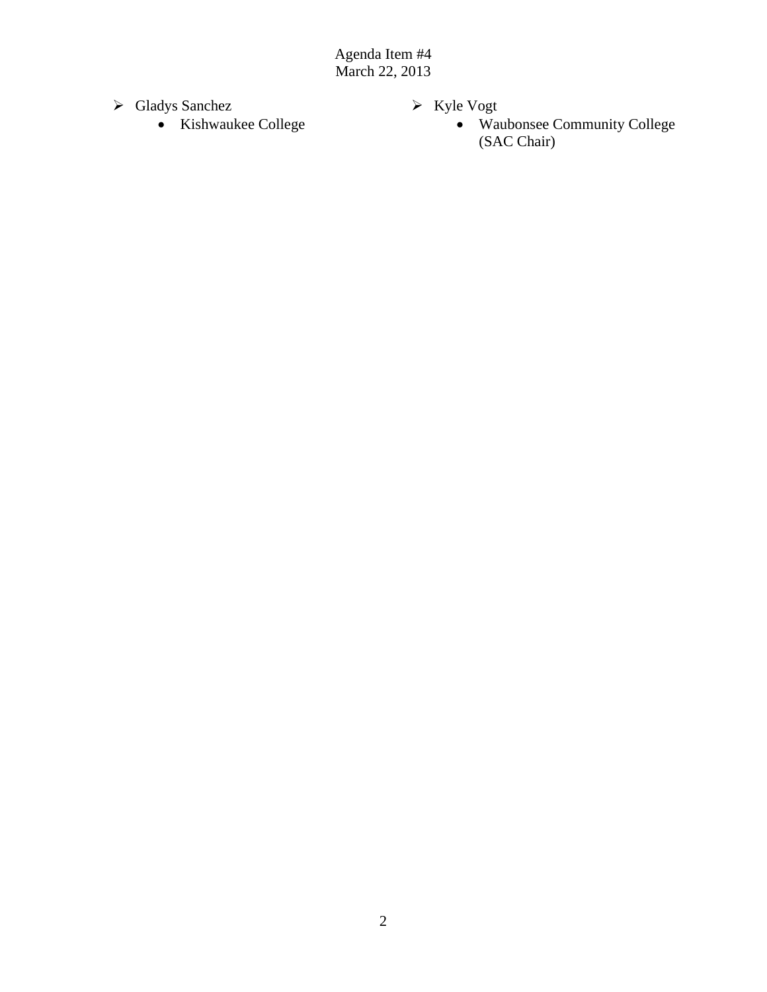- Gladys Sanchez
	- Kishwaukee College
- $\triangleright$  Kyle Vogt
	- Waubonsee Community College (SAC Chair)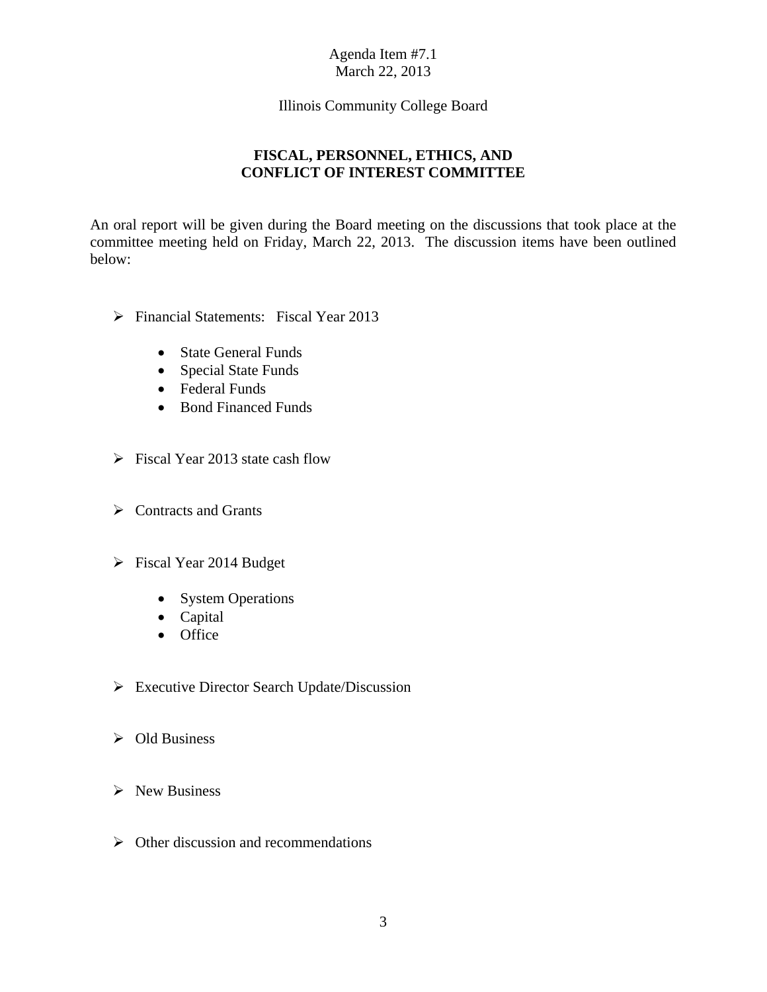#### Illinois Community College Board

## **FISCAL, PERSONNEL, ETHICS, AND CONFLICT OF INTEREST COMMITTEE**

An oral report will be given during the Board meeting on the discussions that took place at the committee meeting held on Friday, March 22, 2013. The discussion items have been outlined below:

- Financial Statements: Fiscal Year 2013
	- State General Funds
	- Special State Funds
	- Federal Funds
	- Bond Financed Funds
- $\triangleright$  Fiscal Year 2013 state cash flow
- $\triangleright$  Contracts and Grants
- Fiscal Year 2014 Budget
	- System Operations
	- Capital
	- Office
- Executive Director Search Update/Discussion
- $\triangleright$  Old Business
- $\triangleright$  New Business
- $\triangleright$  Other discussion and recommendations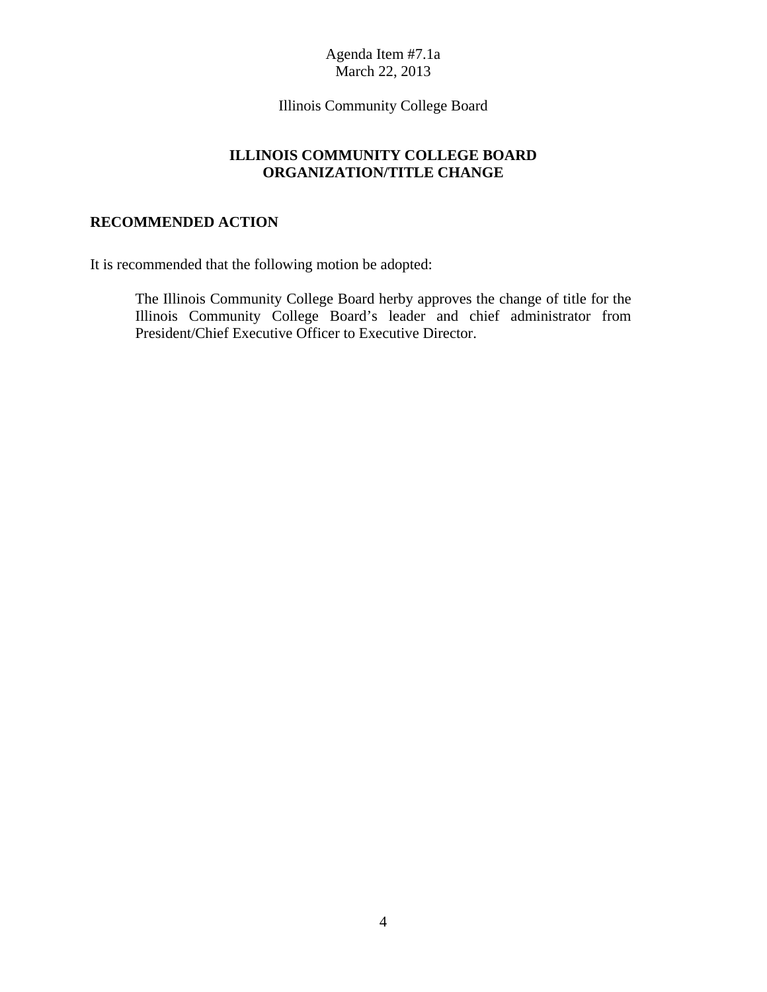Illinois Community College Board

### **ILLINOIS COMMUNITY COLLEGE BOARD ORGANIZATION/TITLE CHANGE**

### **RECOMMENDED ACTION**

It is recommended that the following motion be adopted:

The Illinois Community College Board herby approves the change of title for the Illinois Community College Board's leader and chief administrator from President/Chief Executive Officer to Executive Director.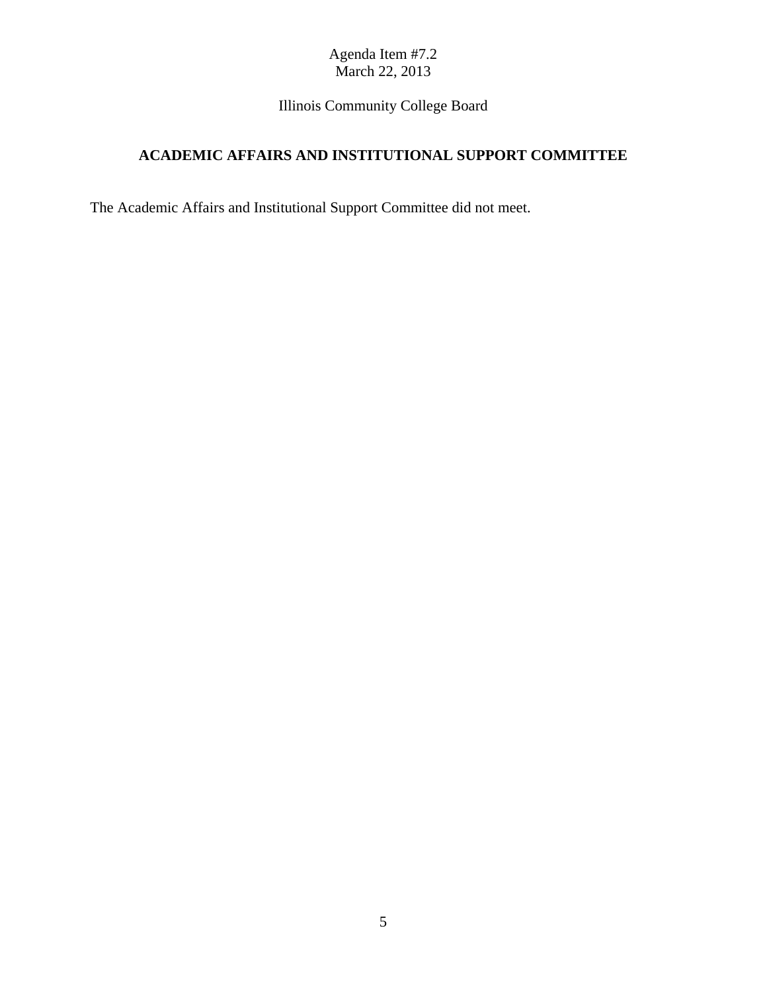Illinois Community College Board

# **ACADEMIC AFFAIRS AND INSTITUTIONAL SUPPORT COMMITTEE**

The Academic Affairs and Institutional Support Committee did not meet.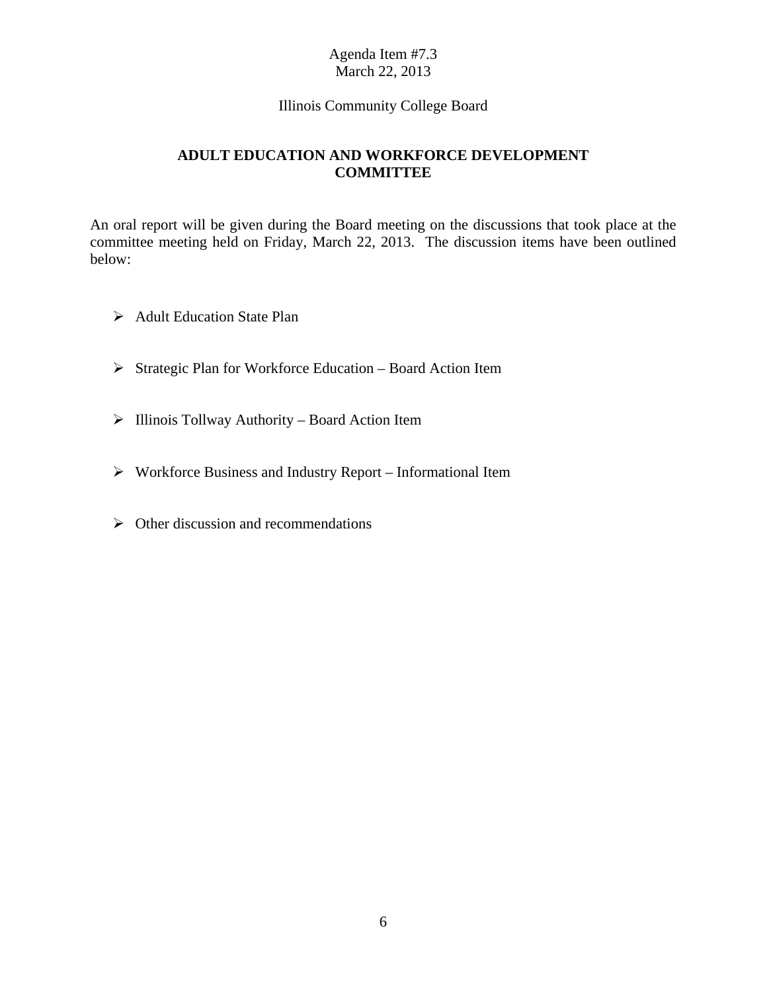#### Illinois Community College Board

### **ADULT EDUCATION AND WORKFORCE DEVELOPMENT COMMITTEE**

An oral report will be given during the Board meeting on the discussions that took place at the committee meeting held on Friday, March 22, 2013. The discussion items have been outlined below:

- ▶ Adult Education State Plan
- $\triangleright$  Strategic Plan for Workforce Education Board Action Item
- $\triangleright$  Illinois Tollway Authority Board Action Item
- Workforce Business and Industry Report Informational Item
- $\triangleright$  Other discussion and recommendations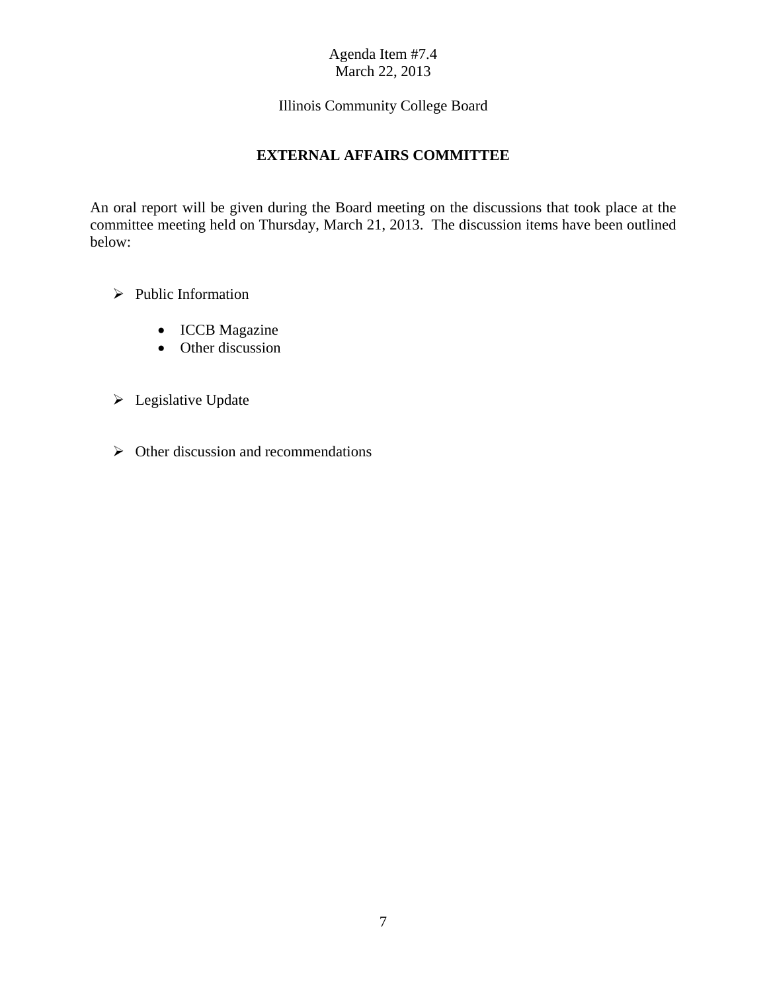## Illinois Community College Board

## **EXTERNAL AFFAIRS COMMITTEE**

An oral report will be given during the Board meeting on the discussions that took place at the committee meeting held on Thursday, March 21, 2013. The discussion items have been outlined below:

- $\triangleright$  Public Information
	- ICCB Magazine
	- Other discussion
- **Legislative Update**
- $\triangleright$  Other discussion and recommendations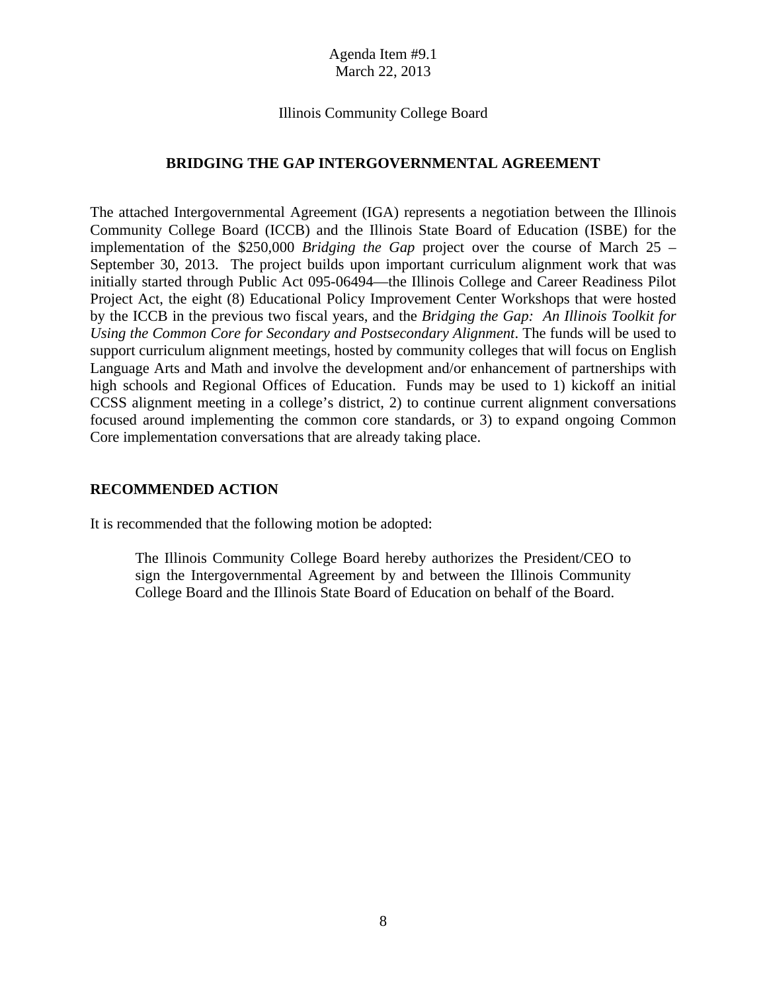#### Illinois Community College Board

#### **BRIDGING THE GAP INTERGOVERNMENTAL AGREEMENT**

The attached Intergovernmental Agreement (IGA) represents a negotiation between the Illinois Community College Board (ICCB) and the Illinois State Board of Education (ISBE) for the implementation of the \$250,000 *Bridging the Gap* project over the course of March 25 – September 30, 2013. The project builds upon important curriculum alignment work that was initially started through Public Act 095-06494—the Illinois College and Career Readiness Pilot Project Act, the eight (8) Educational Policy Improvement Center Workshops that were hosted by the ICCB in the previous two fiscal years, and the *Bridging the Gap: An Illinois Toolkit for Using the Common Core for Secondary and Postsecondary Alignment*. The funds will be used to support curriculum alignment meetings, hosted by community colleges that will focus on English Language Arts and Math and involve the development and/or enhancement of partnerships with high schools and Regional Offices of Education. Funds may be used to 1) kickoff an initial CCSS alignment meeting in a college's district, 2) to continue current alignment conversations focused around implementing the common core standards, or 3) to expand ongoing Common Core implementation conversations that are already taking place.

#### **RECOMMENDED ACTION**

It is recommended that the following motion be adopted:

The Illinois Community College Board hereby authorizes the President/CEO to sign the Intergovernmental Agreement by and between the Illinois Community College Board and the Illinois State Board of Education on behalf of the Board.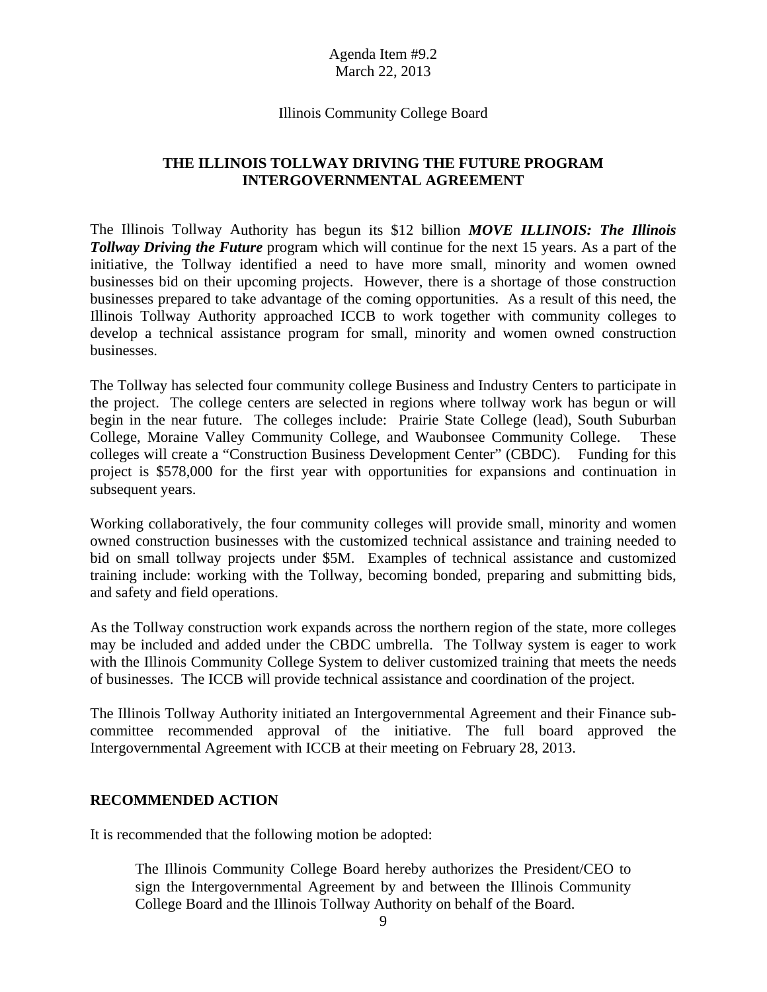#### Illinois Community College Board

#### **THE ILLINOIS TOLLWAY DRIVING THE FUTURE PROGRAM INTERGOVERNMENTAL AGREEMENT**

The Illinois Tollway Authority has begun its \$12 billion *MOVE ILLINOIS: The Illinois*  **Tollway Driving the Future** program which will continue for the next 15 years. As a part of the initiative, the Tollway identified a need to have more small, minority and women owned businesses bid on their upcoming projects. However, there is a shortage of those construction businesses prepared to take advantage of the coming opportunities. As a result of this need, the Illinois Tollway Authority approached ICCB to work together with community colleges to develop a technical assistance program for small, minority and women owned construction businesses.

The Tollway has selected four community college Business and Industry Centers to participate in the project. The college centers are selected in regions where tollway work has begun or will begin in the near future. The colleges include: Prairie State College (lead), South Suburban College, Moraine Valley Community College, and Waubonsee Community College. These colleges will create a "Construction Business Development Center" (CBDC). Funding for this project is \$578,000 for the first year with opportunities for expansions and continuation in subsequent years.

Working collaboratively, the four community colleges will provide small, minority and women owned construction businesses with the customized technical assistance and training needed to bid on small tollway projects under \$5M. Examples of technical assistance and customized training include: working with the Tollway, becoming bonded, preparing and submitting bids, and safety and field operations.

As the Tollway construction work expands across the northern region of the state, more colleges may be included and added under the CBDC umbrella. The Tollway system is eager to work with the Illinois Community College System to deliver customized training that meets the needs of businesses. The ICCB will provide technical assistance and coordination of the project.

The Illinois Tollway Authority initiated an Intergovernmental Agreement and their Finance subcommittee recommended approval of the initiative. The full board approved the Intergovernmental Agreement with ICCB at their meeting on February 28, 2013.

#### **RECOMMENDED ACTION**

It is recommended that the following motion be adopted:

The Illinois Community College Board hereby authorizes the President/CEO to sign the Intergovernmental Agreement by and between the Illinois Community College Board and the Illinois Tollway Authority on behalf of the Board.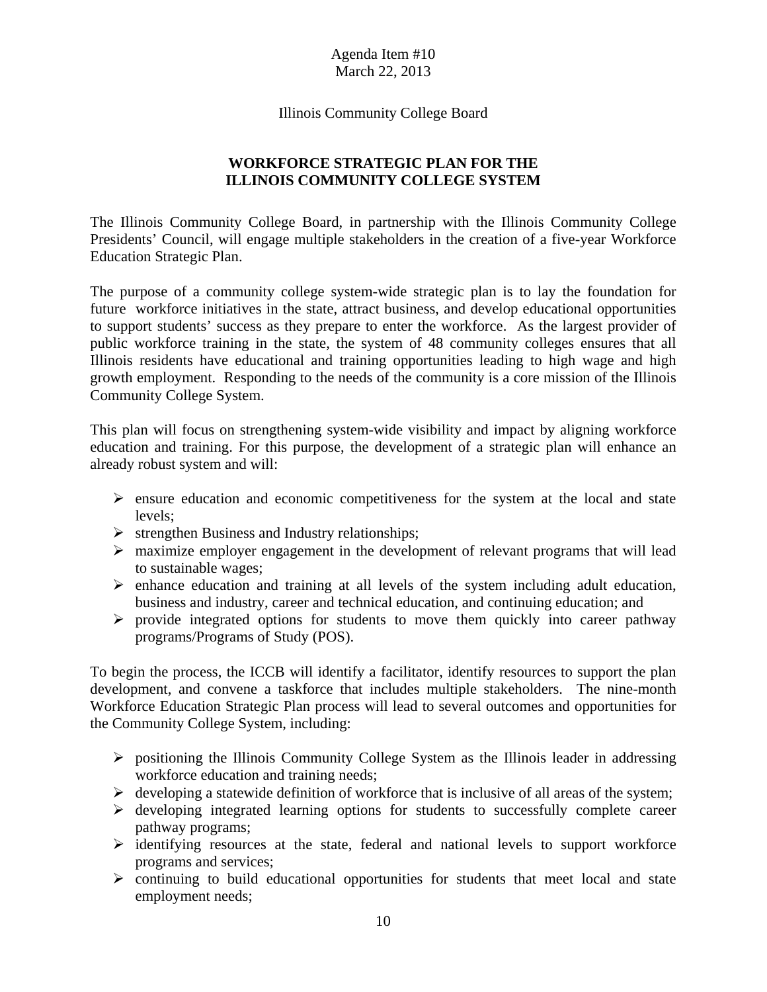Illinois Community College Board

### **WORKFORCE STRATEGIC PLAN FOR THE ILLINOIS COMMUNITY COLLEGE SYSTEM**

The Illinois Community College Board, in partnership with the Illinois Community College Presidents' Council, will engage multiple stakeholders in the creation of a five-year Workforce Education Strategic Plan.

The purpose of a community college system-wide strategic plan is to lay the foundation for future workforce initiatives in the state, attract business, and develop educational opportunities to support students' success as they prepare to enter the workforce. As the largest provider of public workforce training in the state, the system of 48 community colleges ensures that all Illinois residents have educational and training opportunities leading to high wage and high growth employment. Responding to the needs of the community is a core mission of the Illinois Community College System.

This plan will focus on strengthening system-wide visibility and impact by aligning workforce education and training. For this purpose, the development of a strategic plan will enhance an already robust system and will:

- $\triangleright$  ensure education and economic competitiveness for the system at the local and state levels;
- $\triangleright$  strengthen Business and Industry relationships;
- $\triangleright$  maximize employer engagement in the development of relevant programs that will lead to sustainable wages;
- $\triangleright$  enhance education and training at all levels of the system including adult education, business and industry, career and technical education, and continuing education; and
- $\triangleright$  provide integrated options for students to move them quickly into career pathway programs/Programs of Study (POS).

To begin the process, the ICCB will identify a facilitator, identify resources to support the plan development, and convene a taskforce that includes multiple stakeholders. The nine-month Workforce Education Strategic Plan process will lead to several outcomes and opportunities for the Community College System, including:

- $\triangleright$  positioning the Illinois Community College System as the Illinois leader in addressing workforce education and training needs;
- $\triangleright$  developing a statewide definition of workforce that is inclusive of all areas of the system;
- $\triangleright$  developing integrated learning options for students to successfully complete career pathway programs;
- $\triangleright$  identifying resources at the state, federal and national levels to support workforce programs and services;
- $\triangleright$  continuing to build educational opportunities for students that meet local and state employment needs;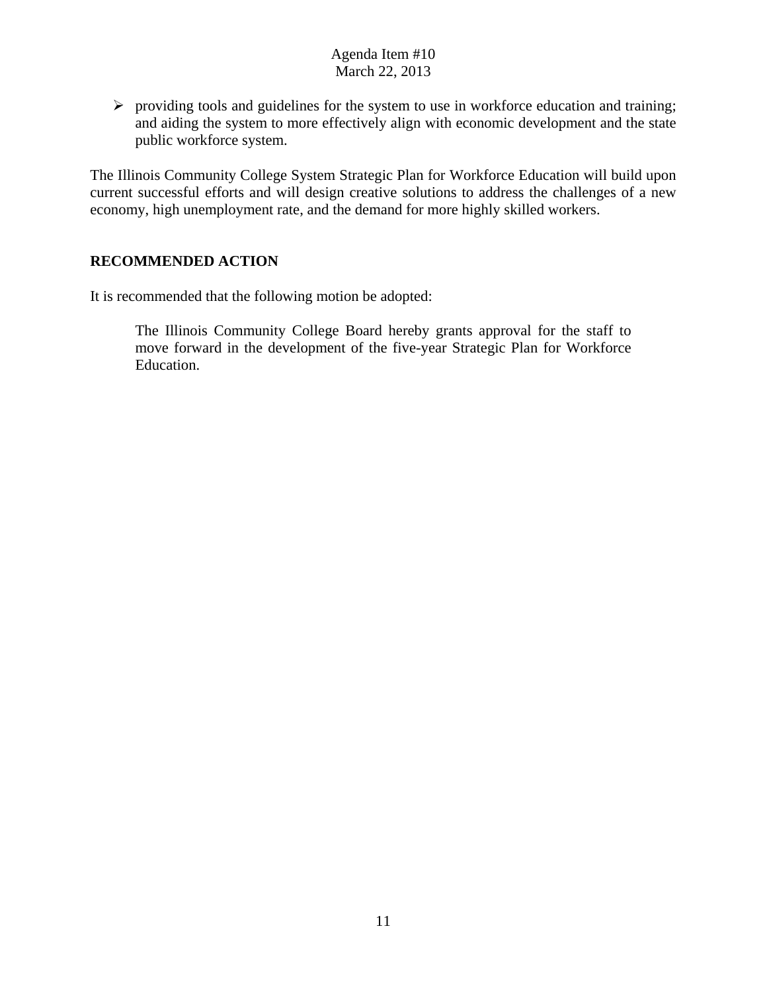$\triangleright$  providing tools and guidelines for the system to use in workforce education and training; and aiding the system to more effectively align with economic development and the state public workforce system.

The Illinois Community College System Strategic Plan for Workforce Education will build upon current successful efforts and will design creative solutions to address the challenges of a new economy, high unemployment rate, and the demand for more highly skilled workers.

### **RECOMMENDED ACTION**

It is recommended that the following motion be adopted:

The Illinois Community College Board hereby grants approval for the staff to move forward in the development of the five-year Strategic Plan for Workforce Education.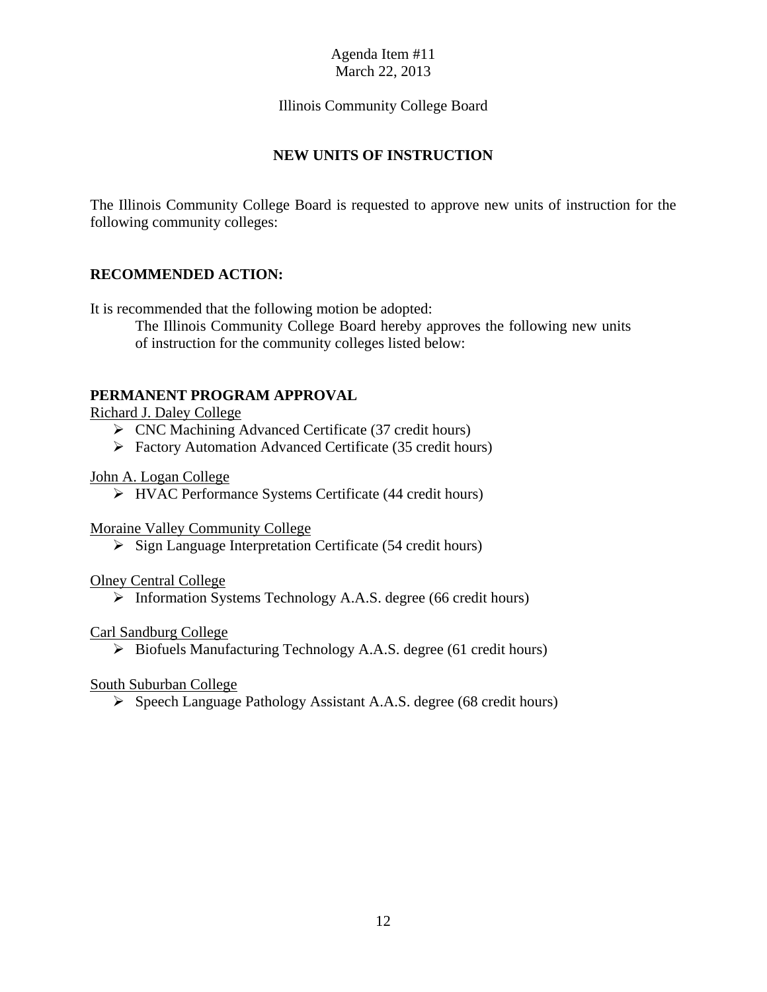### Illinois Community College Board

### **NEW UNITS OF INSTRUCTION**

The Illinois Community College Board is requested to approve new units of instruction for the following community colleges:

### **RECOMMENDED ACTION:**

It is recommended that the following motion be adopted:

The Illinois Community College Board hereby approves the following new units of instruction for the community colleges listed below:

### **PERMANENT PROGRAM APPROVAL**

### Richard J. Daley College

- CNC Machining Advanced Certificate (37 credit hours)
- Factory Automation Advanced Certificate (35 credit hours)

#### John A. Logan College

HVAC Performance Systems Certificate (44 credit hours)

#### Moraine Valley Community College

 $\triangleright$  Sign Language Interpretation Certificate (54 credit hours)

#### Olney Central College

> Information Systems Technology A.A.S. degree (66 credit hours)

### Carl Sandburg College

 $\triangleright$  Biofuels Manufacturing Technology A.A.S. degree (61 credit hours)

### South Suburban College

 $\triangleright$  Speech Language Pathology Assistant A.A.S. degree (68 credit hours)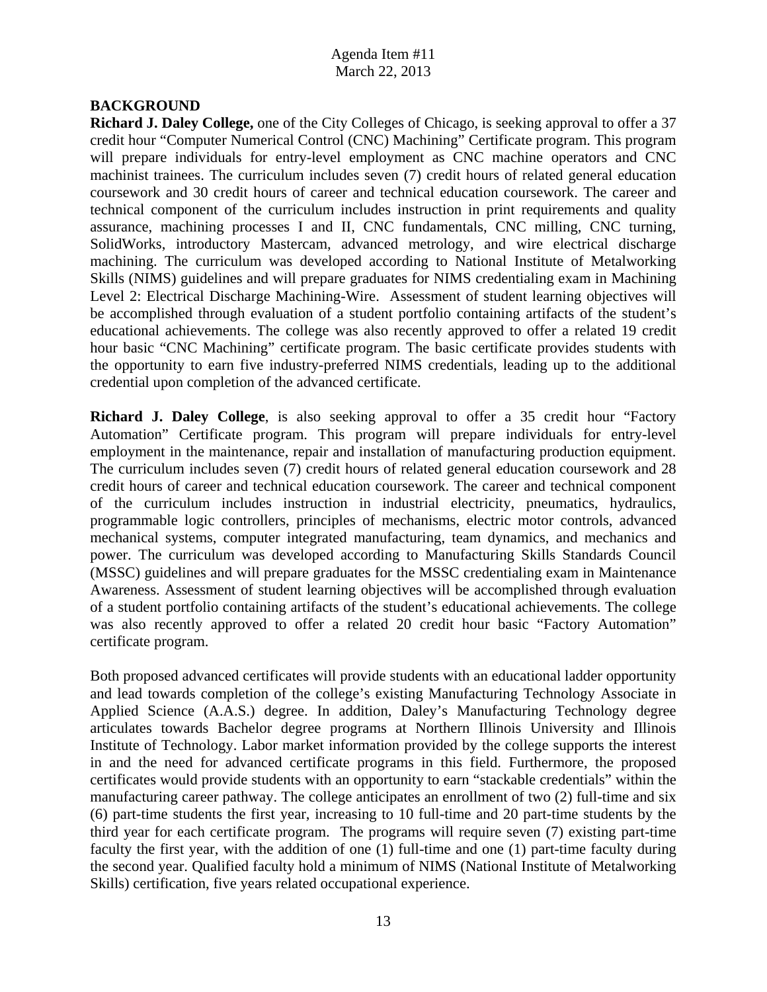### **BACKGROUND**

**Richard J. Daley College,** one of the City Colleges of Chicago, is seeking approval to offer a 37 credit hour "Computer Numerical Control (CNC) Machining" Certificate program. This program will prepare individuals for entry-level employment as CNC machine operators and CNC machinist trainees. The curriculum includes seven (7) credit hours of related general education coursework and 30 credit hours of career and technical education coursework. The career and technical component of the curriculum includes instruction in print requirements and quality assurance, machining processes I and II, CNC fundamentals, CNC milling, CNC turning, SolidWorks, introductory Mastercam, advanced metrology, and wire electrical discharge machining. The curriculum was developed according to National Institute of Metalworking Skills (NIMS) guidelines and will prepare graduates for NIMS credentialing exam in Machining Level 2: Electrical Discharge Machining-Wire. Assessment of student learning objectives will be accomplished through evaluation of a student portfolio containing artifacts of the student's educational achievements. The college was also recently approved to offer a related 19 credit hour basic "CNC Machining" certificate program. The basic certificate provides students with the opportunity to earn five industry-preferred NIMS credentials, leading up to the additional credential upon completion of the advanced certificate.

**Richard J. Daley College**, is also seeking approval to offer a 35 credit hour "Factory Automation" Certificate program. This program will prepare individuals for entry-level employment in the maintenance, repair and installation of manufacturing production equipment. The curriculum includes seven (7) credit hours of related general education coursework and 28 credit hours of career and technical education coursework. The career and technical component of the curriculum includes instruction in industrial electricity, pneumatics, hydraulics, programmable logic controllers, principles of mechanisms, electric motor controls, advanced mechanical systems, computer integrated manufacturing, team dynamics, and mechanics and power. The curriculum was developed according to Manufacturing Skills Standards Council (MSSC) guidelines and will prepare graduates for the MSSC credentialing exam in Maintenance Awareness. Assessment of student learning objectives will be accomplished through evaluation of a student portfolio containing artifacts of the student's educational achievements. The college was also recently approved to offer a related 20 credit hour basic "Factory Automation" certificate program.

Both proposed advanced certificates will provide students with an educational ladder opportunity and lead towards completion of the college's existing Manufacturing Technology Associate in Applied Science (A.A.S.) degree. In addition, Daley's Manufacturing Technology degree articulates towards Bachelor degree programs at Northern Illinois University and Illinois Institute of Technology. Labor market information provided by the college supports the interest in and the need for advanced certificate programs in this field. Furthermore, the proposed certificates would provide students with an opportunity to earn "stackable credentials" within the manufacturing career pathway. The college anticipates an enrollment of two (2) full-time and six (6) part-time students the first year, increasing to 10 full-time and 20 part-time students by the third year for each certificate program. The programs will require seven (7) existing part-time faculty the first year, with the addition of one (1) full-time and one (1) part-time faculty during the second year. Qualified faculty hold a minimum of NIMS (National Institute of Metalworking Skills) certification, five years related occupational experience.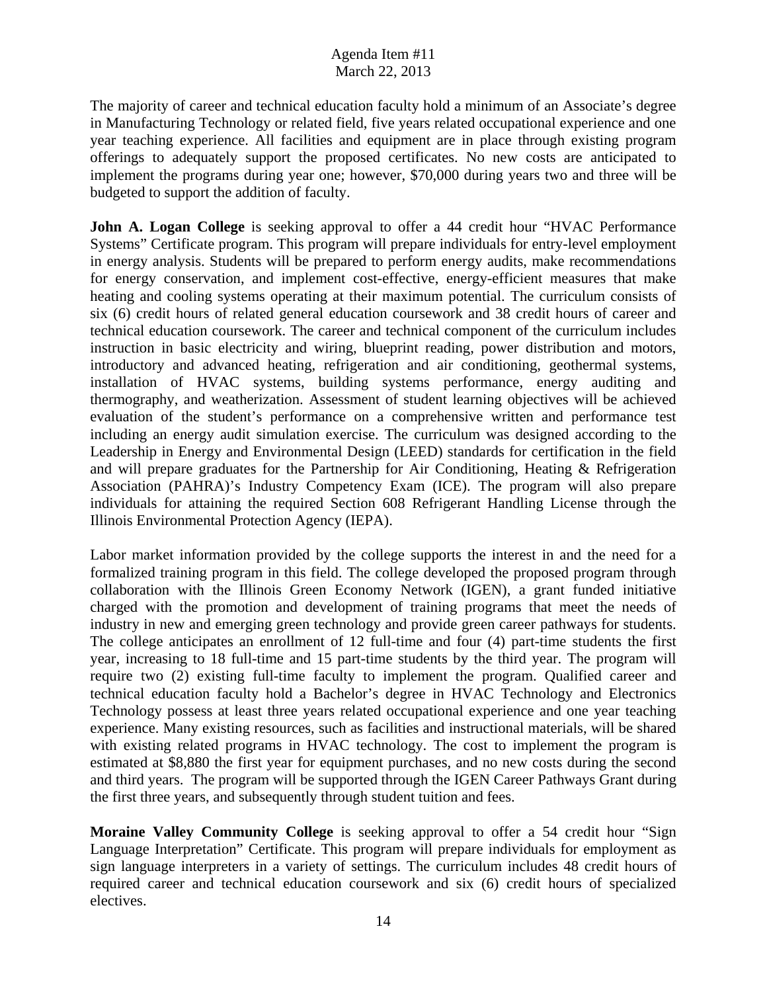The majority of career and technical education faculty hold a minimum of an Associate's degree in Manufacturing Technology or related field, five years related occupational experience and one year teaching experience. All facilities and equipment are in place through existing program offerings to adequately support the proposed certificates. No new costs are anticipated to implement the programs during year one; however, \$70,000 during years two and three will be budgeted to support the addition of faculty.

**John A. Logan College** is seeking approval to offer a 44 credit hour "HVAC Performance Systems" Certificate program. This program will prepare individuals for entry-level employment in energy analysis. Students will be prepared to perform energy audits, make recommendations for energy conservation, and implement cost-effective, energy-efficient measures that make heating and cooling systems operating at their maximum potential. The curriculum consists of six (6) credit hours of related general education coursework and 38 credit hours of career and technical education coursework. The career and technical component of the curriculum includes instruction in basic electricity and wiring, blueprint reading, power distribution and motors, introductory and advanced heating, refrigeration and air conditioning, geothermal systems, installation of HVAC systems, building systems performance, energy auditing and thermography, and weatherization. Assessment of student learning objectives will be achieved evaluation of the student's performance on a comprehensive written and performance test including an energy audit simulation exercise. The curriculum was designed according to the Leadership in Energy and Environmental Design (LEED) standards for certification in the field and will prepare graduates for the Partnership for Air Conditioning, Heating & Refrigeration Association (PAHRA)'s Industry Competency Exam (ICE). The program will also prepare individuals for attaining the required Section 608 Refrigerant Handling License through the Illinois Environmental Protection Agency (IEPA).

Labor market information provided by the college supports the interest in and the need for a formalized training program in this field. The college developed the proposed program through collaboration with the Illinois Green Economy Network (IGEN), a grant funded initiative charged with the promotion and development of training programs that meet the needs of industry in new and emerging green technology and provide green career pathways for students. The college anticipates an enrollment of 12 full-time and four (4) part-time students the first year, increasing to 18 full-time and 15 part-time students by the third year. The program will require two (2) existing full-time faculty to implement the program. Qualified career and technical education faculty hold a Bachelor's degree in HVAC Technology and Electronics Technology possess at least three years related occupational experience and one year teaching experience. Many existing resources, such as facilities and instructional materials, will be shared with existing related programs in HVAC technology. The cost to implement the program is estimated at \$8,880 the first year for equipment purchases, and no new costs during the second and third years. The program will be supported through the IGEN Career Pathways Grant during the first three years, and subsequently through student tuition and fees.

**Moraine Valley Community College** is seeking approval to offer a 54 credit hour "Sign Language Interpretation" Certificate. This program will prepare individuals for employment as sign language interpreters in a variety of settings. The curriculum includes 48 credit hours of required career and technical education coursework and six (6) credit hours of specialized electives.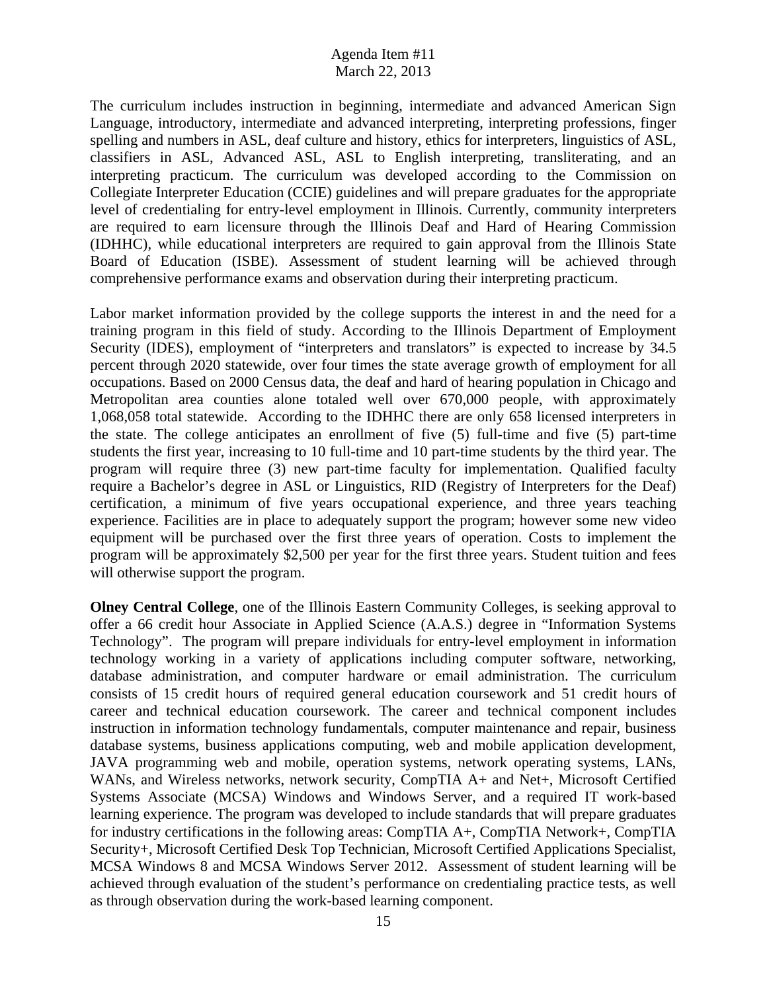The curriculum includes instruction in beginning, intermediate and advanced American Sign Language, introductory, intermediate and advanced interpreting, interpreting professions, finger spelling and numbers in ASL, deaf culture and history, ethics for interpreters, linguistics of ASL, classifiers in ASL, Advanced ASL, ASL to English interpreting, transliterating, and an interpreting practicum. The curriculum was developed according to the Commission on Collegiate Interpreter Education (CCIE) guidelines and will prepare graduates for the appropriate level of credentialing for entry-level employment in Illinois. Currently, community interpreters are required to earn licensure through the Illinois Deaf and Hard of Hearing Commission (IDHHC), while educational interpreters are required to gain approval from the Illinois State Board of Education (ISBE). Assessment of student learning will be achieved through comprehensive performance exams and observation during their interpreting practicum.

Labor market information provided by the college supports the interest in and the need for a training program in this field of study. According to the Illinois Department of Employment Security (IDES), employment of "interpreters and translators" is expected to increase by 34.5 percent through 2020 statewide, over four times the state average growth of employment for all occupations. Based on 2000 Census data, the deaf and hard of hearing population in Chicago and Metropolitan area counties alone totaled well over 670,000 people, with approximately 1,068,058 total statewide. According to the IDHHC there are only 658 licensed interpreters in the state. The college anticipates an enrollment of five (5) full-time and five (5) part-time students the first year, increasing to 10 full-time and 10 part-time students by the third year. The program will require three (3) new part-time faculty for implementation. Qualified faculty require a Bachelor's degree in ASL or Linguistics, RID (Registry of Interpreters for the Deaf) certification, a minimum of five years occupational experience, and three years teaching experience. Facilities are in place to adequately support the program; however some new video equipment will be purchased over the first three years of operation. Costs to implement the program will be approximately \$2,500 per year for the first three years. Student tuition and fees will otherwise support the program.

**Olney Central College**, one of the Illinois Eastern Community Colleges, is seeking approval to offer a 66 credit hour Associate in Applied Science (A.A.S.) degree in "Information Systems Technology". The program will prepare individuals for entry-level employment in information technology working in a variety of applications including computer software, networking, database administration, and computer hardware or email administration. The curriculum consists of 15 credit hours of required general education coursework and 51 credit hours of career and technical education coursework. The career and technical component includes instruction in information technology fundamentals, computer maintenance and repair, business database systems, business applications computing, web and mobile application development, JAVA programming web and mobile, operation systems, network operating systems, LANs, WANs, and Wireless networks, network security, CompTIA A+ and Net+, Microsoft Certified Systems Associate (MCSA) Windows and Windows Server, and a required IT work-based learning experience. The program was developed to include standards that will prepare graduates for industry certifications in the following areas: CompTIA A+, CompTIA Network+, CompTIA Security+, Microsoft Certified Desk Top Technician, Microsoft Certified Applications Specialist, MCSA Windows 8 and MCSA Windows Server 2012. Assessment of student learning will be achieved through evaluation of the student's performance on credentialing practice tests, as well as through observation during the work-based learning component.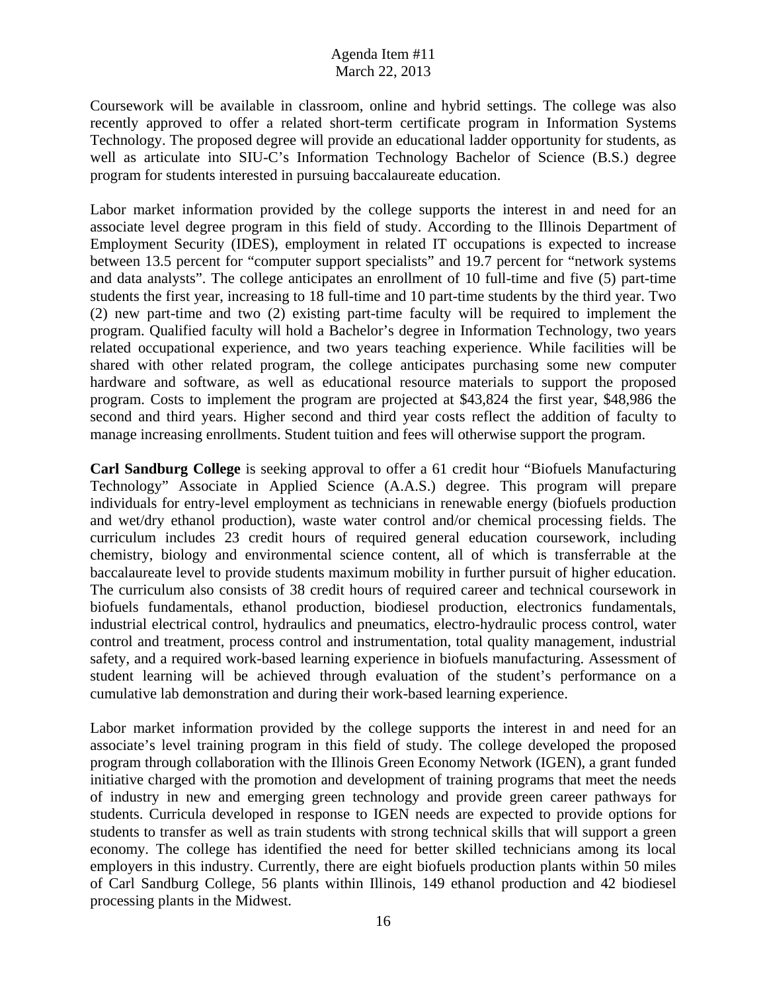Coursework will be available in classroom, online and hybrid settings. The college was also recently approved to offer a related short-term certificate program in Information Systems Technology. The proposed degree will provide an educational ladder opportunity for students, as well as articulate into SIU-C's Information Technology Bachelor of Science (B.S.) degree program for students interested in pursuing baccalaureate education.

Labor market information provided by the college supports the interest in and need for an associate level degree program in this field of study. According to the Illinois Department of Employment Security (IDES), employment in related IT occupations is expected to increase between 13.5 percent for "computer support specialists" and 19.7 percent for "network systems and data analysts". The college anticipates an enrollment of 10 full-time and five (5) part-time students the first year, increasing to 18 full-time and 10 part-time students by the third year. Two (2) new part-time and two (2) existing part-time faculty will be required to implement the program. Qualified faculty will hold a Bachelor's degree in Information Technology, two years related occupational experience, and two years teaching experience. While facilities will be shared with other related program, the college anticipates purchasing some new computer hardware and software, as well as educational resource materials to support the proposed program. Costs to implement the program are projected at \$43,824 the first year, \$48,986 the second and third years. Higher second and third year costs reflect the addition of faculty to manage increasing enrollments. Student tuition and fees will otherwise support the program.

**Carl Sandburg College** is seeking approval to offer a 61 credit hour "Biofuels Manufacturing Technology" Associate in Applied Science (A.A.S.) degree. This program will prepare individuals for entry-level employment as technicians in renewable energy (biofuels production and wet/dry ethanol production), waste water control and/or chemical processing fields. The curriculum includes 23 credit hours of required general education coursework, including chemistry, biology and environmental science content, all of which is transferrable at the baccalaureate level to provide students maximum mobility in further pursuit of higher education. The curriculum also consists of 38 credit hours of required career and technical coursework in biofuels fundamentals, ethanol production, biodiesel production, electronics fundamentals, industrial electrical control, hydraulics and pneumatics, electro-hydraulic process control, water control and treatment, process control and instrumentation, total quality management, industrial safety, and a required work-based learning experience in biofuels manufacturing. Assessment of student learning will be achieved through evaluation of the student's performance on a cumulative lab demonstration and during their work-based learning experience.

Labor market information provided by the college supports the interest in and need for an associate's level training program in this field of study. The college developed the proposed program through collaboration with the Illinois Green Economy Network (IGEN), a grant funded initiative charged with the promotion and development of training programs that meet the needs of industry in new and emerging green technology and provide green career pathways for students. Curricula developed in response to IGEN needs are expected to provide options for students to transfer as well as train students with strong technical skills that will support a green economy. The college has identified the need for better skilled technicians among its local employers in this industry. Currently, there are eight biofuels production plants within 50 miles of Carl Sandburg College, 56 plants within Illinois, 149 ethanol production and 42 biodiesel processing plants in the Midwest.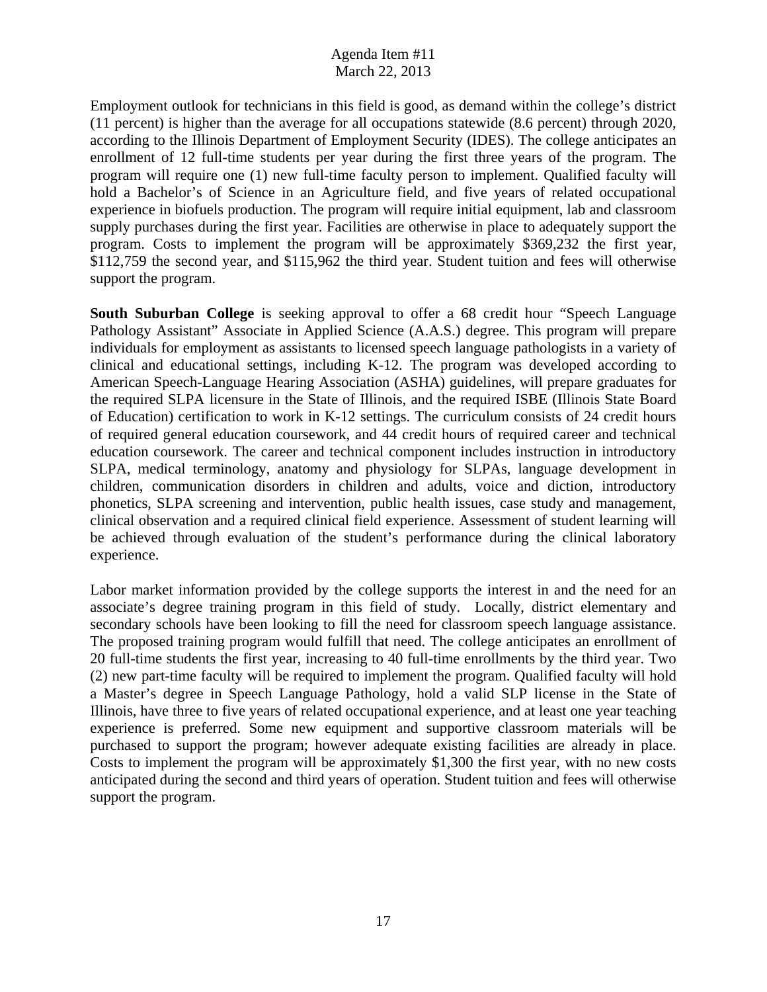Employment outlook for technicians in this field is good, as demand within the college's district (11 percent) is higher than the average for all occupations statewide (8.6 percent) through 2020, according to the Illinois Department of Employment Security (IDES). The college anticipates an enrollment of 12 full-time students per year during the first three years of the program. The program will require one (1) new full-time faculty person to implement. Qualified faculty will hold a Bachelor's of Science in an Agriculture field, and five years of related occupational experience in biofuels production. The program will require initial equipment, lab and classroom supply purchases during the first year. Facilities are otherwise in place to adequately support the program. Costs to implement the program will be approximately \$369,232 the first year, \$112,759 the second year, and \$115,962 the third year. Student tuition and fees will otherwise support the program.

**South Suburban College** is seeking approval to offer a 68 credit hour "Speech Language" Pathology Assistant" Associate in Applied Science (A.A.S.) degree. This program will prepare individuals for employment as assistants to licensed speech language pathologists in a variety of clinical and educational settings, including K-12. The program was developed according to American Speech-Language Hearing Association (ASHA) guidelines, will prepare graduates for the required SLPA licensure in the State of Illinois, and the required ISBE (Illinois State Board of Education) certification to work in K-12 settings. The curriculum consists of 24 credit hours of required general education coursework, and 44 credit hours of required career and technical education coursework. The career and technical component includes instruction in introductory SLPA, medical terminology, anatomy and physiology for SLPAs, language development in children, communication disorders in children and adults, voice and diction, introductory phonetics, SLPA screening and intervention, public health issues, case study and management, clinical observation and a required clinical field experience. Assessment of student learning will be achieved through evaluation of the student's performance during the clinical laboratory experience.

Labor market information provided by the college supports the interest in and the need for an associate's degree training program in this field of study. Locally, district elementary and secondary schools have been looking to fill the need for classroom speech language assistance. The proposed training program would fulfill that need. The college anticipates an enrollment of 20 full-time students the first year, increasing to 40 full-time enrollments by the third year. Two (2) new part-time faculty will be required to implement the program. Qualified faculty will hold a Master's degree in Speech Language Pathology, hold a valid SLP license in the State of Illinois, have three to five years of related occupational experience, and at least one year teaching experience is preferred. Some new equipment and supportive classroom materials will be purchased to support the program; however adequate existing facilities are already in place. Costs to implement the program will be approximately \$1,300 the first year, with no new costs anticipated during the second and third years of operation. Student tuition and fees will otherwise support the program.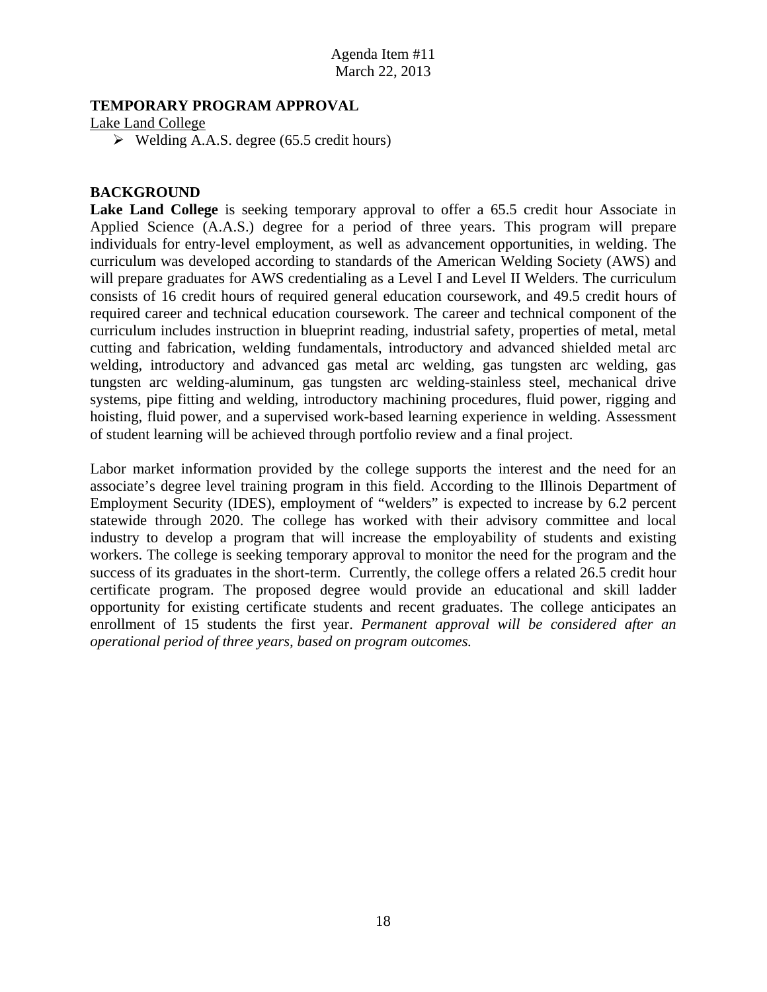### **TEMPORARY PROGRAM APPROVAL**

### Lake Land College

 $\triangleright$  Welding A.A.S. degree (65.5 credit hours)

### **BACKGROUND**

Lake Land College is seeking temporary approval to offer a 65.5 credit hour Associate in Applied Science (A.A.S.) degree for a period of three years. This program will prepare individuals for entry-level employment, as well as advancement opportunities, in welding. The curriculum was developed according to standards of the American Welding Society (AWS) and will prepare graduates for AWS credentialing as a Level I and Level II Welders. The curriculum consists of 16 credit hours of required general education coursework, and 49.5 credit hours of required career and technical education coursework. The career and technical component of the curriculum includes instruction in blueprint reading, industrial safety, properties of metal, metal cutting and fabrication, welding fundamentals, introductory and advanced shielded metal arc welding, introductory and advanced gas metal arc welding, gas tungsten arc welding, gas tungsten arc welding-aluminum, gas tungsten arc welding-stainless steel, mechanical drive systems, pipe fitting and welding, introductory machining procedures, fluid power, rigging and hoisting, fluid power, and a supervised work-based learning experience in welding. Assessment of student learning will be achieved through portfolio review and a final project.

Labor market information provided by the college supports the interest and the need for an associate's degree level training program in this field. According to the Illinois Department of Employment Security (IDES), employment of "welders" is expected to increase by 6.2 percent statewide through 2020. The college has worked with their advisory committee and local industry to develop a program that will increase the employability of students and existing workers. The college is seeking temporary approval to monitor the need for the program and the success of its graduates in the short-term. Currently, the college offers a related 26.5 credit hour certificate program. The proposed degree would provide an educational and skill ladder opportunity for existing certificate students and recent graduates. The college anticipates an enrollment of 15 students the first year. *Permanent approval will be considered after an operational period of three years, based on program outcomes.*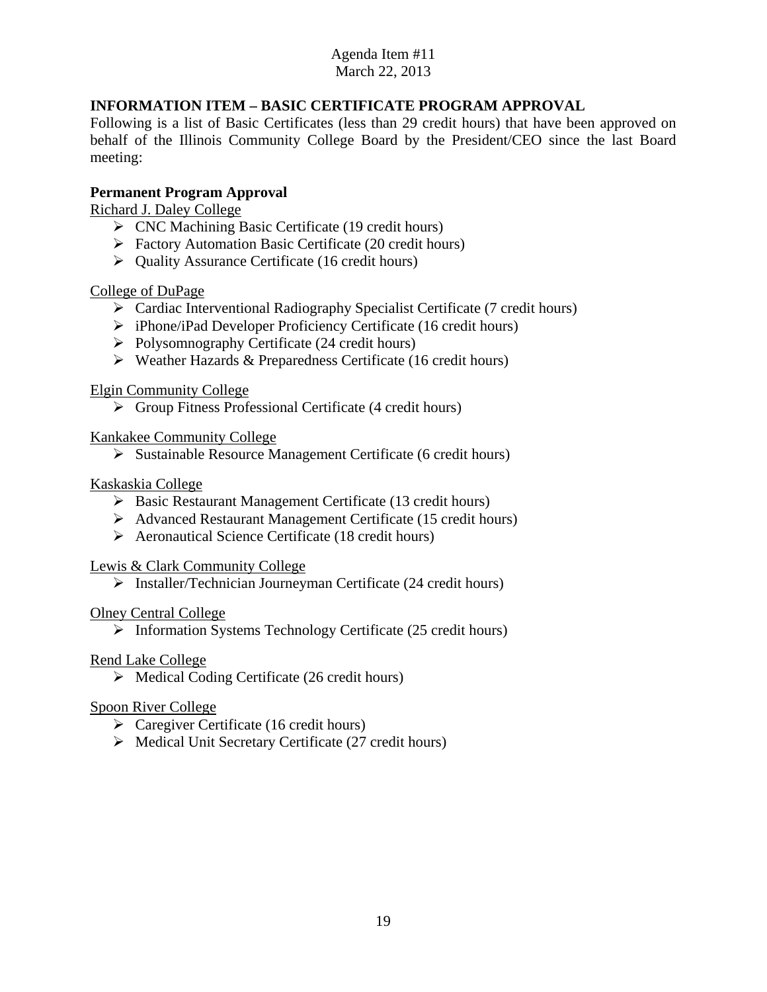## **INFORMATION ITEM – BASIC CERTIFICATE PROGRAM APPROVAL**

Following is a list of Basic Certificates (less than 29 credit hours) that have been approved on behalf of the Illinois Community College Board by the President/CEO since the last Board meeting:

### **Permanent Program Approval**

Richard J. Daley College

- $\triangleright$  CNC Machining Basic Certificate (19 credit hours)
- Factory Automation Basic Certificate (20 credit hours)
- Quality Assurance Certificate (16 credit hours)

College of DuPage

- Cardiac Interventional Radiography Specialist Certificate (7 credit hours)
- $\triangleright$  iPhone/iPad Developer Proficiency Certificate (16 credit hours)
- $\triangleright$  Polysomnography Certificate (24 credit hours)
- $\triangleright$  Weather Hazards & Preparedness Certificate (16 credit hours)

Elgin Community College

 $\triangleright$  Group Fitness Professional Certificate (4 credit hours)

Kankakee Community College

 $\triangleright$  Sustainable Resource Management Certificate (6 credit hours)

### Kaskaskia College

- $\triangleright$  Basic Restaurant Management Certificate (13 credit hours)
- Advanced Restaurant Management Certificate (15 credit hours)
- Aeronautical Science Certificate (18 credit hours)

#### Lewis & Clark Community College

 $\triangleright$  Installer/Technician Journeyman Certificate (24 credit hours)

#### Olney Central College

 $\triangleright$  Information Systems Technology Certificate (25 credit hours)

#### Rend Lake College

 $\triangleright$  Medical Coding Certificate (26 credit hours)

#### Spoon River College

- $\triangleright$  Caregiver Certificate (16 credit hours)
- $\triangleright$  Medical Unit Secretary Certificate (27 credit hours)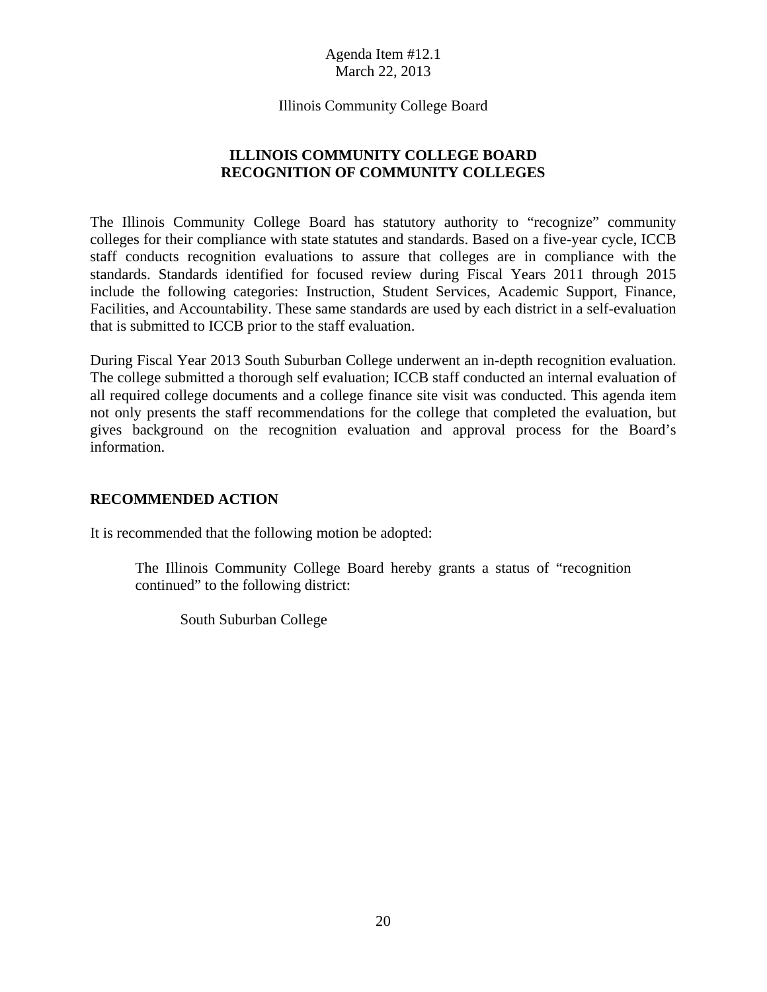Illinois Community College Board

### **ILLINOIS COMMUNITY COLLEGE BOARD RECOGNITION OF COMMUNITY COLLEGES**

The Illinois Community College Board has statutory authority to "recognize" community colleges for their compliance with state statutes and standards. Based on a five-year cycle, ICCB staff conducts recognition evaluations to assure that colleges are in compliance with the standards. Standards identified for focused review during Fiscal Years 2011 through 2015 include the following categories: Instruction, Student Services, Academic Support, Finance, Facilities, and Accountability. These same standards are used by each district in a self-evaluation that is submitted to ICCB prior to the staff evaluation.

During Fiscal Year 2013 South Suburban College underwent an in-depth recognition evaluation. The college submitted a thorough self evaluation; ICCB staff conducted an internal evaluation of all required college documents and a college finance site visit was conducted. This agenda item not only presents the staff recommendations for the college that completed the evaluation, but gives background on the recognition evaluation and approval process for the Board's information.

#### **RECOMMENDED ACTION**

It is recommended that the following motion be adopted:

The Illinois Community College Board hereby grants a status of "recognition continued" to the following district:

South Suburban College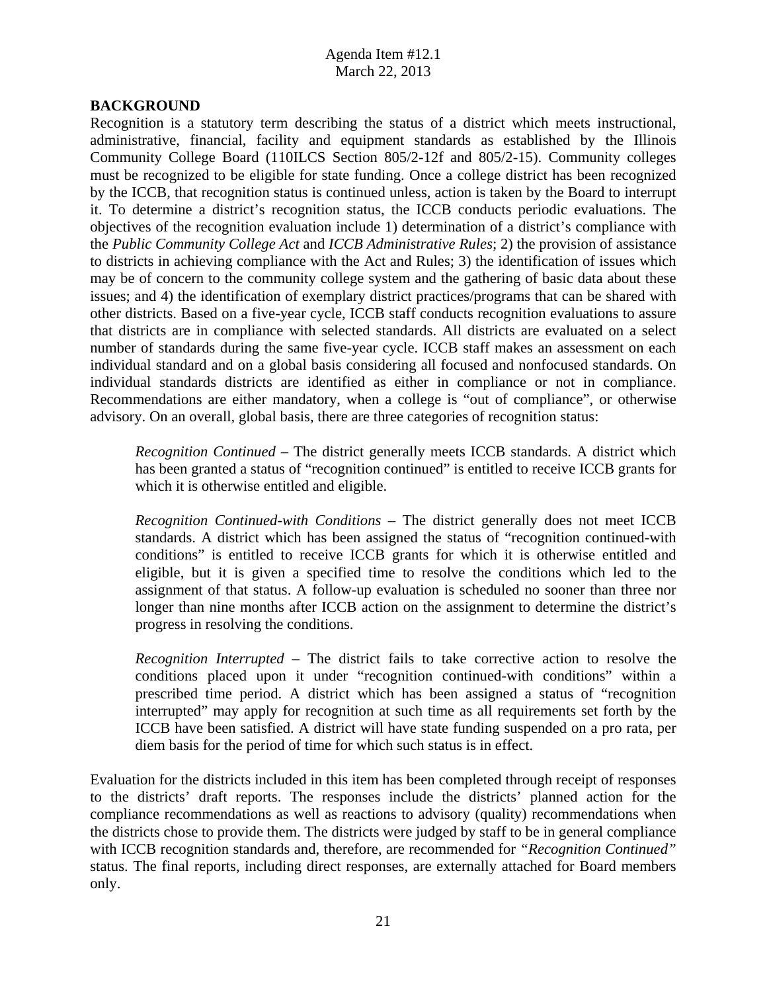### **BACKGROUND**

Recognition is a statutory term describing the status of a district which meets instructional, administrative, financial, facility and equipment standards as established by the Illinois Community College Board (110ILCS Section 805/2-12f and 805/2-15). Community colleges must be recognized to be eligible for state funding. Once a college district has been recognized by the ICCB, that recognition status is continued unless, action is taken by the Board to interrupt it. To determine a district's recognition status, the ICCB conducts periodic evaluations. The objectives of the recognition evaluation include 1) determination of a district's compliance with the *Public Community College Act* and *ICCB Administrative Rules*; 2) the provision of assistance to districts in achieving compliance with the Act and Rules; 3) the identification of issues which may be of concern to the community college system and the gathering of basic data about these issues; and 4) the identification of exemplary district practices/programs that can be shared with other districts. Based on a five-year cycle, ICCB staff conducts recognition evaluations to assure that districts are in compliance with selected standards. All districts are evaluated on a select number of standards during the same five-year cycle. ICCB staff makes an assessment on each individual standard and on a global basis considering all focused and nonfocused standards. On individual standards districts are identified as either in compliance or not in compliance. Recommendations are either mandatory, when a college is "out of compliance", or otherwise advisory. On an overall, global basis, there are three categories of recognition status:

*Recognition Continued* – The district generally meets ICCB standards. A district which has been granted a status of "recognition continued" is entitled to receive ICCB grants for which it is otherwise entitled and eligible.

 *Recognition Continued-with Conditions* – The district generally does not meet ICCB standards. A district which has been assigned the status of "recognition continued-with conditions" is entitled to receive ICCB grants for which it is otherwise entitled and eligible, but it is given a specified time to resolve the conditions which led to the assignment of that status. A follow-up evaluation is scheduled no sooner than three nor longer than nine months after ICCB action on the assignment to determine the district's progress in resolving the conditions.

*Recognition Interrupted* – The district fails to take corrective action to resolve the conditions placed upon it under "recognition continued-with conditions" within a prescribed time period. A district which has been assigned a status of "recognition interrupted" may apply for recognition at such time as all requirements set forth by the ICCB have been satisfied. A district will have state funding suspended on a pro rata, per diem basis for the period of time for which such status is in effect.

Evaluation for the districts included in this item has been completed through receipt of responses to the districts' draft reports. The responses include the districts' planned action for the compliance recommendations as well as reactions to advisory (quality) recommendations when the districts chose to provide them. The districts were judged by staff to be in general compliance with ICCB recognition standards and, therefore, are recommended for *"Recognition Continued"*  status. The final reports, including direct responses, are externally attached for Board members only.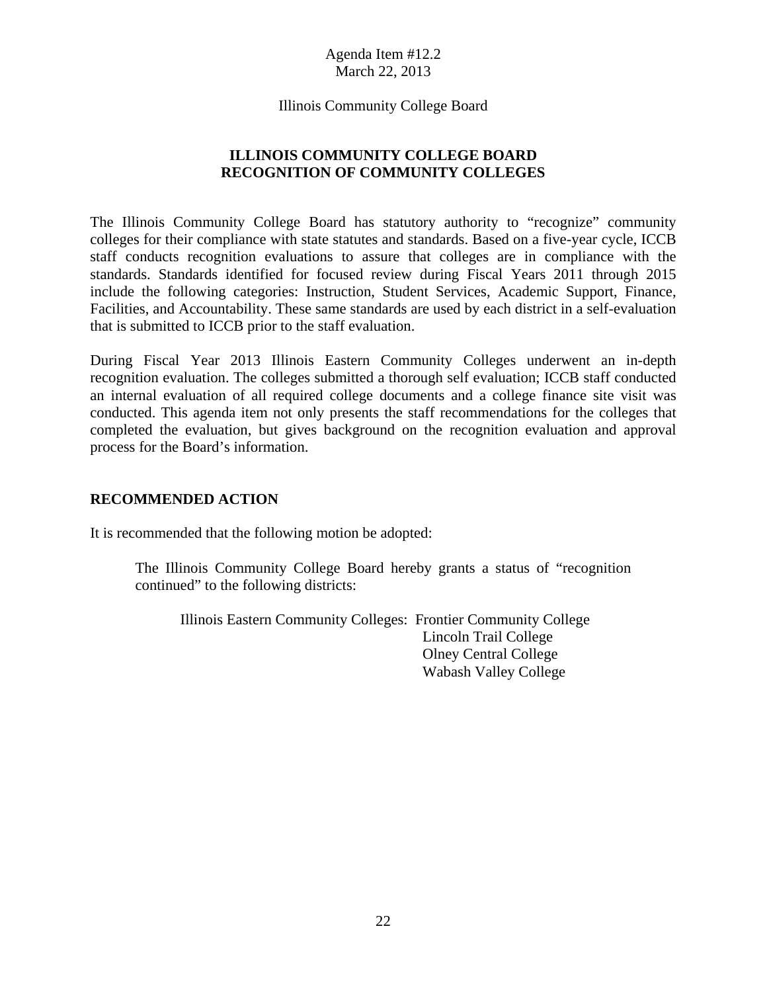Illinois Community College Board

### **ILLINOIS COMMUNITY COLLEGE BOARD RECOGNITION OF COMMUNITY COLLEGES**

The Illinois Community College Board has statutory authority to "recognize" community colleges for their compliance with state statutes and standards. Based on a five-year cycle, ICCB staff conducts recognition evaluations to assure that colleges are in compliance with the standards. Standards identified for focused review during Fiscal Years 2011 through 2015 include the following categories: Instruction, Student Services, Academic Support, Finance, Facilities, and Accountability. These same standards are used by each district in a self-evaluation that is submitted to ICCB prior to the staff evaluation.

During Fiscal Year 2013 Illinois Eastern Community Colleges underwent an in-depth recognition evaluation. The colleges submitted a thorough self evaluation; ICCB staff conducted an internal evaluation of all required college documents and a college finance site visit was conducted. This agenda item not only presents the staff recommendations for the colleges that completed the evaluation, but gives background on the recognition evaluation and approval process for the Board's information.

#### **RECOMMENDED ACTION**

It is recommended that the following motion be adopted:

The Illinois Community College Board hereby grants a status of "recognition continued" to the following districts:

Illinois Eastern Community Colleges: Frontier Community College Lincoln Trail College Olney Central College Wabash Valley College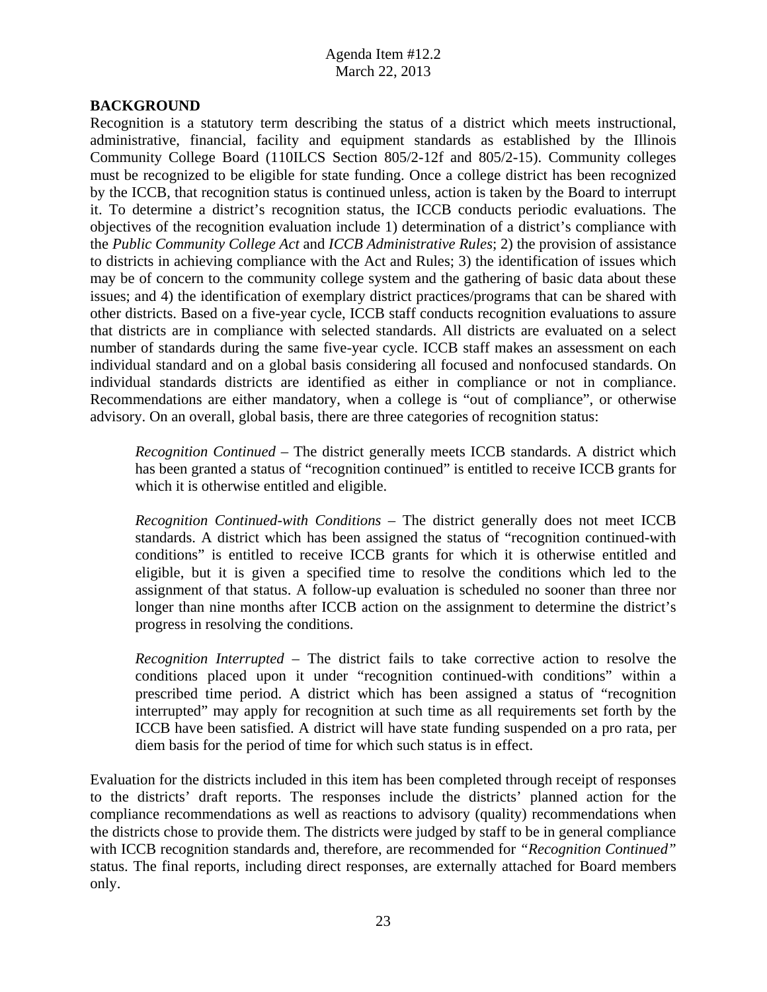### **BACKGROUND**

Recognition is a statutory term describing the status of a district which meets instructional, administrative, financial, facility and equipment standards as established by the Illinois Community College Board (110ILCS Section 805/2-12f and 805/2-15). Community colleges must be recognized to be eligible for state funding. Once a college district has been recognized by the ICCB, that recognition status is continued unless, action is taken by the Board to interrupt it. To determine a district's recognition status, the ICCB conducts periodic evaluations. The objectives of the recognition evaluation include 1) determination of a district's compliance with the *Public Community College Act* and *ICCB Administrative Rules*; 2) the provision of assistance to districts in achieving compliance with the Act and Rules; 3) the identification of issues which may be of concern to the community college system and the gathering of basic data about these issues; and 4) the identification of exemplary district practices/programs that can be shared with other districts. Based on a five-year cycle, ICCB staff conducts recognition evaluations to assure that districts are in compliance with selected standards. All districts are evaluated on a select number of standards during the same five-year cycle. ICCB staff makes an assessment on each individual standard and on a global basis considering all focused and nonfocused standards. On individual standards districts are identified as either in compliance or not in compliance. Recommendations are either mandatory, when a college is "out of compliance", or otherwise advisory. On an overall, global basis, there are three categories of recognition status:

*Recognition Continued* – The district generally meets ICCB standards. A district which has been granted a status of "recognition continued" is entitled to receive ICCB grants for which it is otherwise entitled and eligible.

 *Recognition Continued-with Conditions* – The district generally does not meet ICCB standards. A district which has been assigned the status of "recognition continued-with conditions" is entitled to receive ICCB grants for which it is otherwise entitled and eligible, but it is given a specified time to resolve the conditions which led to the assignment of that status. A follow-up evaluation is scheduled no sooner than three nor longer than nine months after ICCB action on the assignment to determine the district's progress in resolving the conditions.

*Recognition Interrupted* – The district fails to take corrective action to resolve the conditions placed upon it under "recognition continued-with conditions" within a prescribed time period. A district which has been assigned a status of "recognition interrupted" may apply for recognition at such time as all requirements set forth by the ICCB have been satisfied. A district will have state funding suspended on a pro rata, per diem basis for the period of time for which such status is in effect.

Evaluation for the districts included in this item has been completed through receipt of responses to the districts' draft reports. The responses include the districts' planned action for the compliance recommendations as well as reactions to advisory (quality) recommendations when the districts chose to provide them. The districts were judged by staff to be in general compliance with ICCB recognition standards and, therefore, are recommended for *"Recognition Continued"*  status. The final reports, including direct responses, are externally attached for Board members only.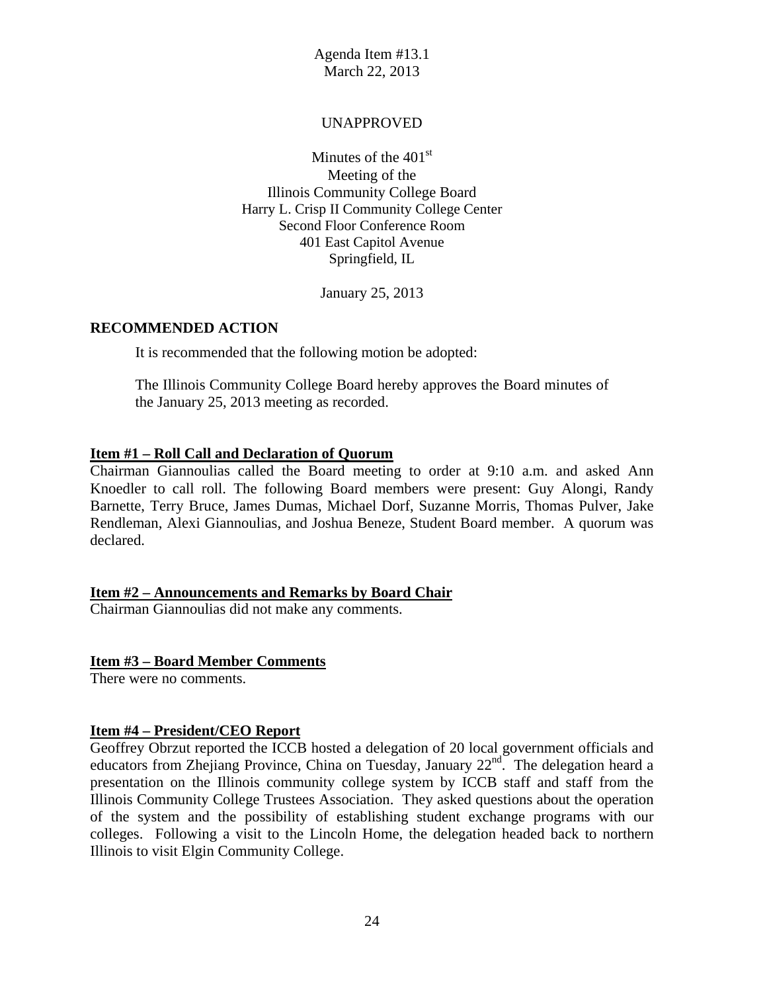### UNAPPROVED

Minutes of the  $401<sup>st</sup>$ Meeting of the Illinois Community College Board Harry L. Crisp II Community College Center Second Floor Conference Room 401 East Capitol Avenue Springfield, IL

January 25, 2013

#### **RECOMMENDED ACTION**

It is recommended that the following motion be adopted:

The Illinois Community College Board hereby approves the Board minutes of the January 25, 2013 meeting as recorded.

#### **Item #1 – Roll Call and Declaration of Quorum**

Chairman Giannoulias called the Board meeting to order at 9:10 a.m. and asked Ann Knoedler to call roll. The following Board members were present: Guy Alongi, Randy Barnette, Terry Bruce, James Dumas, Michael Dorf, Suzanne Morris, Thomas Pulver, Jake Rendleman, Alexi Giannoulias, and Joshua Beneze, Student Board member. A quorum was declared.

#### **Item #2 – Announcements and Remarks by Board Chair**

Chairman Giannoulias did not make any comments.

#### **Item #3 – Board Member Comments**

There were no comments.

#### **Item #4 – President/CEO Report**

Geoffrey Obrzut reported the ICCB hosted a delegation of 20 local government officials and educators from Zhejiang Province, China on Tuesday, January 22<sup>nd</sup>. The delegation heard a presentation on the Illinois community college system by ICCB staff and staff from the Illinois Community College Trustees Association. They asked questions about the operation of the system and the possibility of establishing student exchange programs with our colleges. Following a visit to the Lincoln Home, the delegation headed back to northern Illinois to visit Elgin Community College.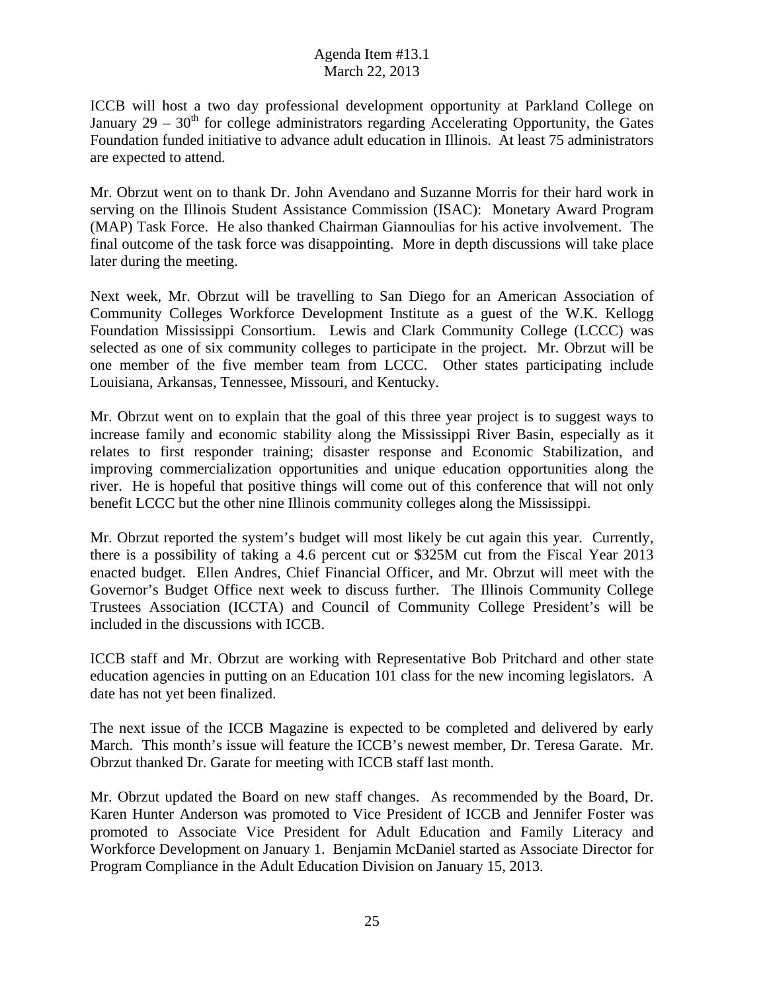ICCB will host a two day professional development opportunity at Parkland College on January  $29 - 30<sup>th</sup>$  for college administrators regarding Accelerating Opportunity, the Gates Foundation funded initiative to advance adult education in Illinois. At least 75 administrators are expected to attend.

Mr. Obrzut went on to thank Dr. John Avendano and Suzanne Morris for their hard work in serving on the Illinois Student Assistance Commission (ISAC): Monetary Award Program (MAP) Task Force. He also thanked Chairman Giannoulias for his active involvement. The final outcome of the task force was disappointing. More in depth discussions will take place later during the meeting.

Next week, Mr. Obrzut will be travelling to San Diego for an American Association of Community Colleges Workforce Development Institute as a guest of the W.K. Kellogg Foundation Mississippi Consortium. Lewis and Clark Community College (LCCC) was selected as one of six community colleges to participate in the project. Mr. Obrzut will be one member of the five member team from LCCC. Other states participating include Louisiana, Arkansas, Tennessee, Missouri, and Kentucky.

Mr. Obrzut went on to explain that the goal of this three year project is to suggest ways to increase family and economic stability along the Mississippi River Basin, especially as it relates to first responder training; disaster response and Economic Stabilization, and improving commercialization opportunities and unique education opportunities along the river. He is hopeful that positive things will come out of this conference that will not only benefit LCCC but the other nine Illinois community colleges along the Mississippi.

Mr. Obrzut reported the system's budget will most likely be cut again this year. Currently, there is a possibility of taking a 4.6 percent cut or \$325M cut from the Fiscal Year 2013 enacted budget. Ellen Andres, Chief Financial Officer, and Mr. Obrzut will meet with the Governor's Budget Office next week to discuss further. The Illinois Community College Trustees Association (ICCTA) and Council of Community College President's will be included in the discussions with ICCB.

ICCB staff and Mr. Obrzut are working with Representative Bob Pritchard and other state education agencies in putting on an Education 101 class for the new incoming legislators. A date has not yet been finalized.

The next issue of the ICCB Magazine is expected to be completed and delivered by early March. This month's issue will feature the ICCB's newest member, Dr. Teresa Garate. Mr. Obrzut thanked Dr. Garate for meeting with ICCB staff last month.

Mr. Obrzut updated the Board on new staff changes. As recommended by the Board, Dr. Karen Hunter Anderson was promoted to Vice President of ICCB and Jennifer Foster was promoted to Associate Vice President for Adult Education and Family Literacy and Workforce Development on January 1. Benjamin McDaniel started as Associate Director for Program Compliance in the Adult Education Division on January 15, 2013.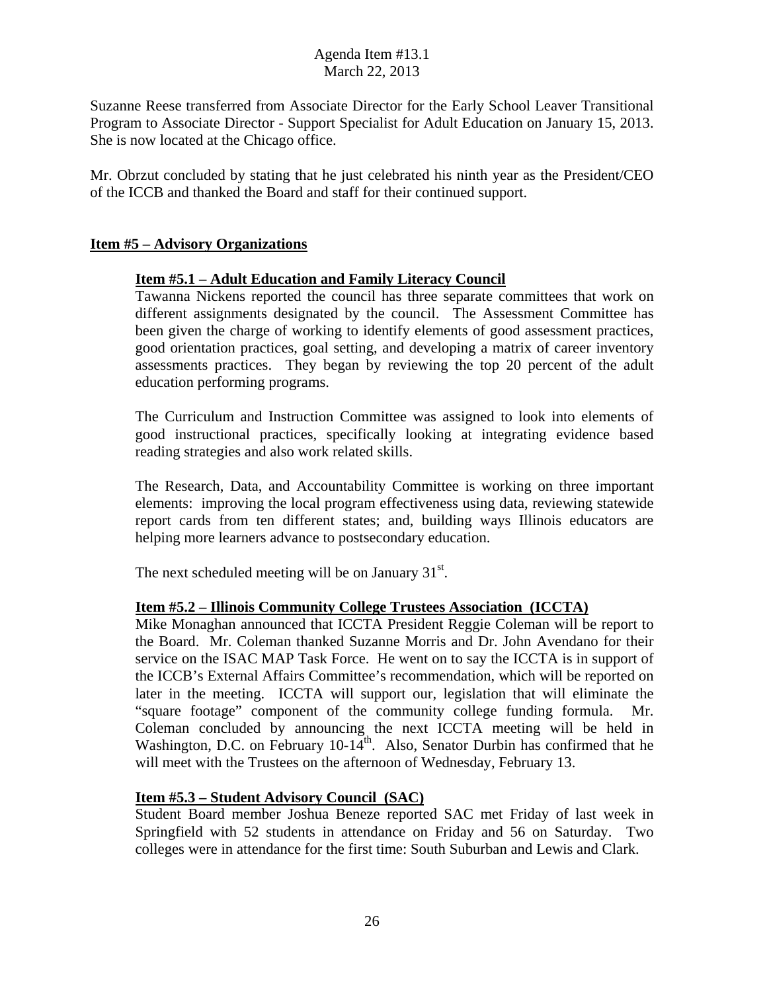Suzanne Reese transferred from Associate Director for the Early School Leaver Transitional Program to Associate Director - Support Specialist for Adult Education on January 15, 2013. She is now located at the Chicago office.

Mr. Obrzut concluded by stating that he just celebrated his ninth year as the President/CEO of the ICCB and thanked the Board and staff for their continued support.

### **Item #5 – Advisory Organizations**

### **Item #5.1 – Adult Education and Family Literacy Council**

Tawanna Nickens reported the council has three separate committees that work on different assignments designated by the council. The Assessment Committee has been given the charge of working to identify elements of good assessment practices, good orientation practices, goal setting, and developing a matrix of career inventory assessments practices. They began by reviewing the top 20 percent of the adult education performing programs.

The Curriculum and Instruction Committee was assigned to look into elements of good instructional practices, specifically looking at integrating evidence based reading strategies and also work related skills.

The Research, Data, and Accountability Committee is working on three important elements: improving the local program effectiveness using data, reviewing statewide report cards from ten different states; and, building ways Illinois educators are helping more learners advance to postsecondary education.

The next scheduled meeting will be on January  $31<sup>st</sup>$ .

#### **Item #5.2 – Illinois Community College Trustees Association (ICCTA)**

Mike Monaghan announced that ICCTA President Reggie Coleman will be report to the Board. Mr. Coleman thanked Suzanne Morris and Dr. John Avendano for their service on the ISAC MAP Task Force. He went on to say the ICCTA is in support of the ICCB's External Affairs Committee's recommendation, which will be reported on later in the meeting. ICCTA will support our, legislation that will eliminate the "square footage" component of the community college funding formula. Mr. Coleman concluded by announcing the next ICCTA meeting will be held in Washington, D.C. on February 10-14<sup>th</sup>. Also, Senator Durbin has confirmed that he will meet with the Trustees on the afternoon of Wednesday, February 13.

#### **Item #5.3 – Student Advisory Council (SAC)**

Student Board member Joshua Beneze reported SAC met Friday of last week in Springfield with 52 students in attendance on Friday and 56 on Saturday. Two colleges were in attendance for the first time: South Suburban and Lewis and Clark.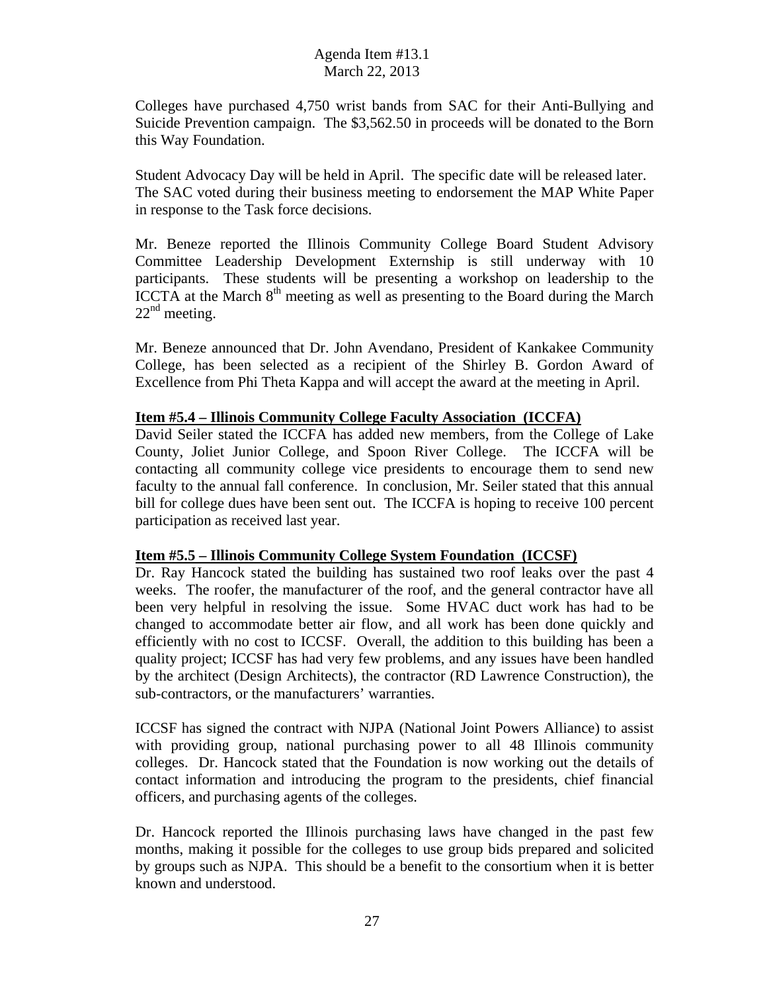Colleges have purchased 4,750 wrist bands from SAC for their Anti-Bullying and Suicide Prevention campaign. The \$3,562.50 in proceeds will be donated to the Born this Way Foundation.

Student Advocacy Day will be held in April. The specific date will be released later. The SAC voted during their business meeting to endorsement the MAP White Paper in response to the Task force decisions.

Mr. Beneze reported the Illinois Community College Board Student Advisory Committee Leadership Development Externship is still underway with 10 participants. These students will be presenting a workshop on leadership to the ICCTA at the March  $8<sup>th</sup>$  meeting as well as presenting to the Board during the March  $22<sup>nd</sup>$  meeting.

Mr. Beneze announced that Dr. John Avendano, President of Kankakee Community College, has been selected as a recipient of the Shirley B. Gordon Award of Excellence from Phi Theta Kappa and will accept the award at the meeting in April.

### **Item #5.4 – Illinois Community College Faculty Association (ICCFA)**

David Seiler stated the ICCFA has added new members, from the College of Lake County, Joliet Junior College, and Spoon River College. The ICCFA will be contacting all community college vice presidents to encourage them to send new faculty to the annual fall conference. In conclusion, Mr. Seiler stated that this annual bill for college dues have been sent out. The ICCFA is hoping to receive 100 percent participation as received last year.

#### **Item #5.5 – Illinois Community College System Foundation (ICCSF)**

Dr. Ray Hancock stated the building has sustained two roof leaks over the past 4 weeks. The roofer, the manufacturer of the roof, and the general contractor have all been very helpful in resolving the issue. Some HVAC duct work has had to be changed to accommodate better air flow, and all work has been done quickly and efficiently with no cost to ICCSF. Overall, the addition to this building has been a quality project; ICCSF has had very few problems, and any issues have been handled by the architect (Design Architects), the contractor (RD Lawrence Construction), the sub-contractors, or the manufacturers' warranties.

ICCSF has signed the contract with NJPA (National Joint Powers Alliance) to assist with providing group, national purchasing power to all 48 Illinois community colleges. Dr. Hancock stated that the Foundation is now working out the details of contact information and introducing the program to the presidents, chief financial officers, and purchasing agents of the colleges.

Dr. Hancock reported the Illinois purchasing laws have changed in the past few months, making it possible for the colleges to use group bids prepared and solicited by groups such as NJPA. This should be a benefit to the consortium when it is better known and understood.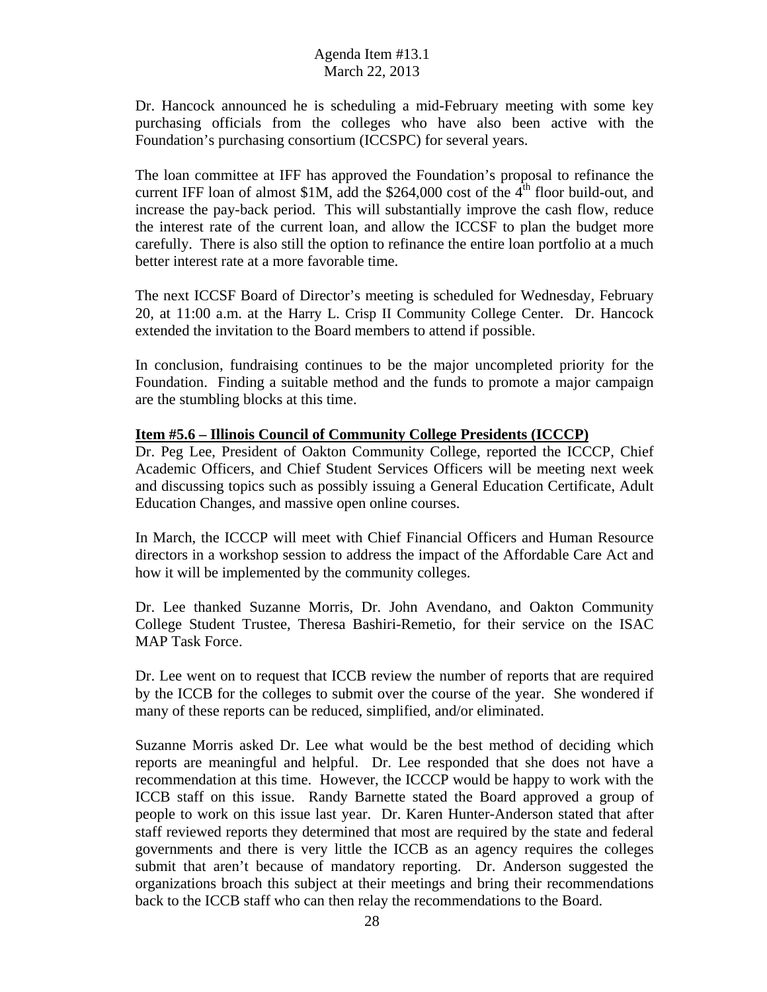Dr. Hancock announced he is scheduling a mid-February meeting with some key purchasing officials from the colleges who have also been active with the Foundation's purchasing consortium (ICCSPC) for several years.

The loan committee at IFF has approved the Foundation's proposal to refinance the current IFF loan of almost \$1M, add the \$264,000 cost of the  $4<sup>th</sup>$  floor build-out, and increase the pay-back period. This will substantially improve the cash flow, reduce the interest rate of the current loan, and allow the ICCSF to plan the budget more carefully. There is also still the option to refinance the entire loan portfolio at a much better interest rate at a more favorable time.

The next ICCSF Board of Director's meeting is scheduled for Wednesday, February 20, at 11:00 a.m. at the Harry L. Crisp II Community College Center. Dr. Hancock extended the invitation to the Board members to attend if possible.

In conclusion, fundraising continues to be the major uncompleted priority for the Foundation. Finding a suitable method and the funds to promote a major campaign are the stumbling blocks at this time.

#### **Item #5.6 – Illinois Council of Community College Presidents (ICCCP)**

Dr. Peg Lee, President of Oakton Community College, reported the ICCCP, Chief Academic Officers, and Chief Student Services Officers will be meeting next week and discussing topics such as possibly issuing a General Education Certificate, Adult Education Changes, and massive open online courses.

In March, the ICCCP will meet with Chief Financial Officers and Human Resource directors in a workshop session to address the impact of the Affordable Care Act and how it will be implemented by the community colleges.

Dr. Lee thanked Suzanne Morris, Dr. John Avendano, and Oakton Community College Student Trustee, Theresa Bashiri-Remetio, for their service on the ISAC MAP Task Force.

Dr. Lee went on to request that ICCB review the number of reports that are required by the ICCB for the colleges to submit over the course of the year. She wondered if many of these reports can be reduced, simplified, and/or eliminated.

Suzanne Morris asked Dr. Lee what would be the best method of deciding which reports are meaningful and helpful. Dr. Lee responded that she does not have a recommendation at this time. However, the ICCCP would be happy to work with the ICCB staff on this issue. Randy Barnette stated the Board approved a group of people to work on this issue last year. Dr. Karen Hunter-Anderson stated that after staff reviewed reports they determined that most are required by the state and federal governments and there is very little the ICCB as an agency requires the colleges submit that aren't because of mandatory reporting. Dr. Anderson suggested the organizations broach this subject at their meetings and bring their recommendations back to the ICCB staff who can then relay the recommendations to the Board.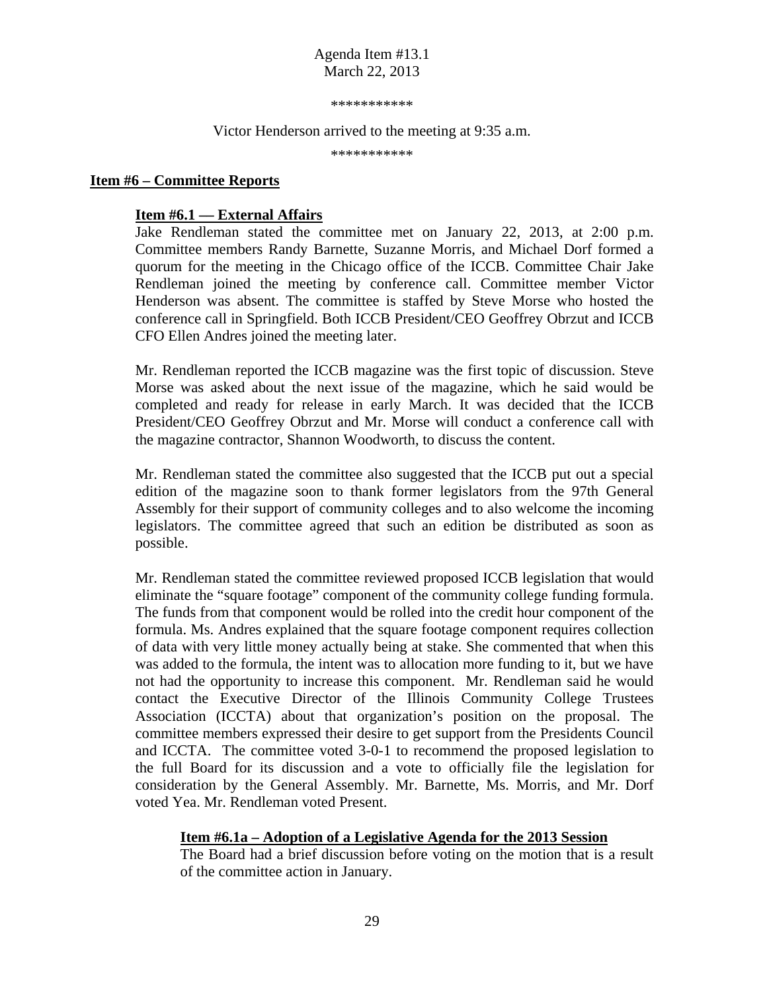\*\*\*\*\*\*\*\*\*\*\*

Victor Henderson arrived to the meeting at 9:35 a.m.

\*\*\*\*\*\*\*\*\*\*\*

#### **Item #6 – Committee Reports**

#### **Item #6.1 –– External Affairs**

Jake Rendleman stated the committee met on January 22, 2013, at 2:00 p.m. Committee members Randy Barnette, Suzanne Morris, and Michael Dorf formed a quorum for the meeting in the Chicago office of the ICCB. Committee Chair Jake Rendleman joined the meeting by conference call. Committee member Victor Henderson was absent. The committee is staffed by Steve Morse who hosted the conference call in Springfield. Both ICCB President/CEO Geoffrey Obrzut and ICCB CFO Ellen Andres joined the meeting later.

Mr. Rendleman reported the ICCB magazine was the first topic of discussion. Steve Morse was asked about the next issue of the magazine, which he said would be completed and ready for release in early March. It was decided that the ICCB President/CEO Geoffrey Obrzut and Mr. Morse will conduct a conference call with the magazine contractor, Shannon Woodworth, to discuss the content.

Mr. Rendleman stated the committee also suggested that the ICCB put out a special edition of the magazine soon to thank former legislators from the 97th General Assembly for their support of community colleges and to also welcome the incoming legislators. The committee agreed that such an edition be distributed as soon as possible.

Mr. Rendleman stated the committee reviewed proposed ICCB legislation that would eliminate the "square footage" component of the community college funding formula. The funds from that component would be rolled into the credit hour component of the formula. Ms. Andres explained that the square footage component requires collection of data with very little money actually being at stake. She commented that when this was added to the formula, the intent was to allocation more funding to it, but we have not had the opportunity to increase this component. Mr. Rendleman said he would contact the Executive Director of the Illinois Community College Trustees Association (ICCTA) about that organization's position on the proposal. The committee members expressed their desire to get support from the Presidents Council and ICCTA. The committee voted 3-0-1 to recommend the proposed legislation to the full Board for its discussion and a vote to officially file the legislation for consideration by the General Assembly. Mr. Barnette, Ms. Morris, and Mr. Dorf voted Yea. Mr. Rendleman voted Present.

#### **Item #6.1a – Adoption of a Legislative Agenda for the 2013 Session**

The Board had a brief discussion before voting on the motion that is a result of the committee action in January.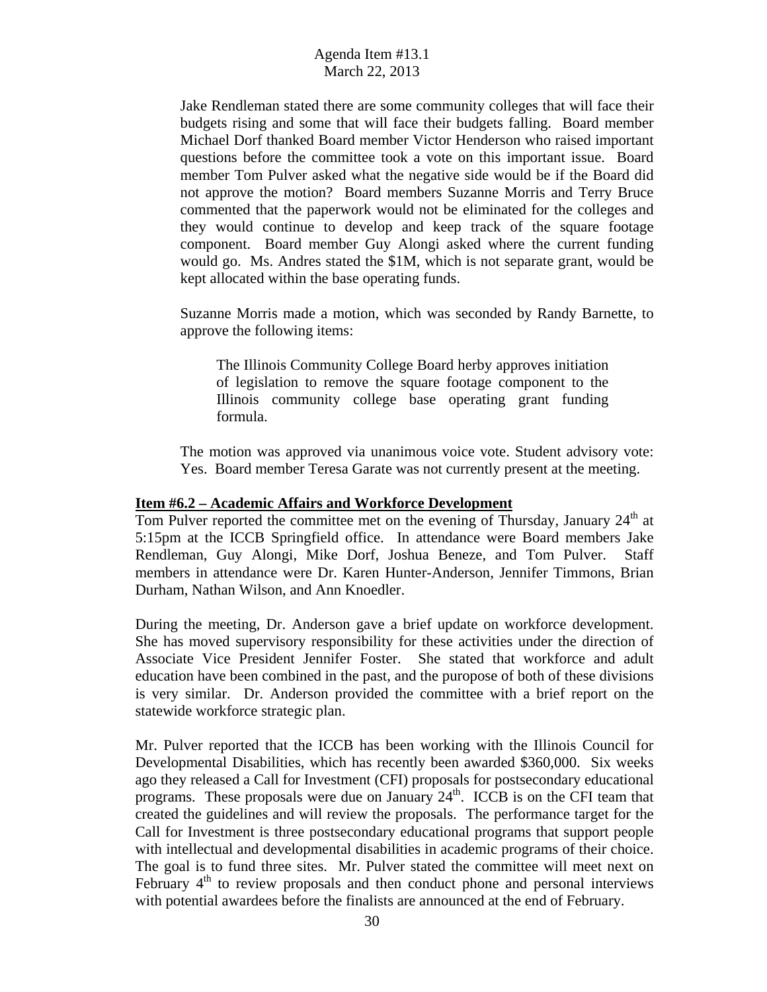Jake Rendleman stated there are some community colleges that will face their budgets rising and some that will face their budgets falling. Board member Michael Dorf thanked Board member Victor Henderson who raised important questions before the committee took a vote on this important issue. Board member Tom Pulver asked what the negative side would be if the Board did not approve the motion? Board members Suzanne Morris and Terry Bruce commented that the paperwork would not be eliminated for the colleges and they would continue to develop and keep track of the square footage component. Board member Guy Alongi asked where the current funding would go. Ms. Andres stated the \$1M, which is not separate grant, would be kept allocated within the base operating funds.

Suzanne Morris made a motion, which was seconded by Randy Barnette, to approve the following items:

The Illinois Community College Board herby approves initiation of legislation to remove the square footage component to the Illinois community college base operating grant funding formula.

The motion was approved via unanimous voice vote. Student advisory vote: Yes. Board member Teresa Garate was not currently present at the meeting.

#### **Item #6.2 – Academic Affairs and Workforce Development**

Tom Pulver reported the committee met on the evening of Thursday, January  $24<sup>th</sup>$  at 5:15pm at the ICCB Springfield office. In attendance were Board members Jake Rendleman, Guy Alongi, Mike Dorf, Joshua Beneze, and Tom Pulver. Staff members in attendance were Dr. Karen Hunter-Anderson, Jennifer Timmons, Brian Durham, Nathan Wilson, and Ann Knoedler.

During the meeting, Dr. Anderson gave a brief update on workforce development. She has moved supervisory responsibility for these activities under the direction of Associate Vice President Jennifer Foster. She stated that workforce and adult education have been combined in the past, and the puropose of both of these divisions is very similar. Dr. Anderson provided the committee with a brief report on the statewide workforce strategic plan.

Mr. Pulver reported that the ICCB has been working with the Illinois Council for Developmental Disabilities, which has recently been awarded \$360,000. Six weeks ago they released a Call for Investment (CFI) proposals for postsecondary educational programs. These proposals were due on January  $24<sup>th</sup>$ . ICCB is on the CFI team that created the guidelines and will review the proposals. The performance target for the Call for Investment is three postsecondary educational programs that support people with intellectual and developmental disabilities in academic programs of their choice. The goal is to fund three sites. Mr. Pulver stated the committee will meet next on February  $4<sup>th</sup>$  to review proposals and then conduct phone and personal interviews with potential awardees before the finalists are announced at the end of February.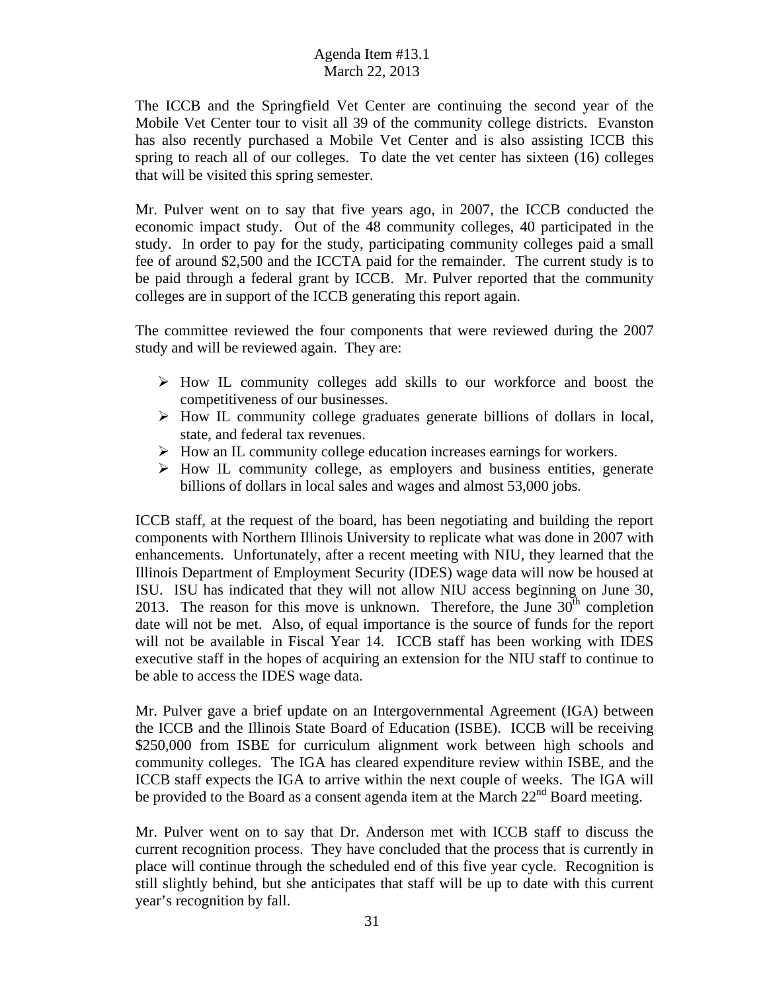The ICCB and the Springfield Vet Center are continuing the second year of the Mobile Vet Center tour to visit all 39 of the community college districts. Evanston has also recently purchased a Mobile Vet Center and is also assisting ICCB this spring to reach all of our colleges. To date the vet center has sixteen (16) colleges that will be visited this spring semester.

Mr. Pulver went on to say that five years ago, in 2007, the ICCB conducted the economic impact study. Out of the 48 community colleges, 40 participated in the study. In order to pay for the study, participating community colleges paid a small fee of around \$2,500 and the ICCTA paid for the remainder. The current study is to be paid through a federal grant by ICCB. Mr. Pulver reported that the community colleges are in support of the ICCB generating this report again.

The committee reviewed the four components that were reviewed during the 2007 study and will be reviewed again. They are:

- $\triangleright$  How IL community colleges add skills to our workforce and boost the competitiveness of our businesses.
- $\triangleright$  How IL community college graduates generate billions of dollars in local, state, and federal tax revenues.
- $\triangleright$  How an IL community college education increases earnings for workers.
- $\triangleright$  How IL community college, as employers and business entities, generate billions of dollars in local sales and wages and almost 53,000 jobs.

ICCB staff, at the request of the board, has been negotiating and building the report components with Northern Illinois University to replicate what was done in 2007 with enhancements. Unfortunately, after a recent meeting with NIU, they learned that the Illinois Department of Employment Security (IDES) wage data will now be housed at ISU. ISU has indicated that they will not allow NIU access beginning on June 30, 2013. The reason for this move is unknown. Therefore, the June  $30<sup>th</sup>$  completion date will not be met. Also, of equal importance is the source of funds for the report will not be available in Fiscal Year 14. ICCB staff has been working with IDES executive staff in the hopes of acquiring an extension for the NIU staff to continue to be able to access the IDES wage data.

Mr. Pulver gave a brief update on an Intergovernmental Agreement (IGA) between the ICCB and the Illinois State Board of Education (ISBE). ICCB will be receiving \$250,000 from ISBE for curriculum alignment work between high schools and community colleges. The IGA has cleared expenditure review within ISBE, and the ICCB staff expects the IGA to arrive within the next couple of weeks. The IGA will be provided to the Board as a consent agenda item at the March  $22<sup>nd</sup>$  Board meeting.

Mr. Pulver went on to say that Dr. Anderson met with ICCB staff to discuss the current recognition process. They have concluded that the process that is currently in place will continue through the scheduled end of this five year cycle. Recognition is still slightly behind, but she anticipates that staff will be up to date with this current year's recognition by fall.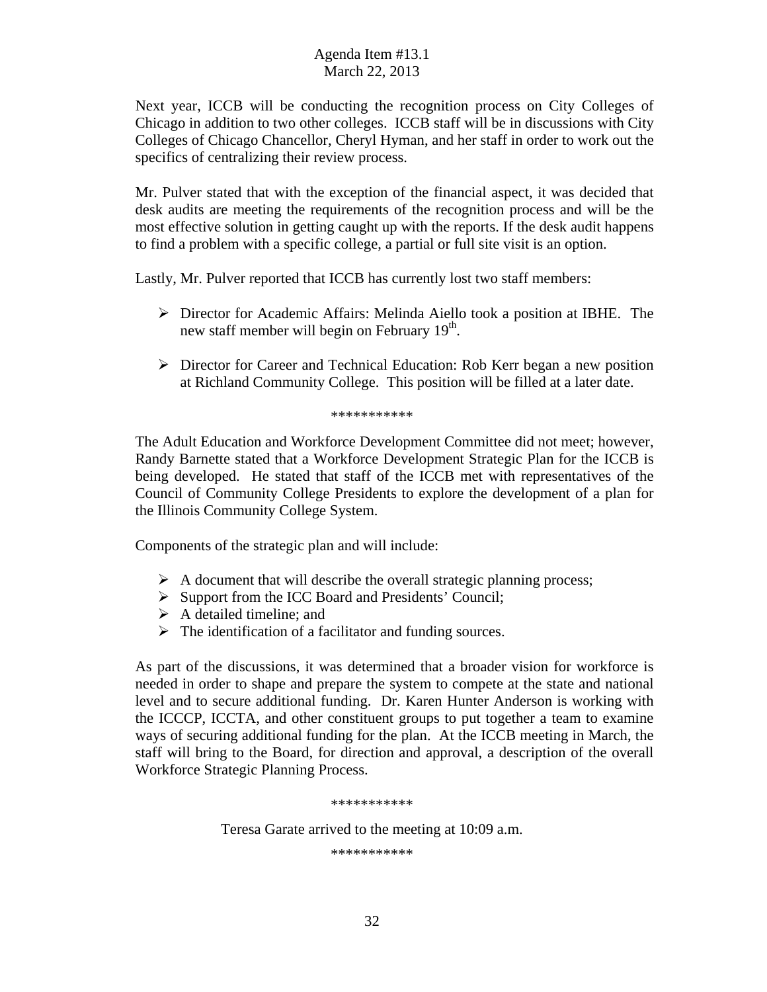Next year, ICCB will be conducting the recognition process on City Colleges of Chicago in addition to two other colleges. ICCB staff will be in discussions with City Colleges of Chicago Chancellor, Cheryl Hyman, and her staff in order to work out the specifics of centralizing their review process.

Mr. Pulver stated that with the exception of the financial aspect, it was decided that desk audits are meeting the requirements of the recognition process and will be the most effective solution in getting caught up with the reports. If the desk audit happens to find a problem with a specific college, a partial or full site visit is an option.

Lastly, Mr. Pulver reported that ICCB has currently lost two staff members:

- $\triangleright$  Director for Academic Affairs: Melinda Aiello took a position at IBHE. The new staff member will begin on February 19<sup>th</sup>.
- Director for Career and Technical Education: Rob Kerr began a new position at Richland Community College. This position will be filled at a later date.

#### \*\*\*\*\*\*\*\*\*\*\*

The Adult Education and Workforce Development Committee did not meet; however, Randy Barnette stated that a Workforce Development Strategic Plan for the ICCB is being developed. He stated that staff of the ICCB met with representatives of the Council of Community College Presidents to explore the development of a plan for the Illinois Community College System.

Components of the strategic plan and will include:

- $\triangleright$  A document that will describe the overall strategic planning process;
- $\triangleright$  Support from the ICC Board and Presidents' Council;
- $\triangleright$  A detailed timeline; and
- $\triangleright$  The identification of a facilitator and funding sources.

As part of the discussions, it was determined that a broader vision for workforce is needed in order to shape and prepare the system to compete at the state and national level and to secure additional funding. Dr. Karen Hunter Anderson is working with the ICCCP, ICCTA, and other constituent groups to put together a team to examine ways of securing additional funding for the plan. At the ICCB meeting in March, the staff will bring to the Board, for direction and approval, a description of the overall Workforce Strategic Planning Process.

\*\*\*\*\*\*\*\*\*\*\*

Teresa Garate arrived to the meeting at 10:09 a.m.

\*\*\*\*\*\*\*\*\*\*\*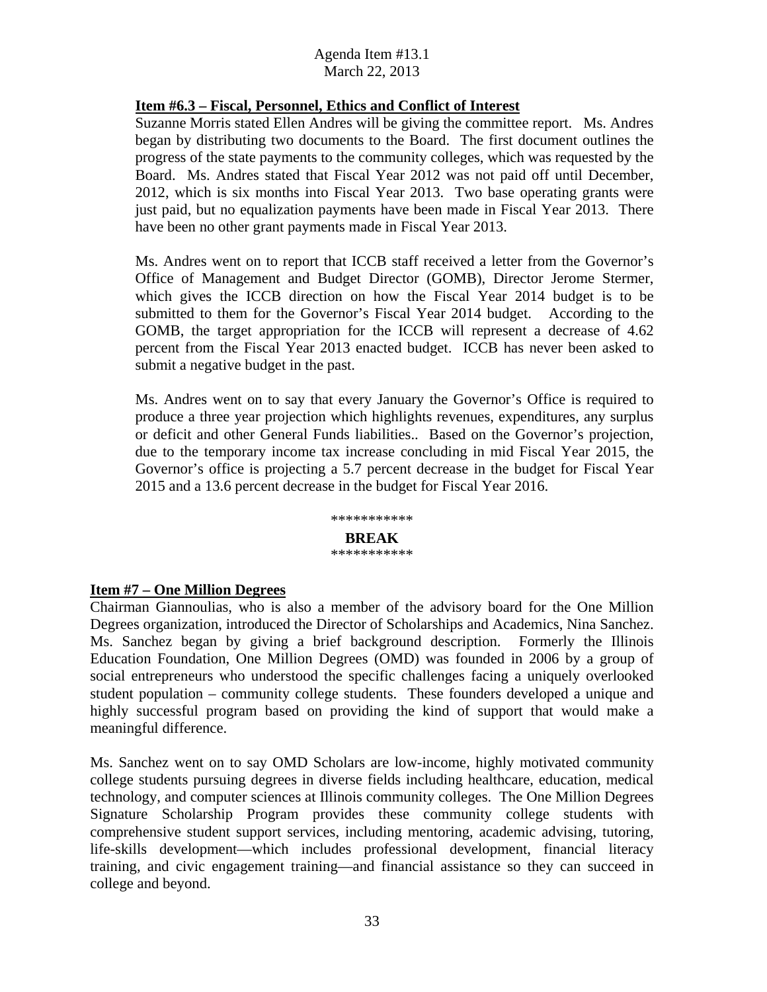### **Item #6.3 – Fiscal, Personnel, Ethics and Conflict of Interest**

Suzanne Morris stated Ellen Andres will be giving the committee report. Ms. Andres began by distributing two documents to the Board. The first document outlines the progress of the state payments to the community colleges, which was requested by the Board. Ms. Andres stated that Fiscal Year 2012 was not paid off until December, 2012, which is six months into Fiscal Year 2013. Two base operating grants were just paid, but no equalization payments have been made in Fiscal Year 2013. There have been no other grant payments made in Fiscal Year 2013.

Ms. Andres went on to report that ICCB staff received a letter from the Governor's Office of Management and Budget Director (GOMB), Director Jerome Stermer, which gives the ICCB direction on how the Fiscal Year 2014 budget is to be submitted to them for the Governor's Fiscal Year 2014 budget. According to the GOMB, the target appropriation for the ICCB will represent a decrease of 4.62 percent from the Fiscal Year 2013 enacted budget. ICCB has never been asked to submit a negative budget in the past.

Ms. Andres went on to say that every January the Governor's Office is required to produce a three year projection which highlights revenues, expenditures, any surplus or deficit and other General Funds liabilities.. Based on the Governor's projection, due to the temporary income tax increase concluding in mid Fiscal Year 2015, the Governor's office is projecting a 5.7 percent decrease in the budget for Fiscal Year 2015 and a 13.6 percent decrease in the budget for Fiscal Year 2016.



#### **Item #7 – One Million Degrees**

Chairman Giannoulias, who is also a member of the advisory board for the One Million Degrees organization, introduced the Director of Scholarships and Academics, Nina Sanchez. Ms. Sanchez began by giving a brief background description. Formerly the Illinois Education Foundation, One Million Degrees (OMD) was founded in 2006 by a group of social entrepreneurs who understood the specific challenges facing a uniquely overlooked student population – community college students. These founders developed a unique and highly successful program based on providing the kind of support that would make a meaningful difference.

Ms. Sanchez went on to say OMD Scholars are low-income, highly motivated community college students pursuing degrees in diverse fields including healthcare, education, medical technology, and computer sciences at Illinois community colleges. The One Million Degrees Signature Scholarship Program provides these community college students with comprehensive student support services, including mentoring, academic advising, tutoring, life-skills development—which includes professional development, financial literacy training, and civic engagement training—and financial assistance so they can succeed in college and beyond.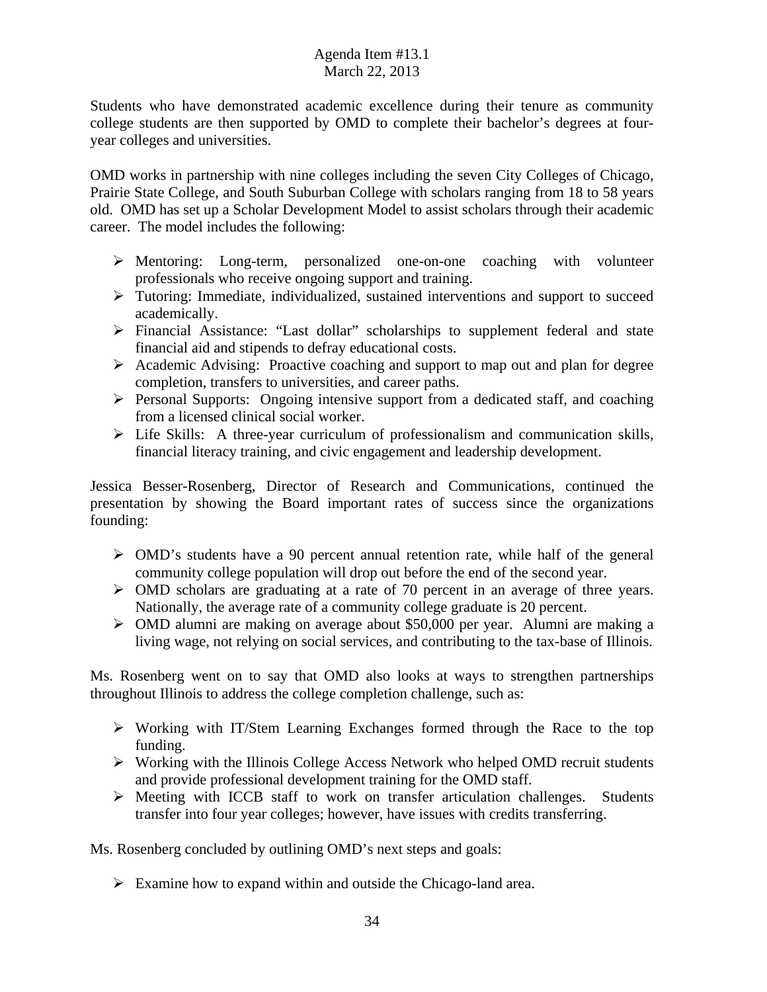Students who have demonstrated academic excellence during their tenure as community college students are then supported by OMD to complete their bachelor's degrees at fouryear colleges and universities.

OMD works in partnership with nine colleges including the seven City Colleges of Chicago, Prairie State College, and South Suburban College with scholars ranging from 18 to 58 years old. OMD has set up a Scholar Development Model to assist scholars through their academic career. The model includes the following:

- Mentoring: Long-term, personalized one-on-one coaching with volunteer professionals who receive ongoing support and training.
- Tutoring: Immediate, individualized, sustained interventions and support to succeed academically.
- Financial Assistance: "Last dollar" scholarships to supplement federal and state financial aid and stipends to defray educational costs.
- $\triangleright$  Academic Advising: Proactive coaching and support to map out and plan for degree completion, transfers to universities, and career paths.
- $\triangleright$  Personal Supports: Ongoing intensive support from a dedicated staff, and coaching from a licensed clinical social worker.
- $\triangleright$  Life Skills: A three-year curriculum of professionalism and communication skills, financial literacy training, and civic engagement and leadership development.

Jessica Besser-Rosenberg, Director of Research and Communications, continued the presentation by showing the Board important rates of success since the organizations founding:

- OMD's students have a 90 percent annual retention rate, while half of the general community college population will drop out before the end of the second year.
- OMD scholars are graduating at a rate of 70 percent in an average of three years. Nationally, the average rate of a community college graduate is 20 percent.
- OMD alumni are making on average about \$50,000 per year. Alumni are making a living wage, not relying on social services, and contributing to the tax-base of Illinois.

Ms. Rosenberg went on to say that OMD also looks at ways to strengthen partnerships throughout Illinois to address the college completion challenge, such as:

- $\triangleright$  Working with IT/Stem Learning Exchanges formed through the Race to the top funding.
- $\triangleright$  Working with the Illinois College Access Network who helped OMD recruit students and provide professional development training for the OMD staff.
- $\triangleright$  Meeting with ICCB staff to work on transfer articulation challenges. Students transfer into four year colleges; however, have issues with credits transferring.

Ms. Rosenberg concluded by outlining OMD's next steps and goals:

 $\triangleright$  Examine how to expand within and outside the Chicago-land area.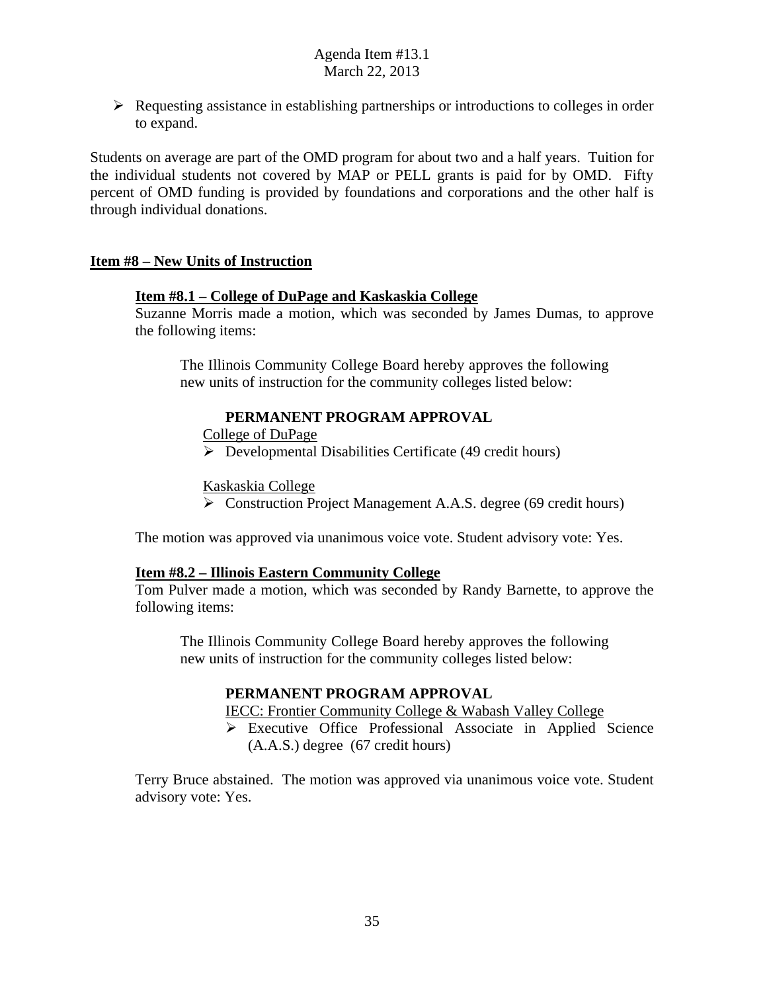$\triangleright$  Requesting assistance in establishing partnerships or introductions to colleges in order to expand.

Students on average are part of the OMD program for about two and a half years. Tuition for the individual students not covered by MAP or PELL grants is paid for by OMD. Fifty percent of OMD funding is provided by foundations and corporations and the other half is through individual donations.

### **Item #8 – New Units of Instruction**

### **Item #8.1 – College of DuPage and Kaskaskia College**

Suzanne Morris made a motion, which was seconded by James Dumas, to approve the following items:

The Illinois Community College Board hereby approves the following new units of instruction for the community colleges listed below:

### **PERMANENT PROGRAM APPROVAL**

College of DuPage

 $\triangleright$  Developmental Disabilities Certificate (49 credit hours)

Kaskaskia College

Construction Project Management A.A.S. degree (69 credit hours)

The motion was approved via unanimous voice vote. Student advisory vote: Yes.

### **Item #8.2 – Illinois Eastern Community College**

Tom Pulver made a motion, which was seconded by Randy Barnette, to approve the following items:

The Illinois Community College Board hereby approves the following new units of instruction for the community colleges listed below:

### **PERMANENT PROGRAM APPROVAL**

IECC: Frontier Community College & Wabash Valley College

 Executive Office Professional Associate in Applied Science (A.A.S.) degree (67 credit hours)

Terry Bruce abstained. The motion was approved via unanimous voice vote. Student advisory vote: Yes.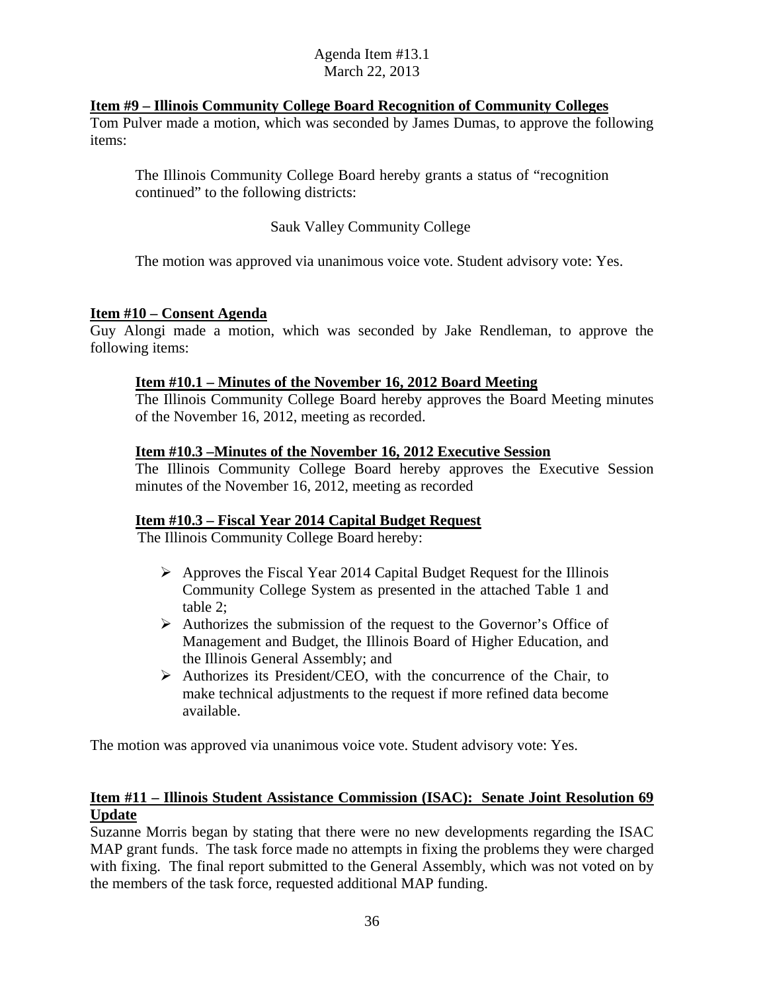### **Item #9 – Illinois Community College Board Recognition of Community Colleges**

Tom Pulver made a motion, which was seconded by James Dumas, to approve the following items:

The Illinois Community College Board hereby grants a status of "recognition continued" to the following districts:

### Sauk Valley Community College

The motion was approved via unanimous voice vote. Student advisory vote: Yes.

### **Item #10 – Consent Agenda**

Guy Alongi made a motion, which was seconded by Jake Rendleman, to approve the following items:

### **Item #10.1 – Minutes of the November 16, 2012 Board Meeting**

The Illinois Community College Board hereby approves the Board Meeting minutes of the November 16, 2012, meeting as recorded.

### **Item #10.3 –Minutes of the November 16, 2012 Executive Session**

The Illinois Community College Board hereby approves the Executive Session minutes of the November 16, 2012, meeting as recorded

### **Item #10.3 – Fiscal Year 2014 Capital Budget Request**

The Illinois Community College Board hereby:

- $\triangleright$  Approves the Fiscal Year 2014 Capital Budget Request for the Illinois Community College System as presented in the attached Table 1 and table 2;
- $\triangleright$  Authorizes the submission of the request to the Governor's Office of Management and Budget, the Illinois Board of Higher Education, and the Illinois General Assembly; and
- $\triangleright$  Authorizes its President/CEO, with the concurrence of the Chair, to make technical adjustments to the request if more refined data become available.

The motion was approved via unanimous voice vote. Student advisory vote: Yes.

### **Item #11 – Illinois Student Assistance Commission (ISAC): Senate Joint Resolution 69 Update**

Suzanne Morris began by stating that there were no new developments regarding the ISAC MAP grant funds. The task force made no attempts in fixing the problems they were charged with fixing. The final report submitted to the General Assembly, which was not voted on by the members of the task force, requested additional MAP funding.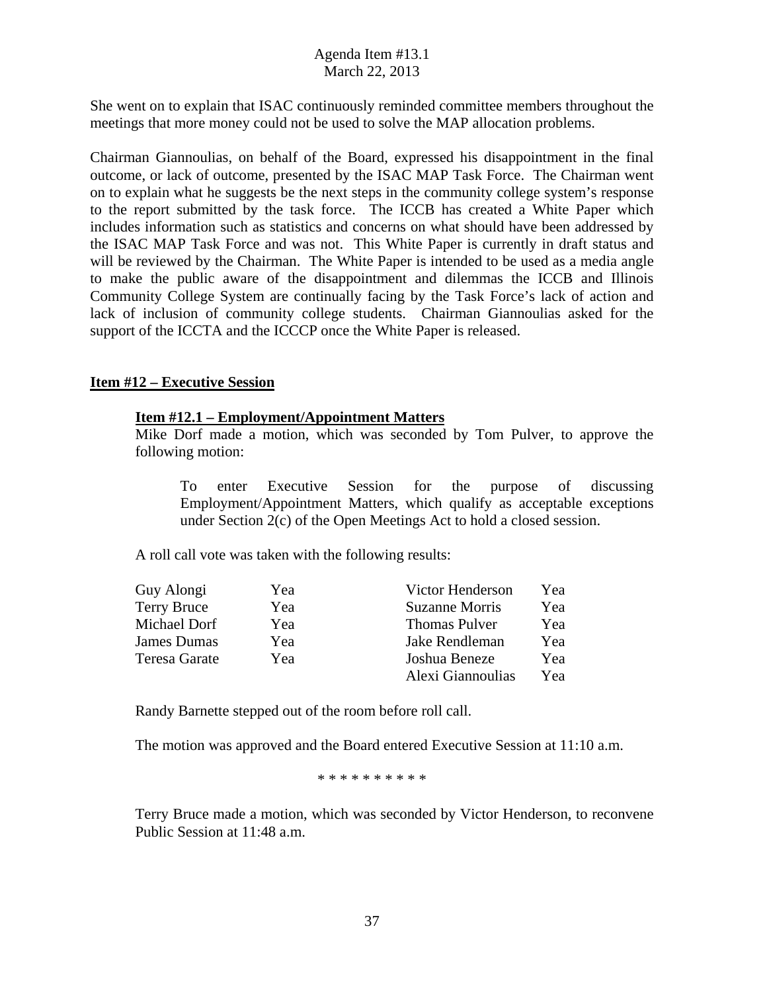She went on to explain that ISAC continuously reminded committee members throughout the meetings that more money could not be used to solve the MAP allocation problems.

Chairman Giannoulias, on behalf of the Board, expressed his disappointment in the final outcome, or lack of outcome, presented by the ISAC MAP Task Force. The Chairman went on to explain what he suggests be the next steps in the community college system's response to the report submitted by the task force. The ICCB has created a White Paper which includes information such as statistics and concerns on what should have been addressed by the ISAC MAP Task Force and was not. This White Paper is currently in draft status and will be reviewed by the Chairman. The White Paper is intended to be used as a media angle to make the public aware of the disappointment and dilemmas the ICCB and Illinois Community College System are continually facing by the Task Force's lack of action and lack of inclusion of community college students. Chairman Giannoulias asked for the support of the ICCTA and the ICCCP once the White Paper is released.

### **Item #12 – Executive Session**

### **Item #12.1 – Employment/Appointment Matters**

Mike Dorf made a motion, which was seconded by Tom Pulver, to approve the following motion:

To enter Executive Session for the purpose of discussing Employment/Appointment Matters, which qualify as acceptable exceptions under Section 2(c) of the Open Meetings Act to hold a closed session.

A roll call vote was taken with the following results:

| Guy Alongi         | Yea | Victor Henderson      | Yea |
|--------------------|-----|-----------------------|-----|
| <b>Terry Bruce</b> | Yea | <b>Suzanne Morris</b> | Yea |
| Michael Dorf       | Yea | <b>Thomas Pulver</b>  | Yea |
| <b>James Dumas</b> | Yea | Jake Rendleman        | Yea |
| Teresa Garate      | Yea | Joshua Beneze         | Yea |
|                    |     | Alexi Giannoulias     | Yea |

Randy Barnette stepped out of the room before roll call.

The motion was approved and the Board entered Executive Session at 11:10 a.m.

\* \* \* \* \* \* \* \* \* \*

Terry Bruce made a motion, which was seconded by Victor Henderson, to reconvene Public Session at 11:48 a.m.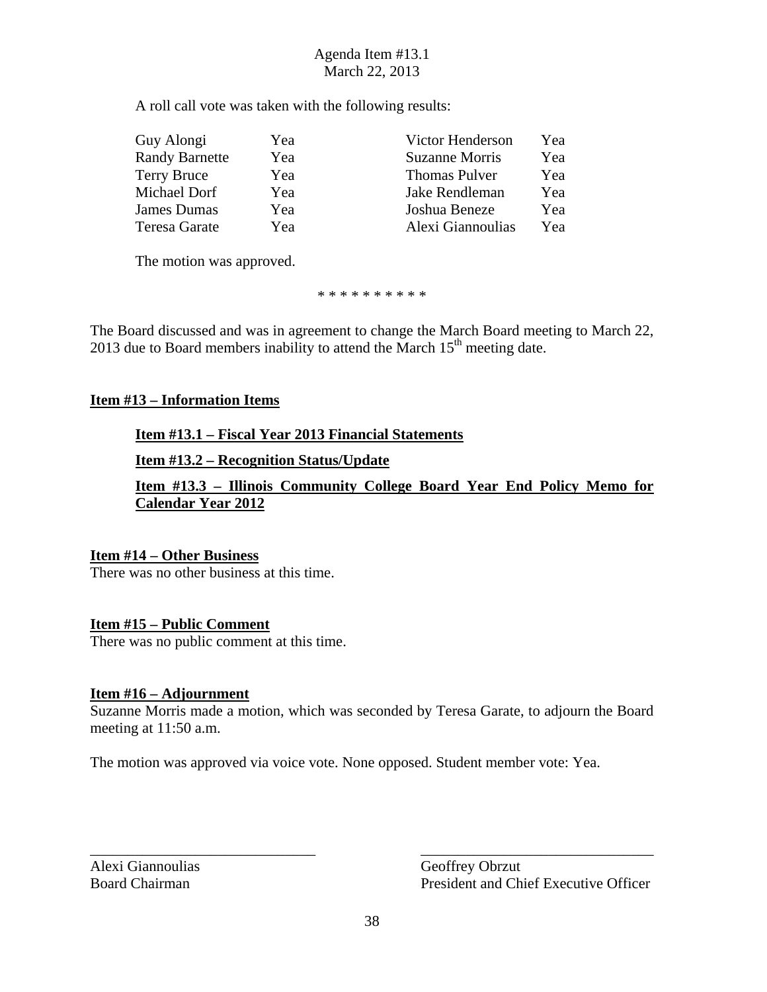A roll call vote was taken with the following results:

| Guy Alongi            | Yea | Victor Henderson      | Yea |
|-----------------------|-----|-----------------------|-----|
| <b>Randy Barnette</b> | Yea | <b>Suzanne Morris</b> | Yea |
| Terry Bruce           | Yea | <b>Thomas Pulver</b>  | Yea |
| Michael Dorf          | Yea | Jake Rendleman        | Yea |
| James Dumas           | Yea | Joshua Beneze         | Yea |
| Teresa Garate         | Yea | Alexi Giannoulias     | Yea |

The motion was approved.

\* \* \* \* \* \* \* \* \* \*

The Board discussed and was in agreement to change the March Board meeting to March 22, 2013 due to Board members inability to attend the March  $15<sup>th</sup>$  meeting date.

### **Item #13 – Information Items**

### **Item #13.1 – Fiscal Year 2013 Financial Statements**

**Item #13.2 – Recognition Status/Update** 

**Item #13.3 – Illinois Community College Board Year End Policy Memo for Calendar Year 2012** 

### **Item #14 – Other Business**

There was no other business at this time.

### **Item #15 – Public Comment**

There was no public comment at this time.

### **Item #16 – Adjournment**

Suzanne Morris made a motion, which was seconded by Teresa Garate, to adjourn the Board meeting at 11:50 a.m.

The motion was approved via voice vote. None opposed. Student member vote: Yea.

Alexi Giannoulias Geoffrey Obrzut

Board Chairman President and Chief Executive Officer

\_\_\_\_\_\_\_\_\_\_\_\_\_\_\_\_\_\_\_\_\_\_\_\_\_\_\_\_\_\_ \_\_\_\_\_\_\_\_\_\_\_\_\_\_\_\_\_\_\_\_\_\_\_\_\_\_\_\_\_\_\_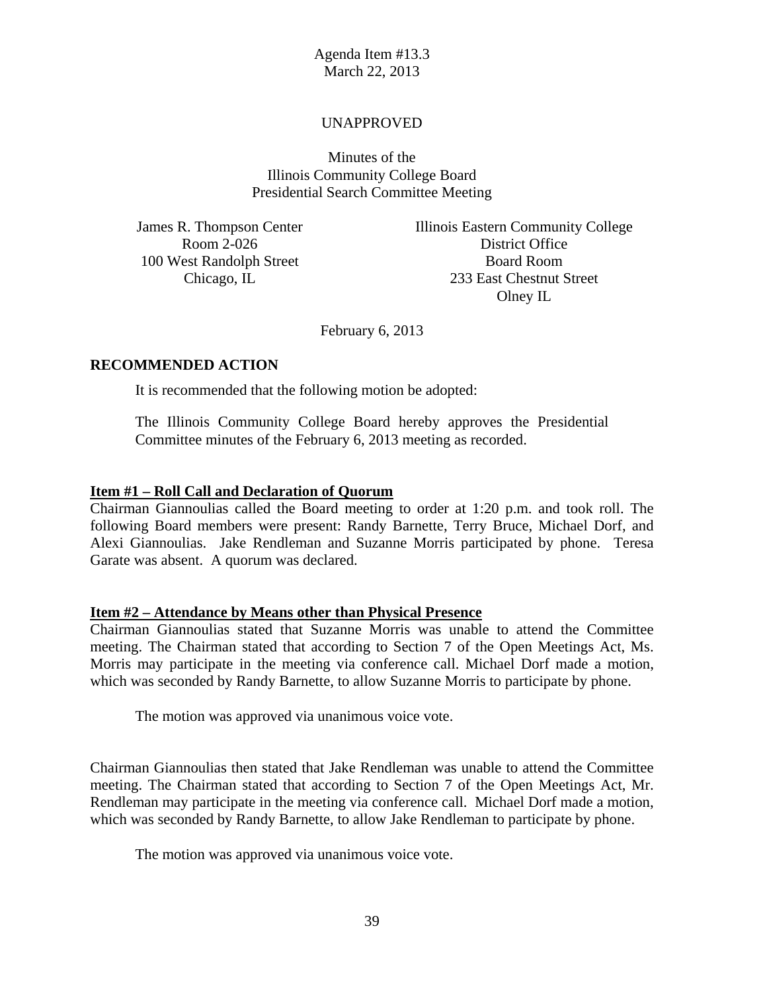### UNAPPROVED

Minutes of the Illinois Community College Board Presidential Search Committee Meeting

100 West Randolph Street Board Room

James R. Thompson Center **Illinois Eastern Community College** Room 2-026 District Office Chicago, IL 233 East Chestnut Street Olney IL

February 6, 2013

### **RECOMMENDED ACTION**

It is recommended that the following motion be adopted:

The Illinois Community College Board hereby approves the Presidential Committee minutes of the February 6, 2013 meeting as recorded.

### **Item #1 – Roll Call and Declaration of Quorum**

Chairman Giannoulias called the Board meeting to order at 1:20 p.m. and took roll. The following Board members were present: Randy Barnette, Terry Bruce, Michael Dorf, and Alexi Giannoulias. Jake Rendleman and Suzanne Morris participated by phone. Teresa Garate was absent. A quorum was declared.

### **Item #2 – Attendance by Means other than Physical Presence**

Chairman Giannoulias stated that Suzanne Morris was unable to attend the Committee meeting. The Chairman stated that according to Section 7 of the Open Meetings Act, Ms. Morris may participate in the meeting via conference call. Michael Dorf made a motion, which was seconded by Randy Barnette, to allow Suzanne Morris to participate by phone.

The motion was approved via unanimous voice vote.

Chairman Giannoulias then stated that Jake Rendleman was unable to attend the Committee meeting. The Chairman stated that according to Section 7 of the Open Meetings Act, Mr. Rendleman may participate in the meeting via conference call. Michael Dorf made a motion, which was seconded by Randy Barnette, to allow Jake Rendleman to participate by phone.

The motion was approved via unanimous voice vote.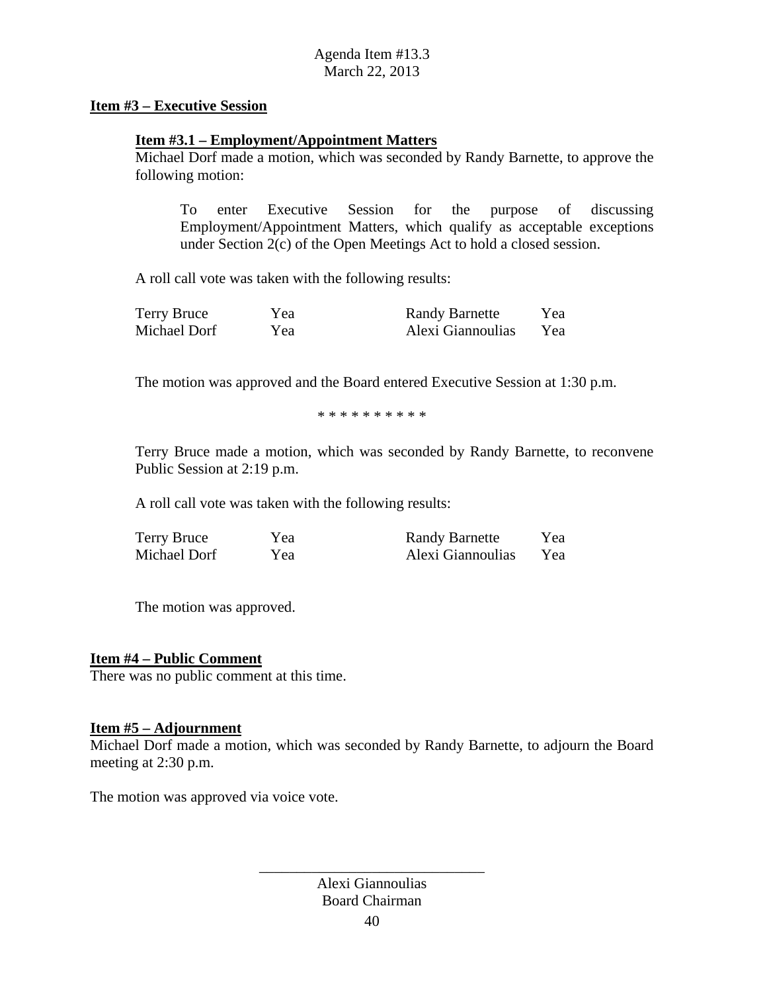### **Item #3 – Executive Session**

### **Item #3.1 – Employment/Appointment Matters**

Michael Dorf made a motion, which was seconded by Randy Barnette, to approve the following motion:

To enter Executive Session for the purpose of discussing Employment/Appointment Matters, which qualify as acceptable exceptions under Section 2(c) of the Open Meetings Act to hold a closed session.

A roll call vote was taken with the following results:

| Terry Bruce  | Yea | <b>Randy Barnette</b> | Yea |
|--------------|-----|-----------------------|-----|
| Michael Dorf | Yea | Alexi Giannoulias     | Yea |

The motion was approved and the Board entered Executive Session at 1:30 p.m.

\* \* \* \* \* \* \* \* \* \*

Terry Bruce made a motion, which was seconded by Randy Barnette, to reconvene Public Session at 2:19 p.m.

A roll call vote was taken with the following results:

| Terry Bruce  | Yea | <b>Randy Barnette</b> | Yea |
|--------------|-----|-----------------------|-----|
| Michael Dorf | Yea | Alexi Giannoulias     | Yea |

The motion was approved.

### **Item #4 – Public Comment**

There was no public comment at this time.

### **Item #5 – Adjournment**

Michael Dorf made a motion, which was seconded by Randy Barnette, to adjourn the Board meeting at 2:30 p.m.

The motion was approved via voice vote.

Alexi Giannoulias Board Chairman

\_\_\_\_\_\_\_\_\_\_\_\_\_\_\_\_\_\_\_\_\_\_\_\_\_\_\_\_\_\_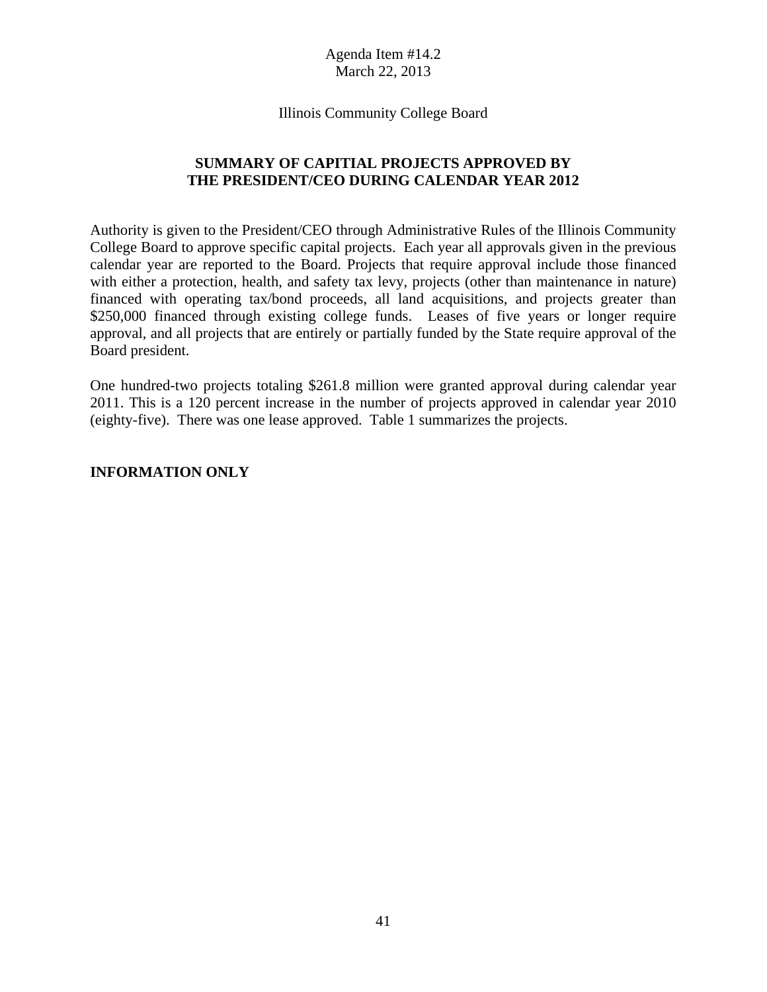Illinois Community College Board

### **SUMMARY OF CAPITIAL PROJECTS APPROVED BY THE PRESIDENT/CEO DURING CALENDAR YEAR 2012**

Authority is given to the President/CEO through Administrative Rules of the Illinois Community College Board to approve specific capital projects. Each year all approvals given in the previous calendar year are reported to the Board. Projects that require approval include those financed with either a protection, health, and safety tax levy, projects (other than maintenance in nature) financed with operating tax/bond proceeds, all land acquisitions, and projects greater than \$250,000 financed through existing college funds. Leases of five years or longer require approval, and all projects that are entirely or partially funded by the State require approval of the Board president.

One hundred-two projects totaling \$261.8 million were granted approval during calendar year 2011. This is a 120 percent increase in the number of projects approved in calendar year 2010 (eighty-five). There was one lease approved. Table 1 summarizes the projects.

### **INFORMATION ONLY**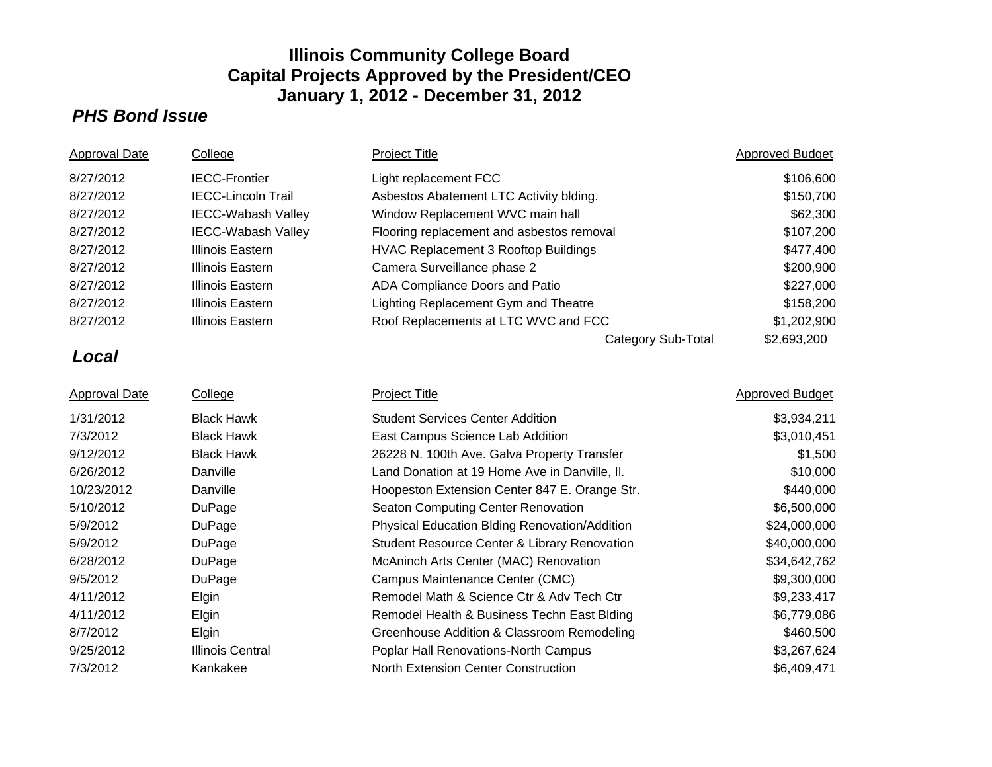### *PHS Bond Issue*

| <b>Approval Date</b> | College                   | <b>Project Title</b>                          | <b>Approved Budget</b> |
|----------------------|---------------------------|-----------------------------------------------|------------------------|
| 8/27/2012            | <b>IECC-Frontier</b>      | Light replacement FCC                         | \$106,600              |
| 8/27/2012            | <b>IECC-Lincoln Trail</b> | Asbestos Abatement LTC Activity blding.       | \$150,700              |
| 8/27/2012            | <b>IECC-Wabash Valley</b> | Window Replacement WVC main hall              | \$62,300               |
| 8/27/2012            | <b>IECC-Wabash Valley</b> | Flooring replacement and asbestos removal     | \$107,200              |
| 8/27/2012            | <b>Illinois Eastern</b>   | <b>HVAC Replacement 3 Rooftop Buildings</b>   | \$477,400              |
| 8/27/2012            | <b>Illinois Eastern</b>   | Camera Surveillance phase 2                   | \$200,900              |
| 8/27/2012            | <b>Illinois Eastern</b>   | ADA Compliance Doors and Patio                | \$227,000              |
| 8/27/2012            | <b>Illinois Eastern</b>   | Lighting Replacement Gym and Theatre          | \$158,200              |
| 8/27/2012            | <b>Illinois Eastern</b>   | Roof Replacements at LTC WVC and FCC          | \$1,202,900            |
|                      |                           | <b>Category Sub-Total</b>                     | \$2,693,200            |
| Local                |                           |                                               |                        |
| <b>Approval Date</b> | College                   | <b>Project Title</b>                          | <b>Approved Budget</b> |
| 1/31/2012            | <b>Black Hawk</b>         | <b>Student Services Center Addition</b>       | \$3,934,211            |
| 7/3/2012             | <b>Black Hawk</b>         | East Campus Science Lab Addition              | \$3,010,451            |
| 9/12/2012            | <b>Black Hawk</b>         | 26228 N. 100th Ave. Galva Property Transfer   | \$1,500                |
| 6/26/2012            | Danville                  | Land Donation at 19 Home Ave in Danville, II. | \$10,000               |
| 10/23/2012           | Danville                  | Hoopeston Extension Center 847 E. Orange Str. | \$440,000              |
| 5/10/2012            | DuPage                    | Seaton Computing Center Renovation            | \$6,500,000            |
| 5/9/2012             | DuPage                    | Physical Education Blding Renovation/Addition | \$24,000,000           |
| 5/9/2012             | DuPage                    | Student Resource Center & Library Renovation  | \$40,000,000           |
| 6/28/2012            | DuPage                    | McAninch Arts Center (MAC) Renovation         | \$34,642,762           |
| 9/5/2012             | DuPage                    | Campus Maintenance Center (CMC)               | \$9,300,000            |
| 4/11/2012            | Elgin                     | Remodel Math & Science Ctr & Adv Tech Ctr     | \$9,233,417            |
| 4/11/2012            | Elgin                     | Remodel Health & Business Techn East Blding   | \$6,779,086            |
| 8/7/2012             | Elgin                     | Greenhouse Addition & Classroom Remodeling    | \$460,500              |
| 9/25/2012            | <b>Illinois Central</b>   | Poplar Hall Renovations-North Campus          | \$3,267,624            |
| 7/3/2012             | Kankakee                  | North Extension Center Construction           | \$6,409,471            |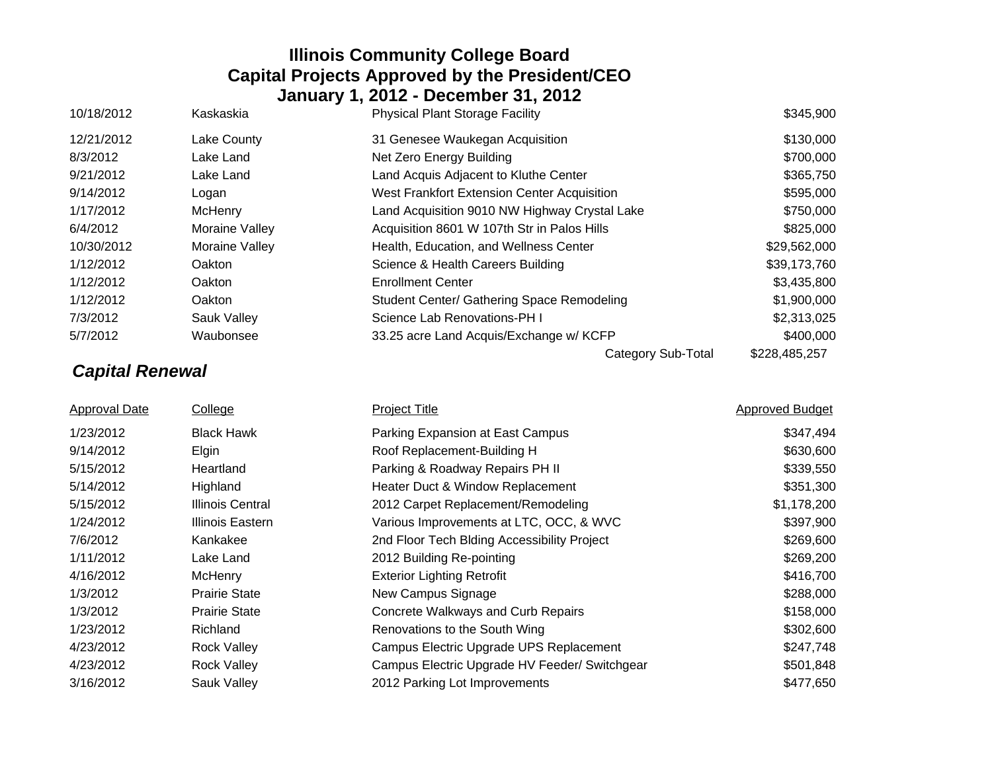| 10/18/2012 | Kaskaskia      | <b>Physical Plant Storage Facility</b>        | \$345,900     |
|------------|----------------|-----------------------------------------------|---------------|
| 12/21/2012 | Lake County    | 31 Genesee Waukegan Acquisition               | \$130,000     |
| 8/3/2012   | Lake Land      | Net Zero Energy Building                      | \$700,000     |
| 9/21/2012  | Lake Land      | Land Acquis Adjacent to Kluthe Center         | \$365,750     |
| 9/14/2012  | Logan          | West Frankfort Extension Center Acquisition   | \$595,000     |
| 1/17/2012  | McHenry        | Land Acquisition 9010 NW Highway Crystal Lake | \$750,000     |
| 6/4/2012   | Moraine Valley | Acquisition 8601 W 107th Str in Palos Hills   | \$825,000     |
| 10/30/2012 | Moraine Valley | Health, Education, and Wellness Center        | \$29,562,000  |
| 1/12/2012  | <b>Oakton</b>  | Science & Health Careers Building             | \$39,173,760  |
| 1/12/2012  | Oakton         | <b>Enrollment Center</b>                      | \$3,435,800   |
| 1/12/2012  | <b>Oakton</b>  | Student Center/ Gathering Space Remodeling    | \$1,900,000   |
| 7/3/2012   | Sauk Valley    | Science Lab Renovations-PH I                  | \$2,313,025   |
| 5/7/2012   | Waubonsee      | 33.25 acre Land Acquis/Exchange w/ KCFP       | \$400,000     |
|            |                | Category Sub-Total                            | \$228,485,257 |

# *Capital Renewal*

Approval Date College College Project Title College Research Approved Budget 1/23/2012 Black Hawk **Parking Expansion at East Campus 1/23/2012** S347,494 9/14/2012 Elgin Elgin Roof Replacement-Building H \$630,600 5/15/2012 Heartland Parking & Roadway Repairs PH II \$339,550 5/14/2012 Highland Heater Duct & Window Replacement \$351,300 5/15/2012 Illinois Central 2012 Carpet Replacement/Remodeling \$1,178,200 1/24/2012 Illinois Eastern Various Improvements at LTC, OCC, & WVC \$397,900 7/6/2012 Kankakee 2nd Floor Tech Blding Accessibility Project \$269,600 1/11/2012 Lake Land 2012 Building Re-pointing 2012 Building Research 2012 Building Research 2012 Building S269,200 4/16/2012 McHenry **Exterior Lighting Retrofit** McAustic Automobile \$416,700 1/3/2012 Prairie State New Campus Signage **1/3/2012** Prairie State State New Campus Signage 1/3/2012 Prairie State Concrete Walkways and Curb Repairs \$158,000 1/23/2012 Richland Renovations to the South Wing \$302,600 4/23/2012 Rock Valley Campus Electric Upgrade UPS Replacement \$247,748 4/23/2012 Rock Valley Campus Electric Upgrade HV Feeder/ Switchgear \$501,848 3/16/2012 Sauk Valley 2012 Parking Lot Improvements \$477,650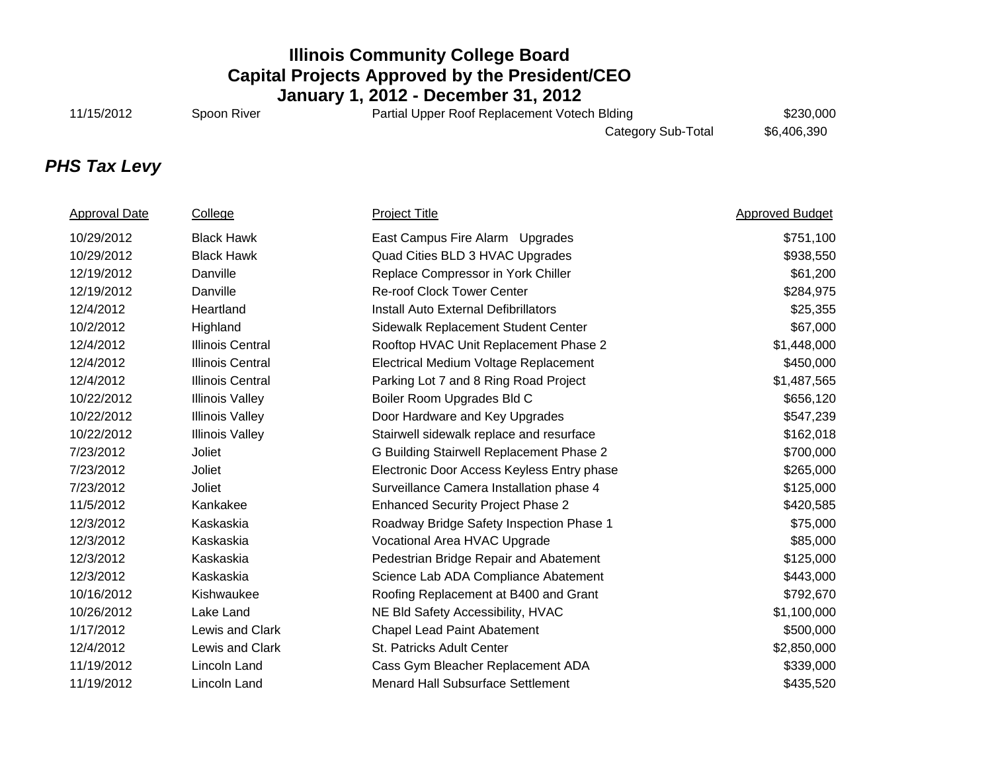11/15/2012 Spoon River **Subset Contract Partial Upper Roof Replacement Votech Blding** \$230,000

Category Sub-Total \$6,406,390

# *PHS Tax Levy*

| <b>Approval Date</b> | College                 | <b>Project Title</b>                       | <b>Approved Budget</b> |
|----------------------|-------------------------|--------------------------------------------|------------------------|
| 10/29/2012           | <b>Black Hawk</b>       | East Campus Fire Alarm Upgrades            | \$751,100              |
| 10/29/2012           | <b>Black Hawk</b>       | Quad Cities BLD 3 HVAC Upgrades            | \$938,550              |
| 12/19/2012           | Danville                | Replace Compressor in York Chiller         | \$61,200               |
| 12/19/2012           | Danville                | <b>Re-roof Clock Tower Center</b>          | \$284,975              |
| 12/4/2012            | Heartland               | Install Auto External Defibrillators       | \$25,355               |
| 10/2/2012            | Highland                | Sidewalk Replacement Student Center        | \$67,000               |
| 12/4/2012            | <b>Illinois Central</b> | Rooftop HVAC Unit Replacement Phase 2      | \$1,448,000            |
| 12/4/2012            | <b>Illinois Central</b> | Electrical Medium Voltage Replacement      | \$450,000              |
| 12/4/2012            | <b>Illinois Central</b> | Parking Lot 7 and 8 Ring Road Project      | \$1,487,565            |
| 10/22/2012           | <b>Illinois Valley</b>  | Boiler Room Upgrades Bld C                 | \$656,120              |
| 10/22/2012           | <b>Illinois Valley</b>  | Door Hardware and Key Upgrades             | \$547,239              |
| 10/22/2012           | <b>Illinois Valley</b>  | Stairwell sidewalk replace and resurface   | \$162,018              |
| 7/23/2012            | Joliet                  | G Building Stairwell Replacement Phase 2   | \$700,000              |
| 7/23/2012            | Joliet                  | Electronic Door Access Keyless Entry phase | \$265,000              |
| 7/23/2012            | Joliet                  | Surveillance Camera Installation phase 4   | \$125,000              |
| 11/5/2012            | Kankakee                | <b>Enhanced Security Project Phase 2</b>   | \$420,585              |
| 12/3/2012            | Kaskaskia               | Roadway Bridge Safety Inspection Phase 1   | \$75,000               |
| 12/3/2012            | Kaskaskia               | Vocational Area HVAC Upgrade               | \$85,000               |
| 12/3/2012            | Kaskaskia               | Pedestrian Bridge Repair and Abatement     | \$125,000              |
| 12/3/2012            | Kaskaskia               | Science Lab ADA Compliance Abatement       | \$443,000              |
| 10/16/2012           | Kishwaukee              | Roofing Replacement at B400 and Grant      | \$792,670              |
| 10/26/2012           | Lake Land               | NE Bld Safety Accessibility, HVAC          | \$1,100,000            |
| 1/17/2012            | Lewis and Clark         | <b>Chapel Lead Paint Abatement</b>         | \$500,000              |
| 12/4/2012            | Lewis and Clark         | St. Patricks Adult Center                  | \$2,850,000            |
| 11/19/2012           | Lincoln Land            | Cass Gym Bleacher Replacement ADA          | \$339,000              |
| 11/19/2012           | Lincoln Land            | <b>Menard Hall Subsurface Settlement</b>   | \$435,520              |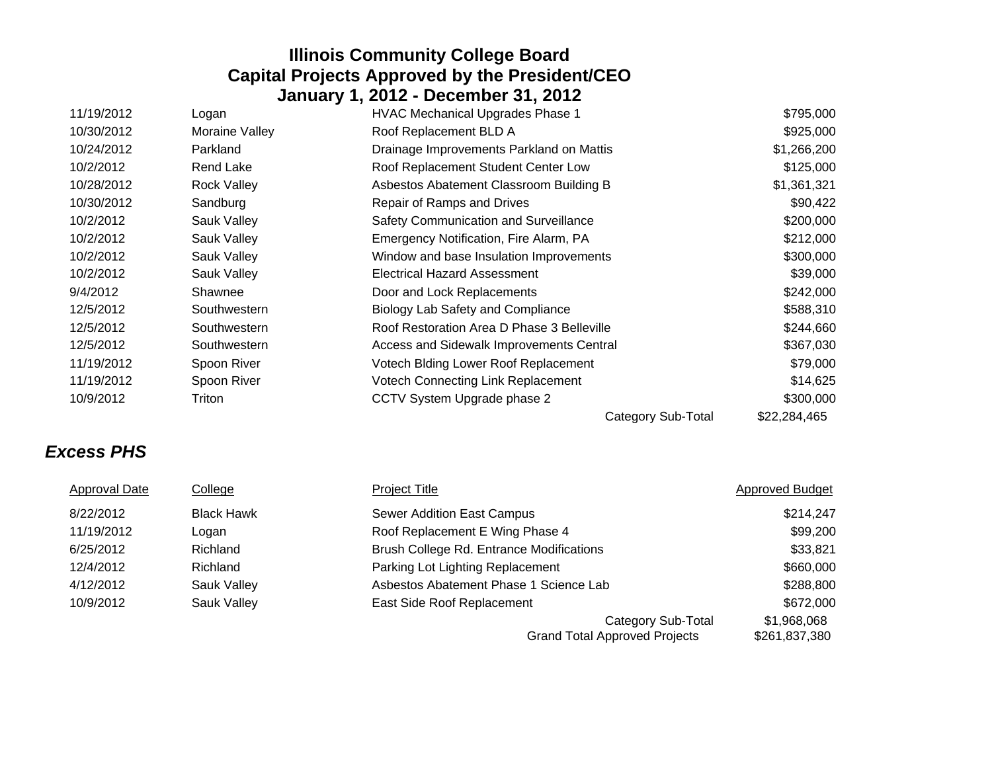| 11/19/2012 | Logan              | <b>HVAC Mechanical Upgrades Phase 1</b>    | \$795,000    |
|------------|--------------------|--------------------------------------------|--------------|
| 10/30/2012 | Moraine Valley     | Roof Replacement BLD A                     | \$925,000    |
| 10/24/2012 | Parkland           | Drainage Improvements Parkland on Mattis   | \$1,266,200  |
| 10/2/2012  | Rend Lake          | Roof Replacement Student Center Low        | \$125,000    |
| 10/28/2012 | <b>Rock Valley</b> | Asbestos Abatement Classroom Building B    | \$1,361,321  |
| 10/30/2012 | Sandburg           | Repair of Ramps and Drives                 | \$90,422     |
| 10/2/2012  | Sauk Valley        | Safety Communication and Surveillance      | \$200,000    |
| 10/2/2012  | Sauk Valley        | Emergency Notification, Fire Alarm, PA     | \$212,000    |
| 10/2/2012  | Sauk Valley        | Window and base Insulation Improvements    | \$300,000    |
| 10/2/2012  | Sauk Valley        | <b>Electrical Hazard Assessment</b>        | \$39,000     |
| 9/4/2012   | Shawnee            | Door and Lock Replacements                 | \$242,000    |
| 12/5/2012  | Southwestern       | Biology Lab Safety and Compliance          | \$588,310    |
| 12/5/2012  | Southwestern       | Roof Restoration Area D Phase 3 Belleville | \$244,660    |
| 12/5/2012  | Southwestern       | Access and Sidewalk Improvements Central   | \$367,030    |
| 11/19/2012 | Spoon River        | Votech Biding Lower Roof Replacement       | \$79,000     |
| 11/19/2012 | Spoon River        | Votech Connecting Link Replacement         | \$14,625     |
| 10/9/2012  | Triton             | CCTV System Upgrade phase 2                | \$300,000    |
|            |                    | Category Sub-Total                         | \$22,284,465 |

# *Excess PHS*

| <b>Approval Date</b> | College           | <b>Project Title</b>                                              | <b>Approved Budget</b>       |
|----------------------|-------------------|-------------------------------------------------------------------|------------------------------|
| 8/22/2012            | <b>Black Hawk</b> | <b>Sewer Addition East Campus</b>                                 | \$214,247                    |
| 11/19/2012           | Logan             | Roof Replacement E Wing Phase 4                                   | \$99,200                     |
| 6/25/2012            | Richland          | Brush College Rd. Entrance Modifications                          | \$33,821                     |
| 12/4/2012            | Richland          | Parking Lot Lighting Replacement                                  | \$660,000                    |
| 4/12/2012            | Sauk Valley       | Asbestos Abatement Phase 1 Science Lab                            | \$288,800                    |
| 10/9/2012            | Sauk Valley       | East Side Roof Replacement                                        | \$672,000                    |
|                      |                   | <b>Category Sub-Total</b><br><b>Grand Total Approved Projects</b> | \$1,968,068<br>\$261,837,380 |
|                      |                   |                                                                   |                              |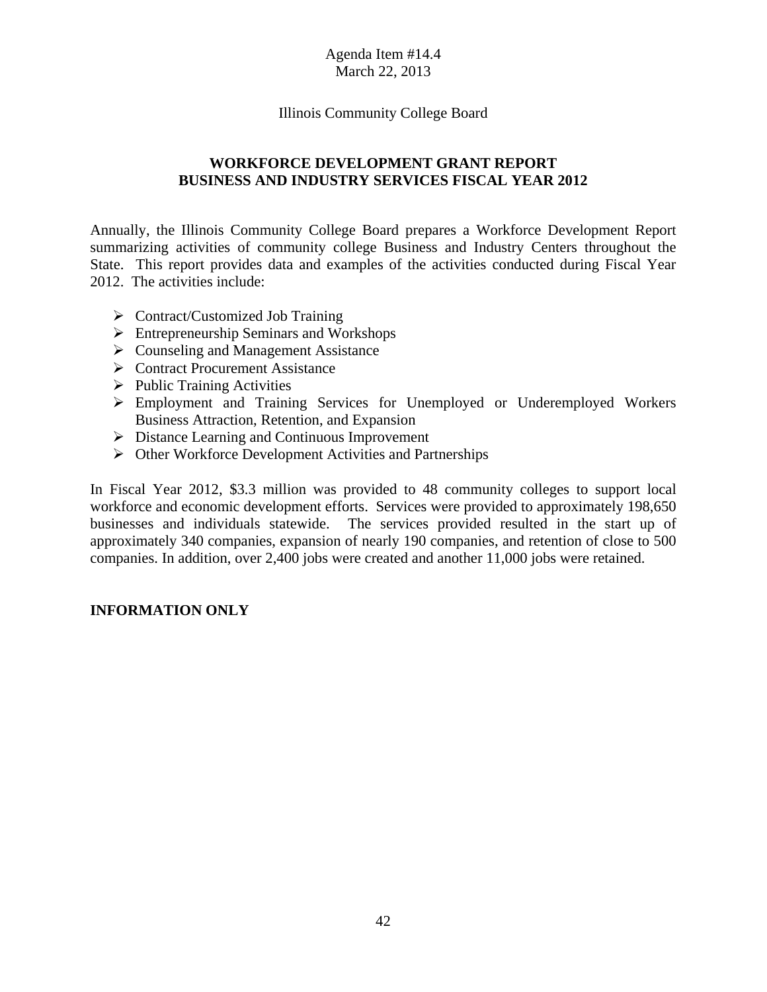### Illinois Community College Board

### **WORKFORCE DEVELOPMENT GRANT REPORT BUSINESS AND INDUSTRY SERVICES FISCAL YEAR 2012**

Annually, the Illinois Community College Board prepares a Workforce Development Report summarizing activities of community college Business and Industry Centers throughout the State. This report provides data and examples of the activities conducted during Fiscal Year 2012. The activities include:

- $\triangleright$  Contract/Customized Job Training
- Entrepreneurship Seminars and Workshops
- $\triangleright$  Counseling and Management Assistance
- **►** Contract Procurement Assistance
- $\triangleright$  Public Training Activities
- Employment and Training Services for Unemployed or Underemployed Workers Business Attraction, Retention, and Expansion
- $\triangleright$  Distance Learning and Continuous Improvement
- $\triangleright$  Other Workforce Development Activities and Partnerships

In Fiscal Year 2012, \$3.3 million was provided to 48 community colleges to support local workforce and economic development efforts. Services were provided to approximately 198,650 businesses and individuals statewide. The services provided resulted in the start up of approximately 340 companies, expansion of nearly 190 companies, and retention of close to 500 companies. In addition, over 2,400 jobs were created and another 11,000 jobs were retained.

### **INFORMATION ONLY**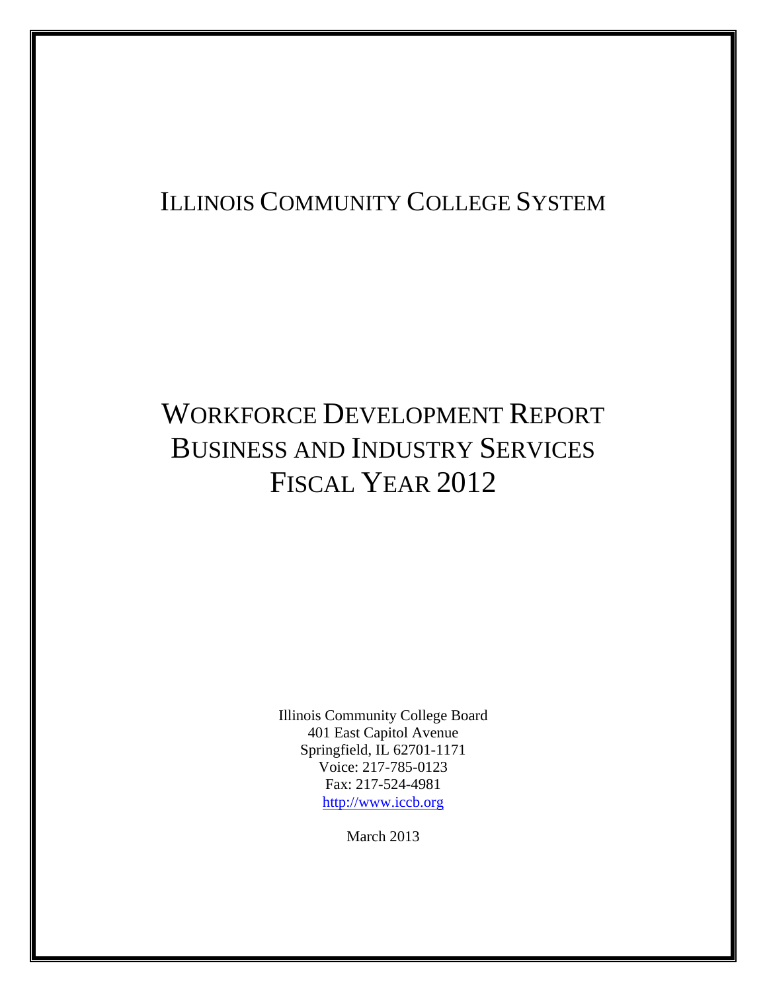# ILLINOIS COMMUNITY COLLEGE SYSTEM

# WORKFORCE DEVELOPMENT REPORT BUSINESS AND INDUSTRY SERVICES FISCAL YEAR 2012

Illinois Community College Board 401 East Capitol Avenue Springfield, IL 62701-1171 Voice: 217-785-0123 Fax: 217-524-4981 http://www.iccb.org

March 2013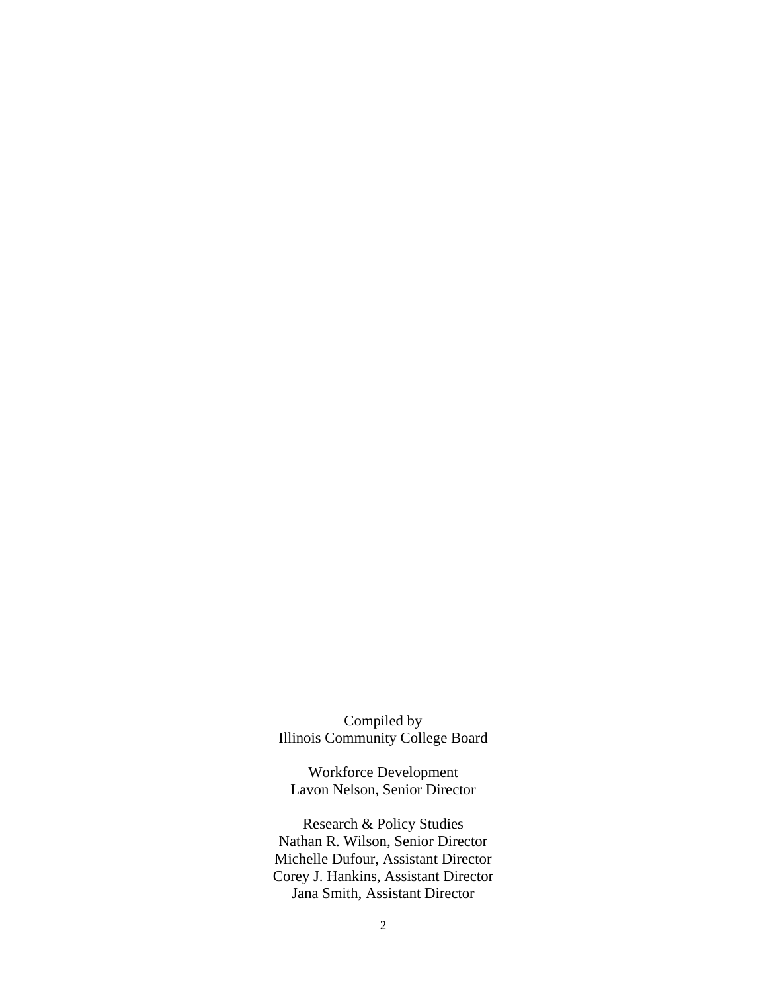Compiled by Illinois Community College Board

Workforce Development Lavon Nelson, Senior Director

Research & Policy Studies Nathan R. Wilson, Senior Director Michelle Dufour, Assistant Director Corey J. Hankins, Assistant Director Jana Smith, Assistant Director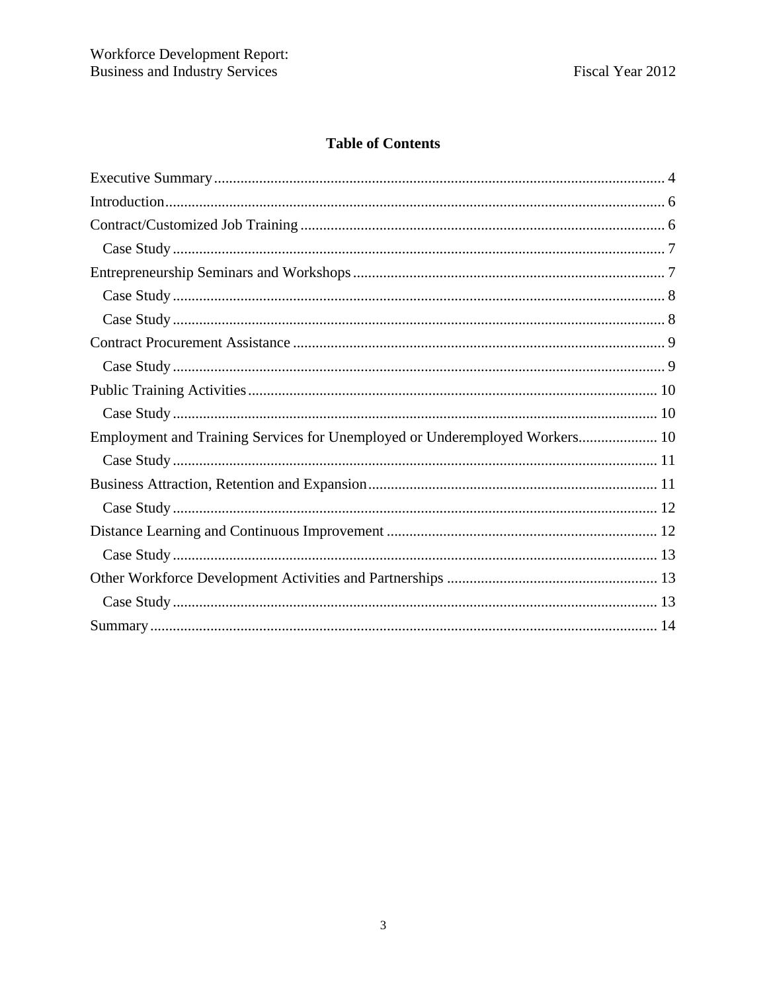### **Table of Contents**

| Employment and Training Services for Unemployed or Underemployed Workers 10 |
|-----------------------------------------------------------------------------|
|                                                                             |
|                                                                             |
|                                                                             |
|                                                                             |
|                                                                             |
|                                                                             |
|                                                                             |
|                                                                             |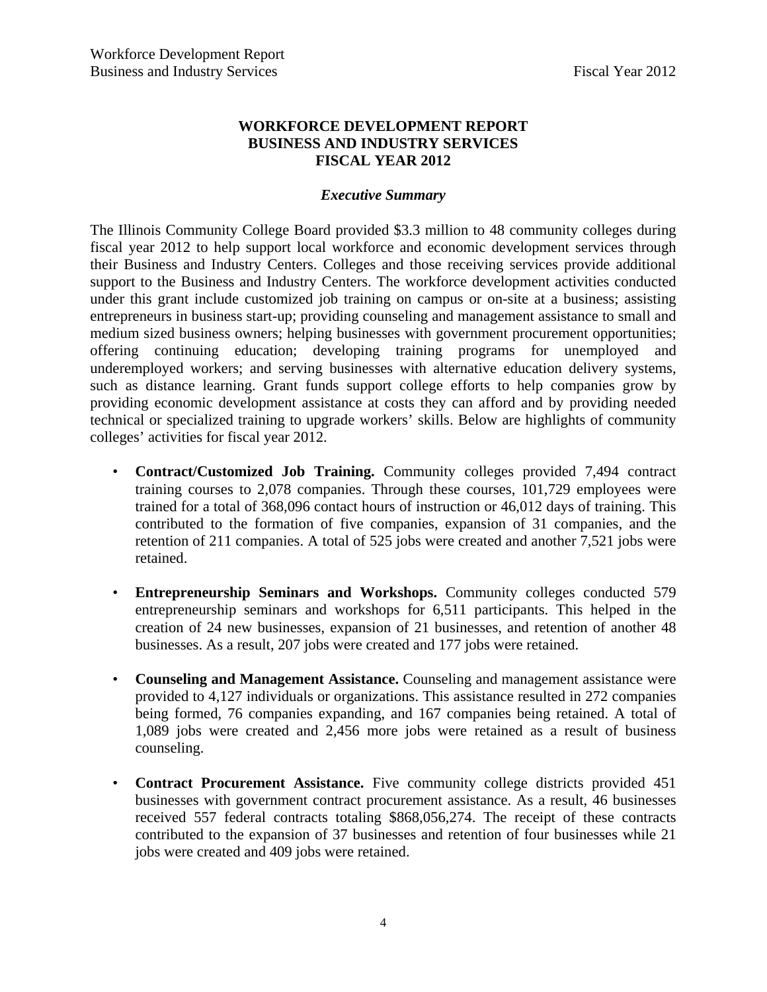### **WORKFORCE DEVELOPMENT REPORT BUSINESS AND INDUSTRY SERVICES FISCAL YEAR 2012**

### *Executive Summary*

The Illinois Community College Board provided \$3.3 million to 48 community colleges during fiscal year 2012 to help support local workforce and economic development services through their Business and Industry Centers. Colleges and those receiving services provide additional support to the Business and Industry Centers. The workforce development activities conducted under this grant include customized job training on campus or on-site at a business; assisting entrepreneurs in business start-up; providing counseling and management assistance to small and medium sized business owners; helping businesses with government procurement opportunities; offering continuing education; developing training programs for unemployed and underemployed workers; and serving businesses with alternative education delivery systems, such as distance learning. Grant funds support college efforts to help companies grow by providing economic development assistance at costs they can afford and by providing needed technical or specialized training to upgrade workers' skills. Below are highlights of community colleges' activities for fiscal year 2012.

- **Contract/Customized Job Training.** Community colleges provided 7,494 contract training courses to 2,078 companies. Through these courses, 101,729 employees were trained for a total of 368,096 contact hours of instruction or 46,012 days of training. This contributed to the formation of five companies, expansion of 31 companies, and the retention of 211 companies. A total of 525 jobs were created and another 7,521 jobs were retained.
- **Entrepreneurship Seminars and Workshops.** Community colleges conducted 579 entrepreneurship seminars and workshops for 6,511 participants. This helped in the creation of 24 new businesses, expansion of 21 businesses, and retention of another 48 businesses. As a result, 207 jobs were created and 177 jobs were retained.
- **Counseling and Management Assistance.** Counseling and management assistance were provided to 4,127 individuals or organizations. This assistance resulted in 272 companies being formed, 76 companies expanding, and 167 companies being retained. A total of 1,089 jobs were created and 2,456 more jobs were retained as a result of business counseling.
- **Contract Procurement Assistance.** Five community college districts provided 451 businesses with government contract procurement assistance. As a result, 46 businesses received 557 federal contracts totaling \$868,056,274. The receipt of these contracts contributed to the expansion of 37 businesses and retention of four businesses while 21 jobs were created and 409 jobs were retained.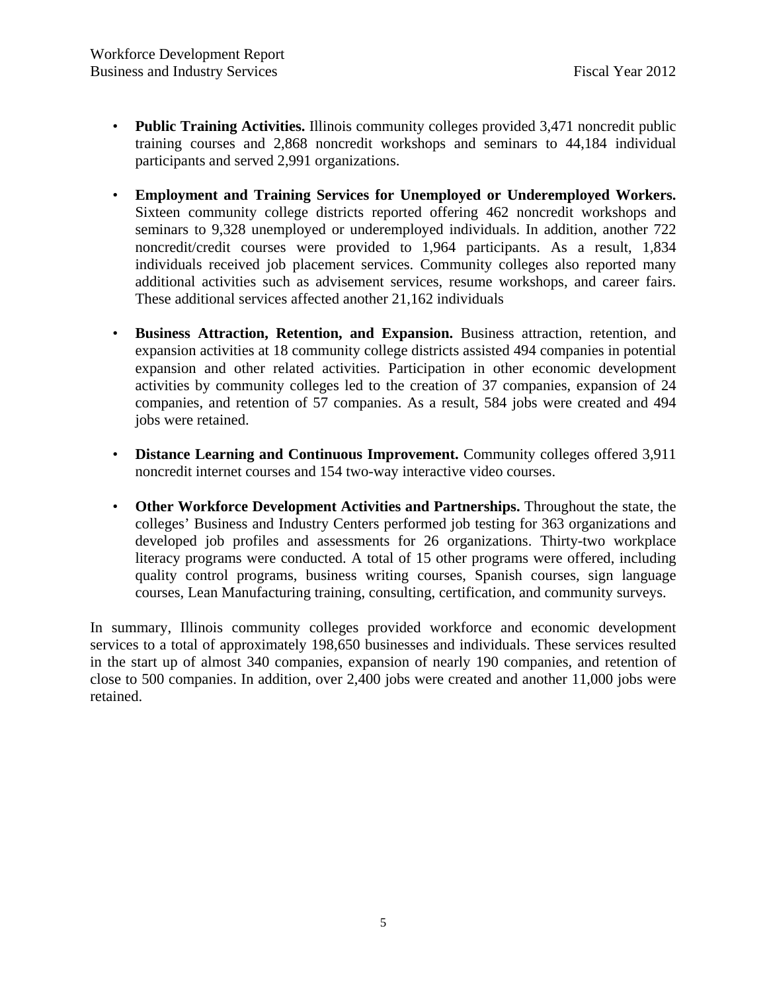- **Public Training Activities.** Illinois community colleges provided 3,471 noncredit public training courses and 2,868 noncredit workshops and seminars to 44,184 individual participants and served 2,991 organizations.
- **Employment and Training Services for Unemployed or Underemployed Workers.**  Sixteen community college districts reported offering 462 noncredit workshops and seminars to 9,328 unemployed or underemployed individuals. In addition, another 722 noncredit/credit courses were provided to 1,964 participants. As a result, 1,834 individuals received job placement services. Community colleges also reported many additional activities such as advisement services, resume workshops, and career fairs. These additional services affected another 21,162 individuals
- **Business Attraction, Retention, and Expansion.** Business attraction, retention, and expansion activities at 18 community college districts assisted 494 companies in potential expansion and other related activities. Participation in other economic development activities by community colleges led to the creation of 37 companies, expansion of 24 companies, and retention of 57 companies. As a result, 584 jobs were created and 494 jobs were retained.
- **Distance Learning and Continuous Improvement.** Community colleges offered 3,911 noncredit internet courses and 154 two-way interactive video courses.
- **Other Workforce Development Activities and Partnerships.** Throughout the state, the colleges' Business and Industry Centers performed job testing for 363 organizations and developed job profiles and assessments for 26 organizations. Thirty-two workplace literacy programs were conducted. A total of 15 other programs were offered, including quality control programs, business writing courses, Spanish courses, sign language courses, Lean Manufacturing training, consulting, certification, and community surveys.

In summary, Illinois community colleges provided workforce and economic development services to a total of approximately 198,650 businesses and individuals. These services resulted in the start up of almost 340 companies, expansion of nearly 190 companies, and retention of close to 500 companies. In addition, over 2,400 jobs were created and another 11,000 jobs were retained.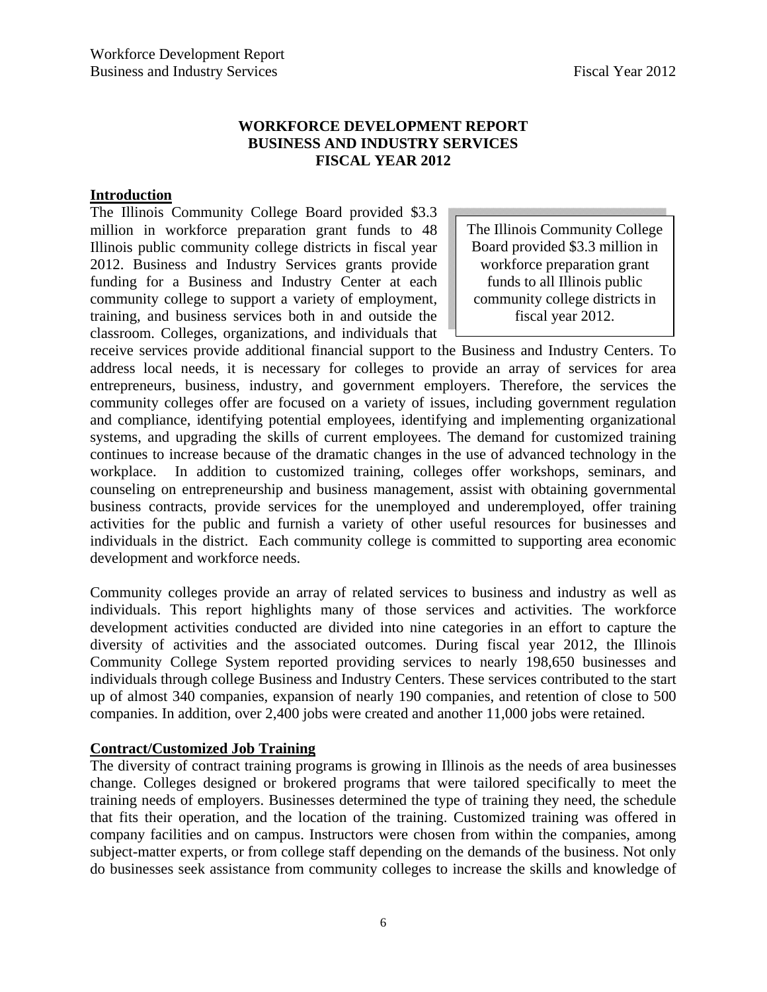### **WORKFORCE DEVELOPMENT REPORT BUSINESS AND INDUSTRY SERVICES FISCAL YEAR 2012**

### **Introduction**

The Illinois Community College Board provided \$3.3 million in workforce preparation grant funds to 48 Illinois public community college districts in fiscal year 2012. Business and Industry Services grants provide funding for a Business and Industry Center at each community college to support a variety of employment, training, and business services both in and outside the classroom. Colleges, organizations, and individuals that

The Illinois Community College Board provided \$3.3 million in workforce preparation grant funds to all Illinois public community college districts in fiscal year 2012.

receive services provide additional financial support to the Business and Industry Centers. To address local needs, it is necessary for colleges to provide an array of services for area entrepreneurs, business, industry, and government employers. Therefore, the services the community colleges offer are focused on a variety of issues, including government regulation and compliance, identifying potential employees, identifying and implementing organizational systems, and upgrading the skills of current employees. The demand for customized training continues to increase because of the dramatic changes in the use of advanced technology in the workplace. In addition to customized training, colleges offer workshops, seminars, and counseling on entrepreneurship and business management, assist with obtaining governmental business contracts, provide services for the unemployed and underemployed, offer training activities for the public and furnish a variety of other useful resources for businesses and individuals in the district. Each community college is committed to supporting area economic development and workforce needs.

Community colleges provide an array of related services to business and industry as well as individuals. This report highlights many of those services and activities. The workforce development activities conducted are divided into nine categories in an effort to capture the diversity of activities and the associated outcomes. During fiscal year 2012, the Illinois Community College System reported providing services to nearly 198,650 businesses and individuals through college Business and Industry Centers. These services contributed to the start up of almost 340 companies, expansion of nearly 190 companies, and retention of close to 500 companies. In addition, over 2,400 jobs were created and another 11,000 jobs were retained.

### **Contract/Customized Job Training**

The diversity of contract training programs is growing in Illinois as the needs of area businesses change. Colleges designed or brokered programs that were tailored specifically to meet the training needs of employers. Businesses determined the type of training they need, the schedule that fits their operation, and the location of the training. Customized training was offered in company facilities and on campus. Instructors were chosen from within the companies, among subject-matter experts, or from college staff depending on the demands of the business. Not only do businesses seek assistance from community colleges to increase the skills and knowledge of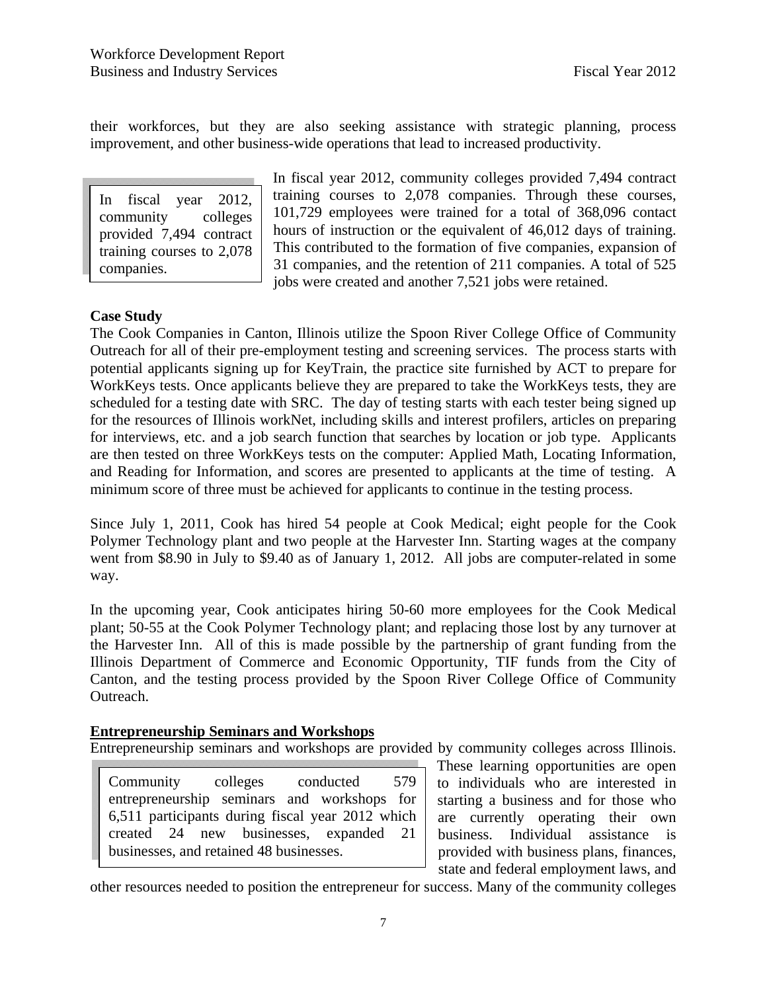their workforces, but they are also seeking assistance with strategic planning, process improvement, and other business-wide operations that lead to increased productivity.

In fiscal year 2012, community colleges provided 7,494 contract training courses to 2,078 companies.

In fiscal year 2012, community colleges provided 7,494 contract training courses to 2,078 companies. Through these courses, 101,729 employees were trained for a total of 368,096 contact hours of instruction or the equivalent of 46,012 days of training. This contributed to the formation of five companies, expansion of 31 companies, and the retention of 211 companies. A total of 525 jobs were created and another 7,521 jobs were retained.

### **Case Study**

The Cook Companies in Canton, Illinois utilize the Spoon River College Office of Community Outreach for all of their pre-employment testing and screening services. The process starts with potential applicants signing up for KeyTrain, the practice site furnished by ACT to prepare for WorkKeys tests. Once applicants believe they are prepared to take the WorkKeys tests, they are scheduled for a testing date with SRC. The day of testing starts with each tester being signed up for the resources of Illinois workNet, including skills and interest profilers, articles on preparing for interviews, etc. and a job search function that searches by location or job type. Applicants are then tested on three WorkKeys tests on the computer: Applied Math, Locating Information, and Reading for Information, and scores are presented to applicants at the time of testing. A minimum score of three must be achieved for applicants to continue in the testing process.

Since July 1, 2011, Cook has hired 54 people at Cook Medical; eight people for the Cook Polymer Technology plant and two people at the Harvester Inn. Starting wages at the company went from \$8.90 in July to \$9.40 as of January 1, 2012. All jobs are computer-related in some way.

In the upcoming year, Cook anticipates hiring 50-60 more employees for the Cook Medical plant; 50-55 at the Cook Polymer Technology plant; and replacing those lost by any turnover at the Harvester Inn. All of this is made possible by the partnership of grant funding from the Illinois Department of Commerce and Economic Opportunity, TIF funds from the City of Canton, and the testing process provided by the Spoon River College Office of Community Outreach.

### **Entrepreneurship Seminars and Workshops**

Entrepreneurship seminars and workshops are provided by community colleges across Illinois.

Community colleges conducted 579 entrepreneurship seminars and workshops for 6,511 participants during fiscal year 2012 which created 24 new businesses, expanded 21 businesses, and retained 48 businesses.

These learning opportunities are open to individuals who are interested in starting a business and for those who are currently operating their own business. Individual assistance is provided with business plans, finances, state and federal employment laws, and

other resources needed to position the entrepreneur for success. Many of the community colleges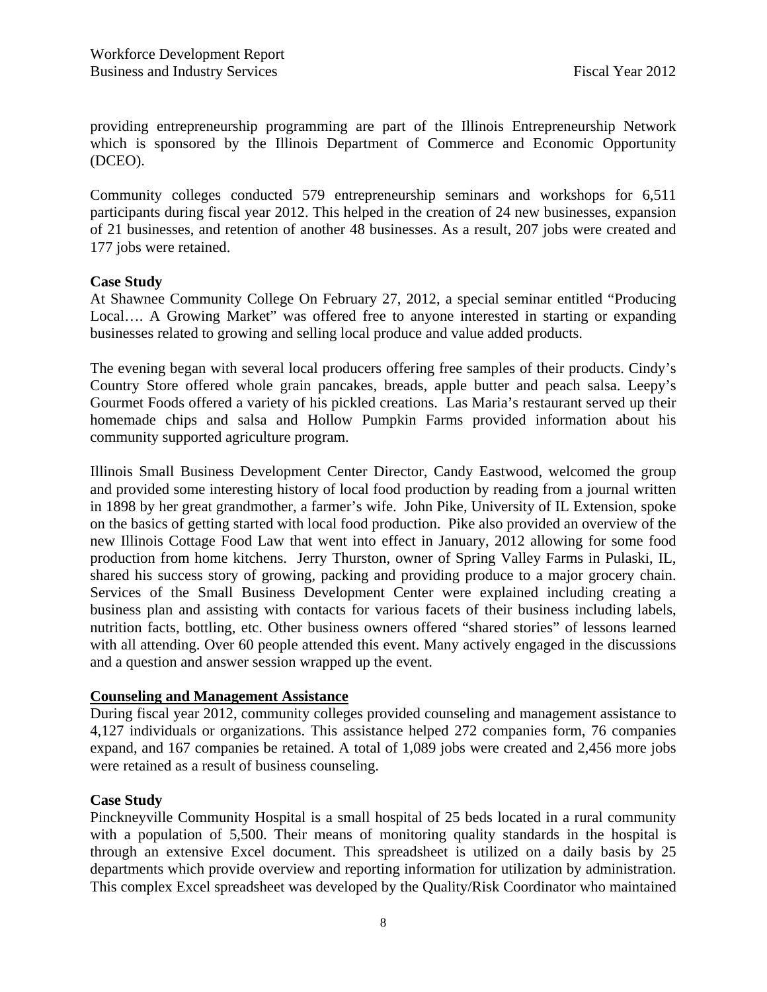providing entrepreneurship programming are part of the Illinois Entrepreneurship Network which is sponsored by the Illinois Department of Commerce and Economic Opportunity (DCEO).

Community colleges conducted 579 entrepreneurship seminars and workshops for 6,511 participants during fiscal year 2012. This helped in the creation of 24 new businesses, expansion of 21 businesses, and retention of another 48 businesses. As a result, 207 jobs were created and 177 jobs were retained.

### **Case Study**

At Shawnee Community College On February 27, 2012, a special seminar entitled "Producing Local…. A Growing Market" was offered free to anyone interested in starting or expanding businesses related to growing and selling local produce and value added products.

The evening began with several local producers offering free samples of their products. Cindy's Country Store offered whole grain pancakes, breads, apple butter and peach salsa. Leepy's Gourmet Foods offered a variety of his pickled creations. Las Maria's restaurant served up their homemade chips and salsa and Hollow Pumpkin Farms provided information about his community supported agriculture program.

Illinois Small Business Development Center Director, Candy Eastwood, welcomed the group and provided some interesting history of local food production by reading from a journal written in 1898 by her great grandmother, a farmer's wife. John Pike, University of IL Extension, spoke on the basics of getting started with local food production. Pike also provided an overview of the new Illinois Cottage Food Law that went into effect in January, 2012 allowing for some food production from home kitchens. Jerry Thurston, owner of Spring Valley Farms in Pulaski, IL, shared his success story of growing, packing and providing produce to a major grocery chain. Services of the Small Business Development Center were explained including creating a business plan and assisting with contacts for various facets of their business including labels, nutrition facts, bottling, etc. Other business owners offered "shared stories" of lessons learned with all attending. Over 60 people attended this event. Many actively engaged in the discussions and a question and answer session wrapped up the event.

### **Counseling and Management Assistance**

During fiscal year 2012, community colleges provided counseling and management assistance to 4,127 individuals or organizations. This assistance helped 272 companies form, 76 companies expand, and 167 companies be retained. A total of 1,089 jobs were created and 2,456 more jobs were retained as a result of business counseling.

### **Case Study**

Pinckneyville Community Hospital is a small hospital of 25 beds located in a rural community with a population of 5,500. Their means of monitoring quality standards in the hospital is through an extensive Excel document. This spreadsheet is utilized on a daily basis by 25 departments which provide overview and reporting information for utilization by administration. This complex Excel spreadsheet was developed by the Quality/Risk Coordinator who maintained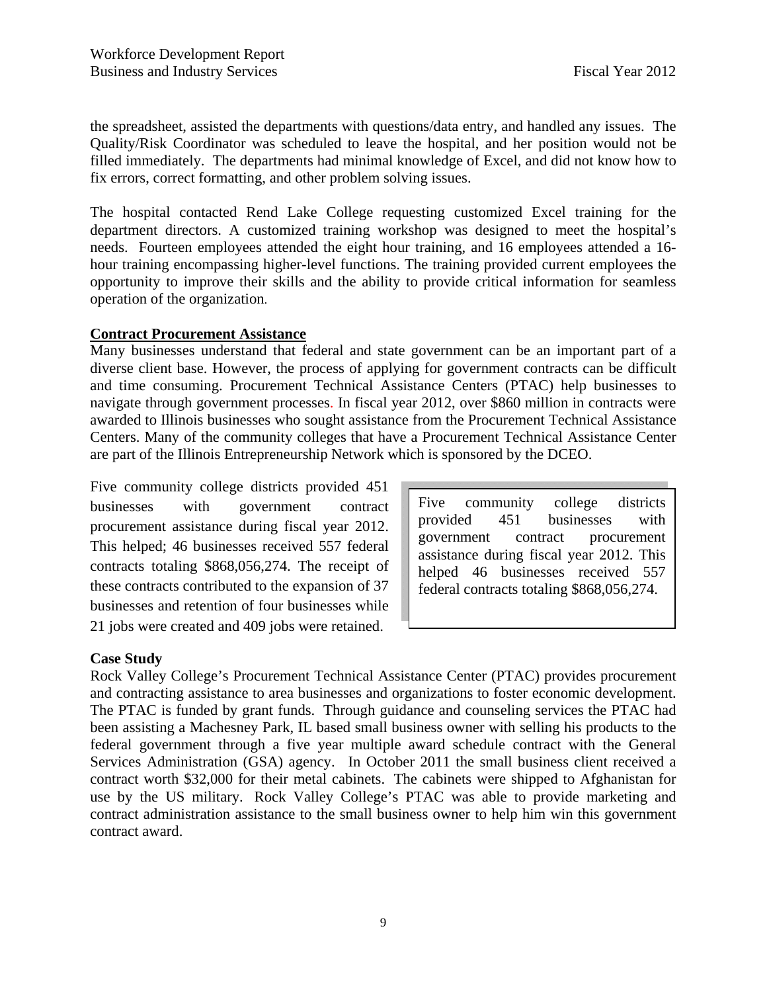the spreadsheet, assisted the departments with questions/data entry, and handled any issues. The Quality/Risk Coordinator was scheduled to leave the hospital, and her position would not be filled immediately. The departments had minimal knowledge of Excel, and did not know how to fix errors, correct formatting, and other problem solving issues.

The hospital contacted Rend Lake College requesting customized Excel training for the department directors. A customized training workshop was designed to meet the hospital's needs. Fourteen employees attended the eight hour training, and 16 employees attended a 16 hour training encompassing higher-level functions. The training provided current employees the opportunity to improve their skills and the ability to provide critical information for seamless operation of the organization.

### **Contract Procurement Assistance**

Many businesses understand that federal and state government can be an important part of a diverse client base. However, the process of applying for government contracts can be difficult and time consuming. Procurement Technical Assistance Centers (PTAC) help businesses to navigate through government processes. In fiscal year 2012, over \$860 million in contracts were awarded to Illinois businesses who sought assistance from the Procurement Technical Assistance Centers. Many of the community colleges that have a Procurement Technical Assistance Center are part of the Illinois Entrepreneurship Network which is sponsored by the DCEO.

Five community college districts provided 451 businesses with government contract procurement assistance during fiscal year 2012. This helped; 46 businesses received 557 federal contracts totaling \$868,056,274. The receipt of these contracts contributed to the expansion of 37 businesses and retention of four businesses while 21 jobs were created and 409 jobs were retained.

Five community college districts provided 451 businesses with government contract procurement assistance during fiscal year 2012. This helped 46 businesses received 557 federal contracts totaling \$868,056,274.

### **Case Study**

Rock Valley College's Procurement Technical Assistance Center (PTAC) provides procurement and contracting assistance to area businesses and organizations to foster economic development. The PTAC is funded by grant funds. Through guidance and counseling services the PTAC had been assisting a Machesney Park, IL based small business owner with selling his products to the federal government through a five year multiple award schedule contract with the General Services Administration (GSA) agency. In October 2011 the small business client received a contract worth \$32,000 for their metal cabinets. The cabinets were shipped to Afghanistan for use by the US military. Rock Valley College's PTAC was able to provide marketing and contract administration assistance to the small business owner to help him win this government contract award.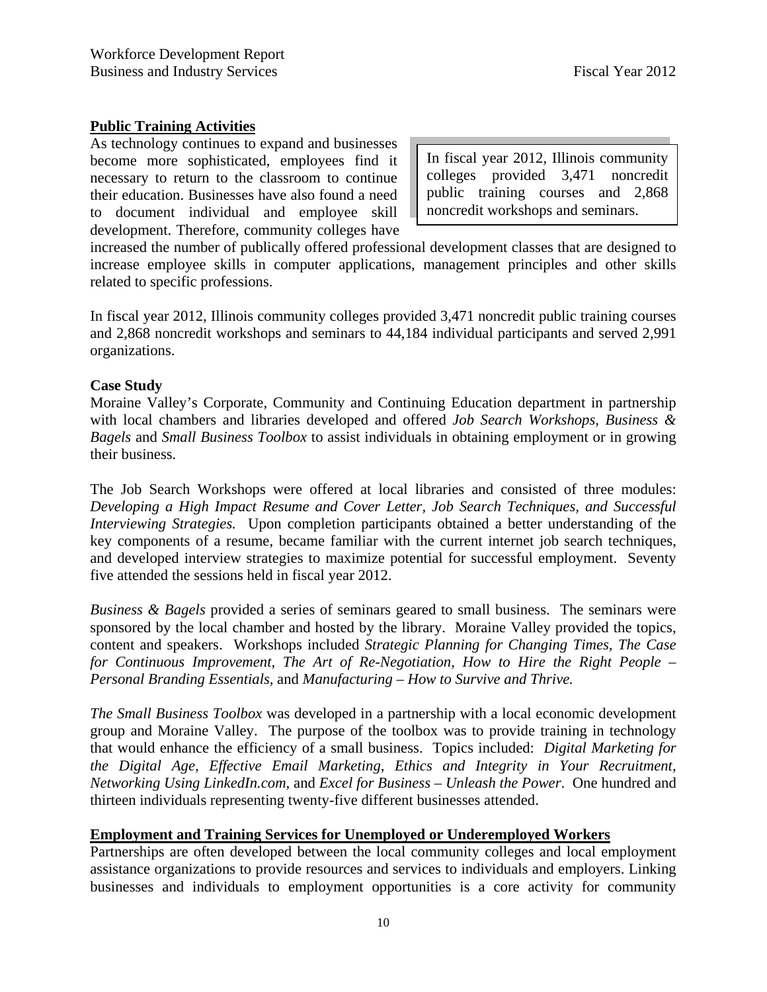### **Public Training Activities**

As technology continues to expand and businesses become more sophisticated, employees find it necessary to return to the classroom to continue their education. Businesses have also found a need to document individual and employee skill development. Therefore, community colleges have

In fiscal year 2012, Illinois community colleges provided 3,471 noncredit public training courses and 2,868 noncredit workshops and seminars.

increased the number of publically offered professional development classes that are designed to increase employee skills in computer applications, management principles and other skills related to specific professions.

In fiscal year 2012, Illinois community colleges provided 3,471 noncredit public training courses and 2,868 noncredit workshops and seminars to 44,184 individual participants and served 2,991 organizations.

### **Case Study**

Moraine Valley's Corporate, Community and Continuing Education department in partnership with local chambers and libraries developed and offered *Job Search Workshops, Business & Bagels* and *Small Business Toolbox* to assist individuals in obtaining employment or in growing their business.

The Job Search Workshops were offered at local libraries and consisted of three modules: *Developing a High Impact Resume and Cover Letter, Job Search Techniques, and Successful Interviewing Strategies.* Upon completion participants obtained a better understanding of the key components of a resume, became familiar with the current internet job search techniques, and developed interview strategies to maximize potential for successful employment. Seventy five attended the sessions held in fiscal year 2012.

*Business & Bagels* provided a series of seminars geared to small business. The seminars were sponsored by the local chamber and hosted by the library. Moraine Valley provided the topics, content and speakers. Workshops included *Strategic Planning for Changing Times, The Case for Continuous Improvement, The Art of Re-Negotiation, How to Hire the Right People – Personal Branding Essentials,* and *Manufacturing – How to Survive and Thrive.* 

*The Small Business Toolbox* was developed in a partnership with a local economic development group and Moraine Valley. The purpose of the toolbox was to provide training in technology that would enhance the efficiency of a small business. Topics included: *Digital Marketing for the Digital Age, Effective Email Marketing, Ethics and Integrity in Your Recruitment, Networking Using LinkedIn.com,* and *Excel for Business – Unleash the Power*. One hundred and thirteen individuals representing twenty-five different businesses attended.

### **Employment and Training Services for Unemployed or Underemployed Workers**

Partnerships are often developed between the local community colleges and local employment assistance organizations to provide resources and services to individuals and employers. Linking businesses and individuals to employment opportunities is a core activity for community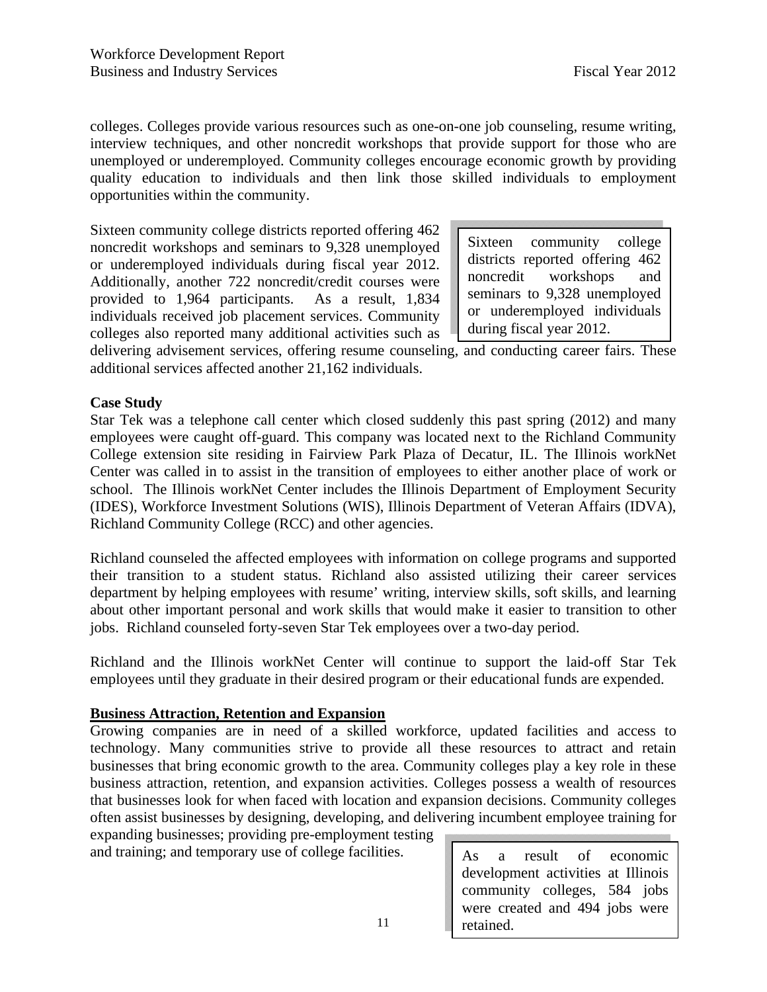colleges. Colleges provide various resources such as one-on-one job counseling, resume writing, interview techniques, and other noncredit workshops that provide support for those who are unemployed or underemployed. Community colleges encourage economic growth by providing quality education to individuals and then link those skilled individuals to employment opportunities within the community.

Sixteen community college districts reported offering 462 noncredit workshops and seminars to 9,328 unemployed or underemployed individuals during fiscal year 2012. Additionally, another 722 noncredit/credit courses were provided to 1,964 participants. As a result, 1,834 individuals received job placement services. Community colleges also reported many additional activities such as

Sixteen community college districts reported offering 462 noncredit workshops and seminars to 9,328 unemployed or underemployed individuals during fiscal year 2012.

delivering advisement services, offering resume counseling, and conducting career fairs. These additional services affected another 21,162 individuals.

### **Case Study**

Star Tek was a telephone call center which closed suddenly this past spring (2012) and many employees were caught off-guard. This company was located next to the Richland Community College extension site residing in Fairview Park Plaza of Decatur, IL. The Illinois workNet Center was called in to assist in the transition of employees to either another place of work or school. The Illinois workNet Center includes the Illinois Department of Employment Security (IDES), Workforce Investment Solutions (WIS), Illinois Department of Veteran Affairs (IDVA), Richland Community College (RCC) and other agencies.

Richland counseled the affected employees with information on college programs and supported their transition to a student status. Richland also assisted utilizing their career services department by helping employees with resume' writing, interview skills, soft skills, and learning about other important personal and work skills that would make it easier to transition to other jobs. Richland counseled forty-seven Star Tek employees over a two-day period.

Richland and the Illinois workNet Center will continue to support the laid-off Star Tek employees until they graduate in their desired program or their educational funds are expended.

#### **Business Attraction, Retention and Expansion**

Growing companies are in need of a skilled workforce, updated facilities and access to technology. Many communities strive to provide all these resources to attract and retain businesses that bring economic growth to the area. Community colleges play a key role in these business attraction, retention, and expansion activities. Colleges possess a wealth of resources that businesses look for when faced with location and expansion decisions. Community colleges often assist businesses by designing, developing, and delivering incumbent employee training for

expanding businesses; providing pre-employment testing and training; and temporary use of college facilities.  $\parallel$  As a result of economic

development activities at Illinois community colleges, 584 jobs were created and 494 jobs were retained.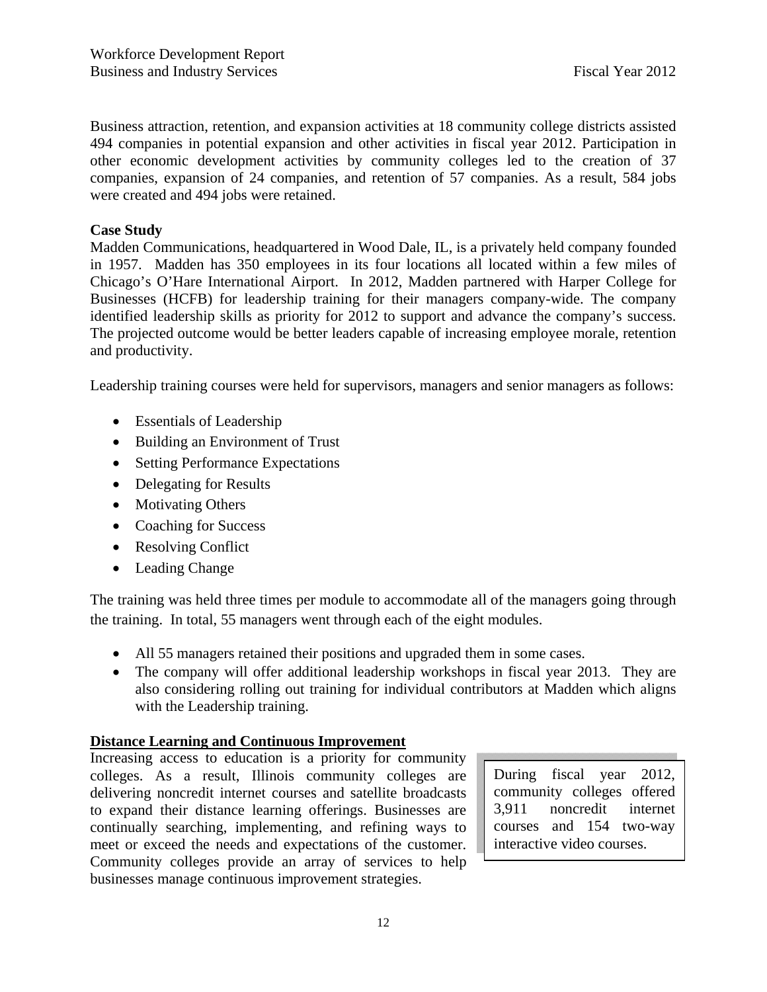Business attraction, retention, and expansion activities at 18 community college districts assisted 494 companies in potential expansion and other activities in fiscal year 2012. Participation in other economic development activities by community colleges led to the creation of 37 companies, expansion of 24 companies, and retention of 57 companies. As a result, 584 jobs were created and 494 jobs were retained.

### **Case Study**

Madden Communications, headquartered in Wood Dale, IL, is a privately held company founded in 1957. Madden has 350 employees in its four locations all located within a few miles of Chicago's O'Hare International Airport. In 2012, Madden partnered with Harper College for Businesses (HCFB) for leadership training for their managers company-wide. The company identified leadership skills as priority for 2012 to support and advance the company's success. The projected outcome would be better leaders capable of increasing employee morale, retention and productivity.

Leadership training courses were held for supervisors, managers and senior managers as follows:

- Essentials of Leadership
- Building an Environment of Trust
- Setting Performance Expectations
- Delegating for Results
- Motivating Others
- Coaching for Success
- Resolving Conflict
- Leading Change

The training was held three times per module to accommodate all of the managers going through the training. In total, 55 managers went through each of the eight modules.

- All 55 managers retained their positions and upgraded them in some cases.
- The company will offer additional leadership workshops in fiscal year 2013. They are also considering rolling out training for individual contributors at Madden which aligns with the Leadership training.

### **Distance Learning and Continuous Improvement**

Increasing access to education is a priority for community colleges. As a result, Illinois community colleges are delivering noncredit internet courses and satellite broadcasts to expand their distance learning offerings. Businesses are continually searching, implementing, and refining ways to meet or exceed the needs and expectations of the customer. Community colleges provide an array of services to help businesses manage continuous improvement strategies.

During fiscal year 2012, community colleges offered 3,911 noncredit internet courses and 154 two-way interactive video courses.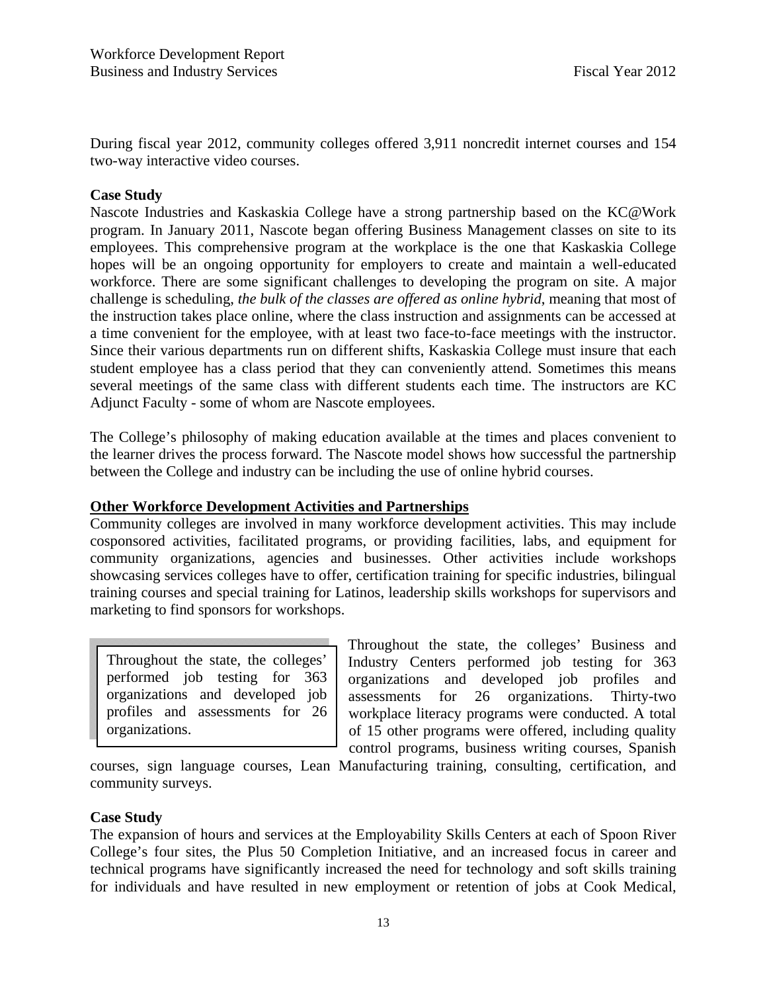During fiscal year 2012, community colleges offered 3,911 noncredit internet courses and 154 two-way interactive video courses.

### **Case Study**

Nascote Industries and Kaskaskia College have a strong partnership based on the KC@Work program. In January 2011, Nascote began offering Business Management classes on site to its employees. This comprehensive program at the workplace is the one that Kaskaskia College hopes will be an ongoing opportunity for employers to create and maintain a well-educated workforce. There are some significant challenges to developing the program on site. A major challenge is scheduling, *the bulk of the classes are offered as online hybrid*, meaning that most of the instruction takes place online, where the class instruction and assignments can be accessed at a time convenient for the employee, with at least two face-to-face meetings with the instructor. Since their various departments run on different shifts, Kaskaskia College must insure that each student employee has a class period that they can conveniently attend. Sometimes this means several meetings of the same class with different students each time. The instructors are KC Adjunct Faculty - some of whom are Nascote employees.

The College's philosophy of making education available at the times and places convenient to the learner drives the process forward. The Nascote model shows how successful the partnership between the College and industry can be including the use of online hybrid courses.

### **Other Workforce Development Activities and Partnerships**

Community colleges are involved in many workforce development activities. This may include cosponsored activities, facilitated programs, or providing facilities, labs, and equipment for community organizations, agencies and businesses. Other activities include workshops showcasing services colleges have to offer, certification training for specific industries, bilingual training courses and special training for Latinos, leadership skills workshops for supervisors and marketing to find sponsors for workshops.

Throughout the state, the colleges' performed job testing for 363 organizations and developed job profiles and assessments for 26 organizations.

Throughout the state, the colleges' Business and Industry Centers performed job testing for 363 organizations and developed job profiles and assessments for 26 organizations. Thirty-two workplace literacy programs were conducted. A total of 15 other programs were offered, including quality control programs, business writing courses, Spanish

courses, sign language courses, Lean Manufacturing training, consulting, certification, and community surveys.

#### **Case Study**

The expansion of hours and services at the Employability Skills Centers at each of Spoon River College's four sites, the Plus 50 Completion Initiative, and an increased focus in career and technical programs have significantly increased the need for technology and soft skills training for individuals and have resulted in new employment or retention of jobs at Cook Medical,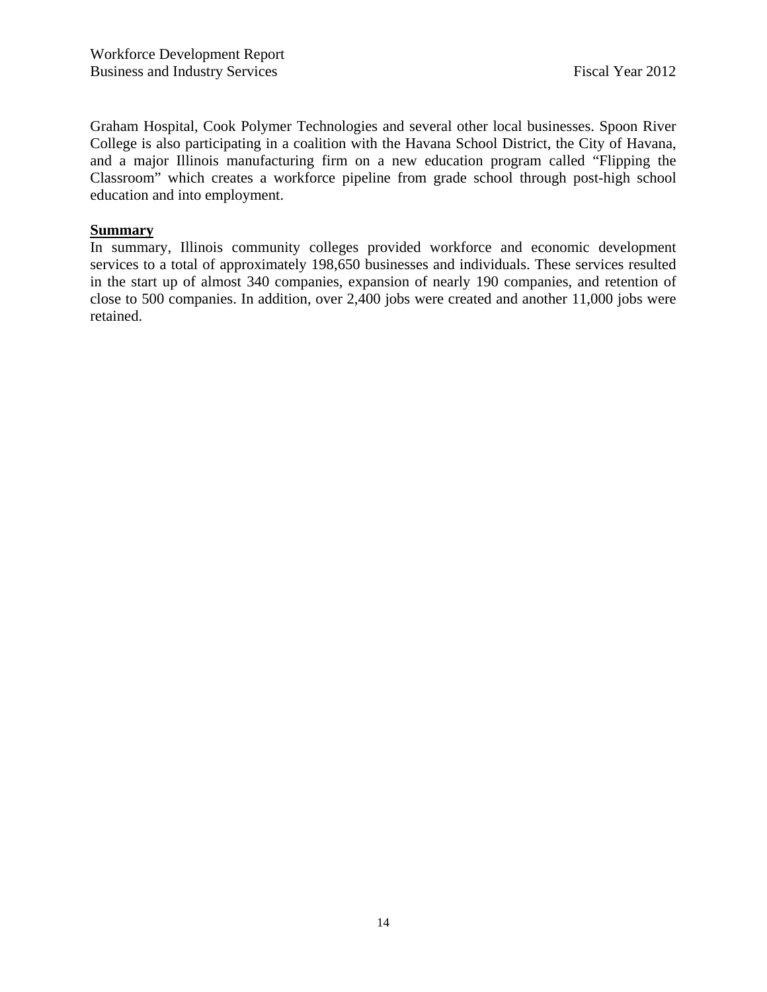Graham Hospital, Cook Polymer Technologies and several other local businesses. Spoon River College is also participating in a coalition with the Havana School District, the City of Havana, and a major Illinois manufacturing firm on a new education program called "Flipping the Classroom" which creates a workforce pipeline from grade school through post-high school education and into employment.

### **Summary**

In summary, Illinois community colleges provided workforce and economic development services to a total of approximately 198,650 businesses and individuals. These services resulted in the start up of almost 340 companies, expansion of nearly 190 companies, and retention of close to 500 companies. In addition, over 2,400 jobs were created and another 11,000 jobs were retained.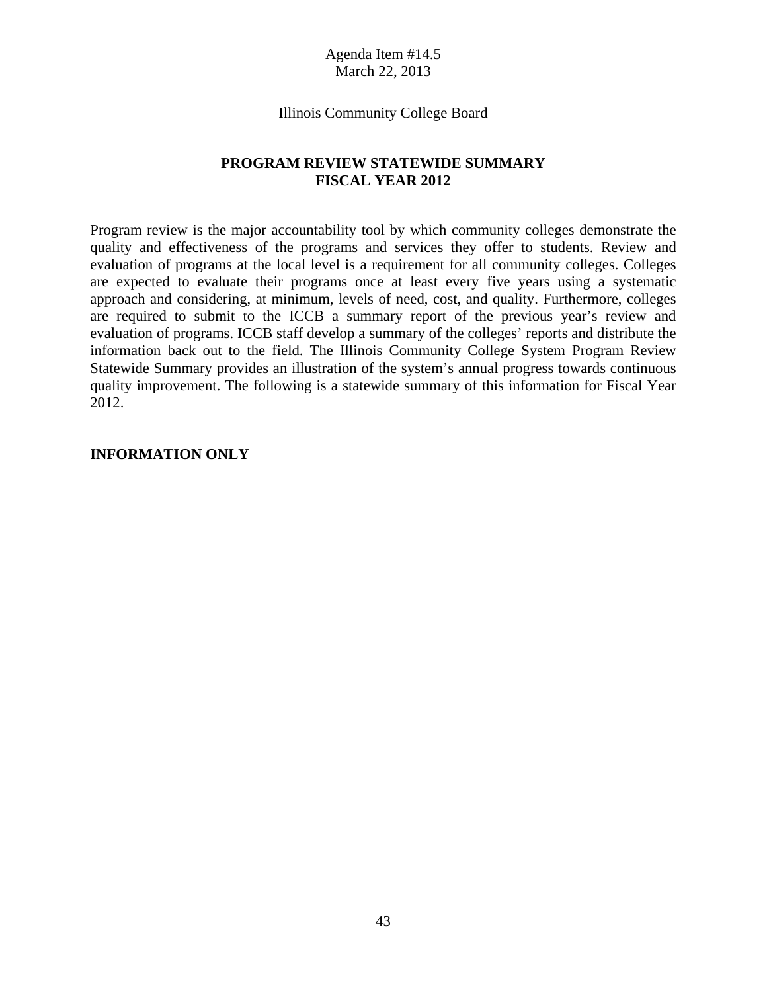### Illinois Community College Board

### **PROGRAM REVIEW STATEWIDE SUMMARY FISCAL YEAR 2012**

Program review is the major accountability tool by which community colleges demonstrate the quality and effectiveness of the programs and services they offer to students. Review and evaluation of programs at the local level is a requirement for all community colleges. Colleges are expected to evaluate their programs once at least every five years using a systematic approach and considering, at minimum, levels of need, cost, and quality. Furthermore, colleges are required to submit to the ICCB a summary report of the previous year's review and evaluation of programs. ICCB staff develop a summary of the colleges' reports and distribute the information back out to the field. The Illinois Community College System Program Review Statewide Summary provides an illustration of the system's annual progress towards continuous quality improvement. The following is a statewide summary of this information for Fiscal Year 2012.

### **INFORMATION ONLY**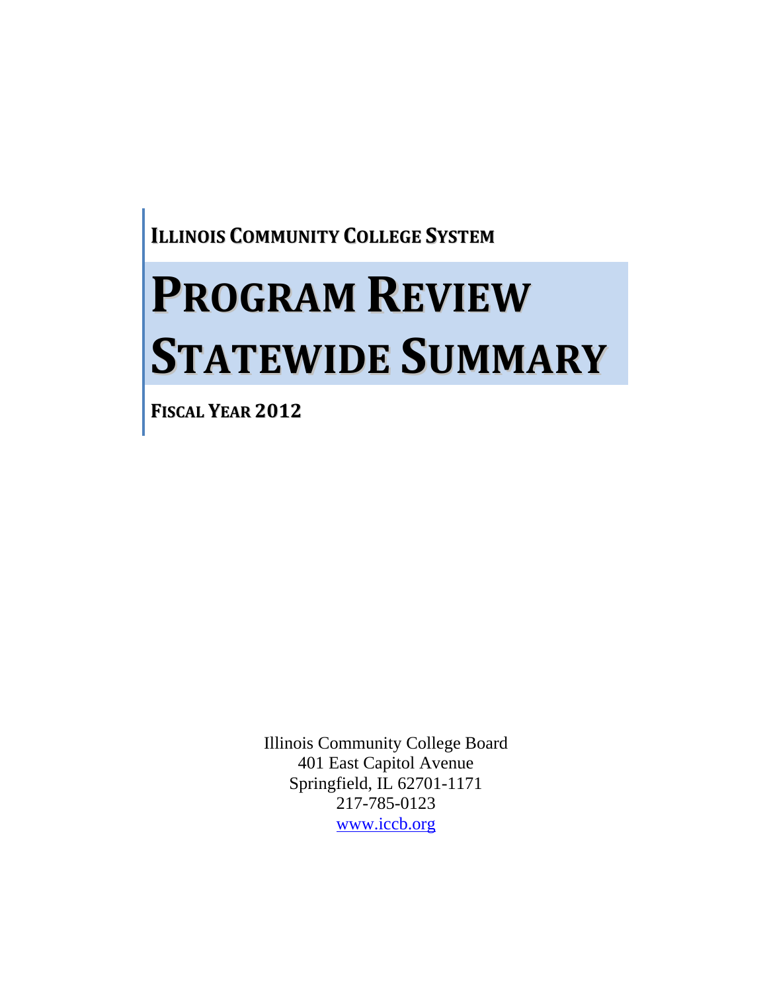**ILLINOIS COMMUNITY COLLEGE SYSTEM**

# **PROGRAM REVIEW STATEWIDE SUMMARY**

**FISCAL YEAR 2012**

Illinois Community College Board 401 East Capitol Avenue Springfield, IL 62701-1171 217-785-0123 www.iccb.org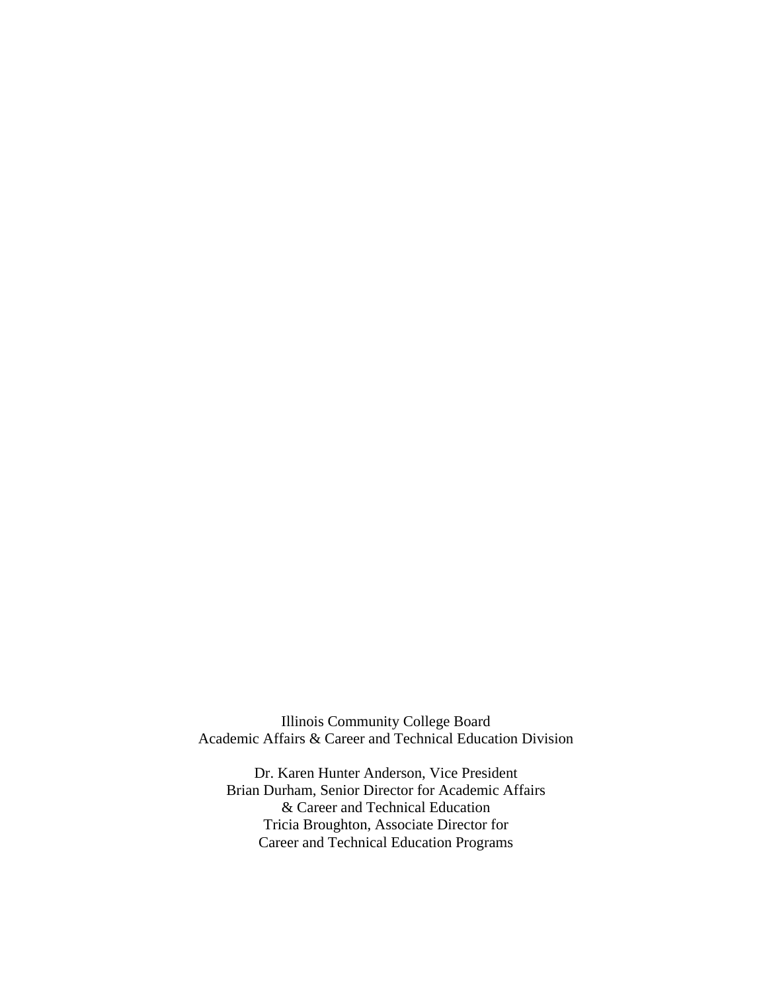Illinois Community College Board Academic Affairs & Career and Technical Education Division

Dr. Karen Hunter Anderson, Vice President Brian Durham, Senior Director for Academic Affairs & Career and Technical Education Tricia Broughton, Associate Director for Career and Technical Education Programs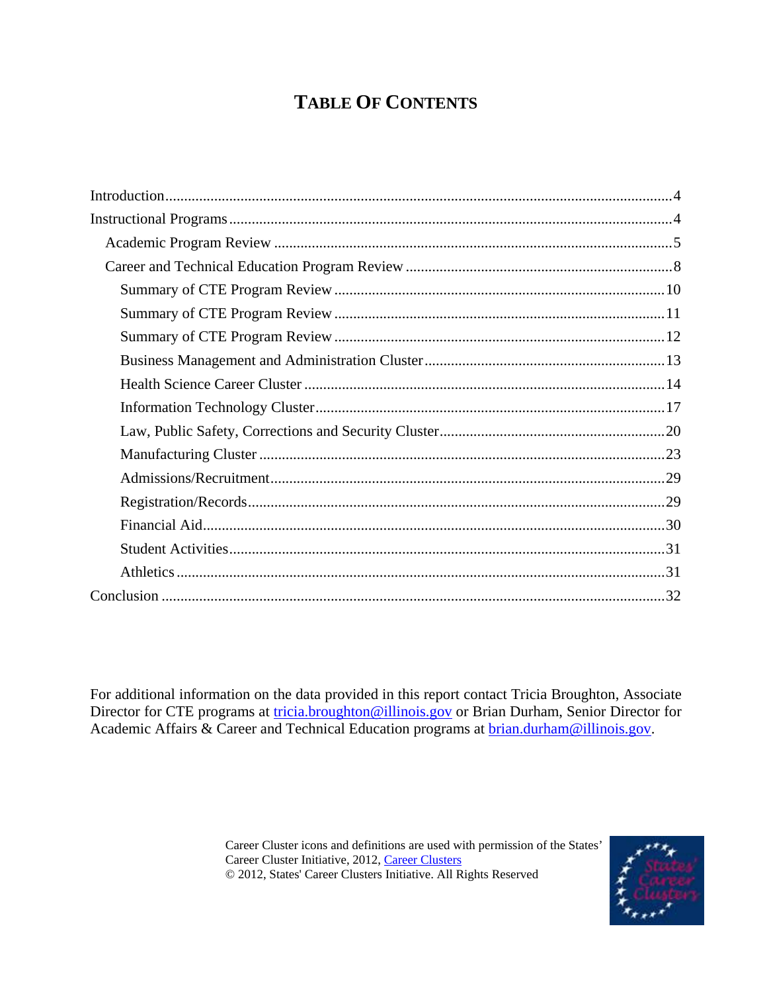# **TABLE OF CONTENTS**

For additional information on the data provided in this report contact Tricia Broughton, Associate Director for CTE programs at *tricia.broughton@illinois.gov* or Brian Durham, Senior Director for Academic Affairs & Career and Technical Education programs at brian.durham@illinois.gov.

> Career Cluster icons and definitions are used with permission of the States' Career Cluster Initiative, 2012, Career Clusters © 2012, States' Career Clusters Initiative. All Rights Reserved

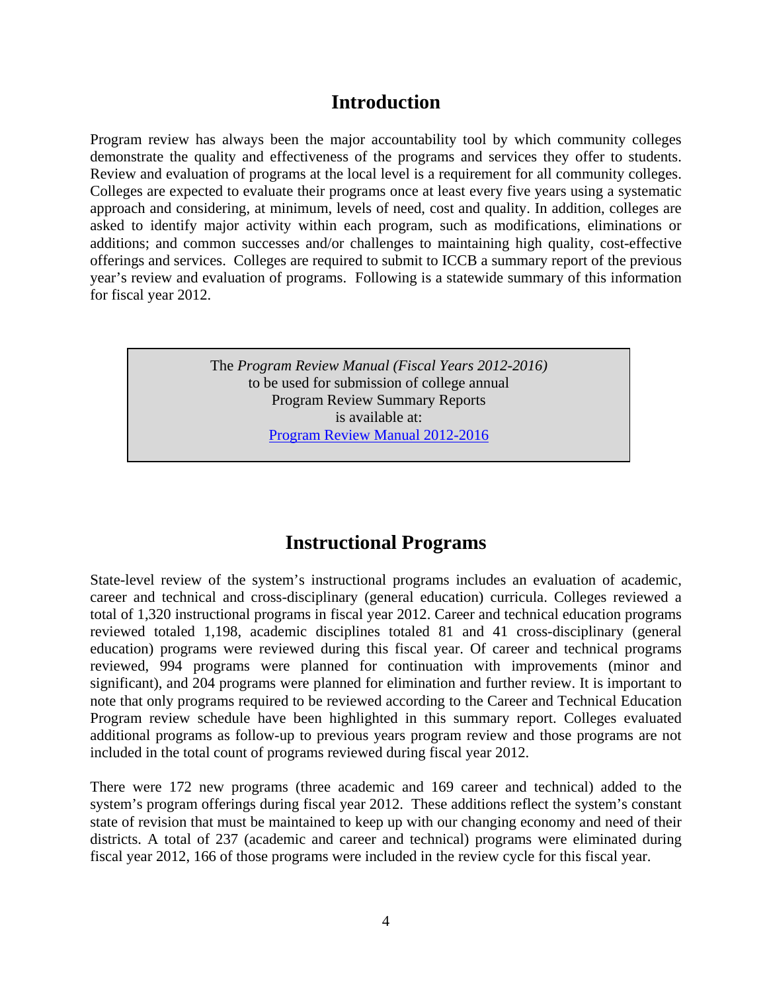# **Introduction**

Program review has always been the major accountability tool by which community colleges demonstrate the quality and effectiveness of the programs and services they offer to students. Review and evaluation of programs at the local level is a requirement for all community colleges. Colleges are expected to evaluate their programs once at least every five years using a systematic approach and considering, at minimum, levels of need, cost and quality. In addition, colleges are asked to identify major activity within each program, such as modifications, eliminations or additions; and common successes and/or challenges to maintaining high quality, cost-effective offerings and services. Colleges are required to submit to ICCB a summary report of the previous year's review and evaluation of programs. Following is a statewide summary of this information for fiscal year 2012.

> The *Program Review Manual (Fiscal Years 2012-2016)*  to be used for submission of college annual Program Review Summary Reports is available at: Program Review Manual 2012-2016

# **Instructional Programs**

State-level review of the system's instructional programs includes an evaluation of academic, career and technical and cross-disciplinary (general education) curricula. Colleges reviewed a total of 1,320 instructional programs in fiscal year 2012. Career and technical education programs reviewed totaled 1,198, academic disciplines totaled 81 and 41 cross-disciplinary (general education) programs were reviewed during this fiscal year. Of career and technical programs reviewed, 994 programs were planned for continuation with improvements (minor and significant), and 204 programs were planned for elimination and further review. It is important to note that only programs required to be reviewed according to the Career and Technical Education Program review schedule have been highlighted in this summary report. Colleges evaluated additional programs as follow-up to previous years program review and those programs are not included in the total count of programs reviewed during fiscal year 2012.

There were 172 new programs (three academic and 169 career and technical) added to the system's program offerings during fiscal year 2012. These additions reflect the system's constant state of revision that must be maintained to keep up with our changing economy and need of their districts. A total of 237 (academic and career and technical) programs were eliminated during fiscal year 2012, 166 of those programs were included in the review cycle for this fiscal year.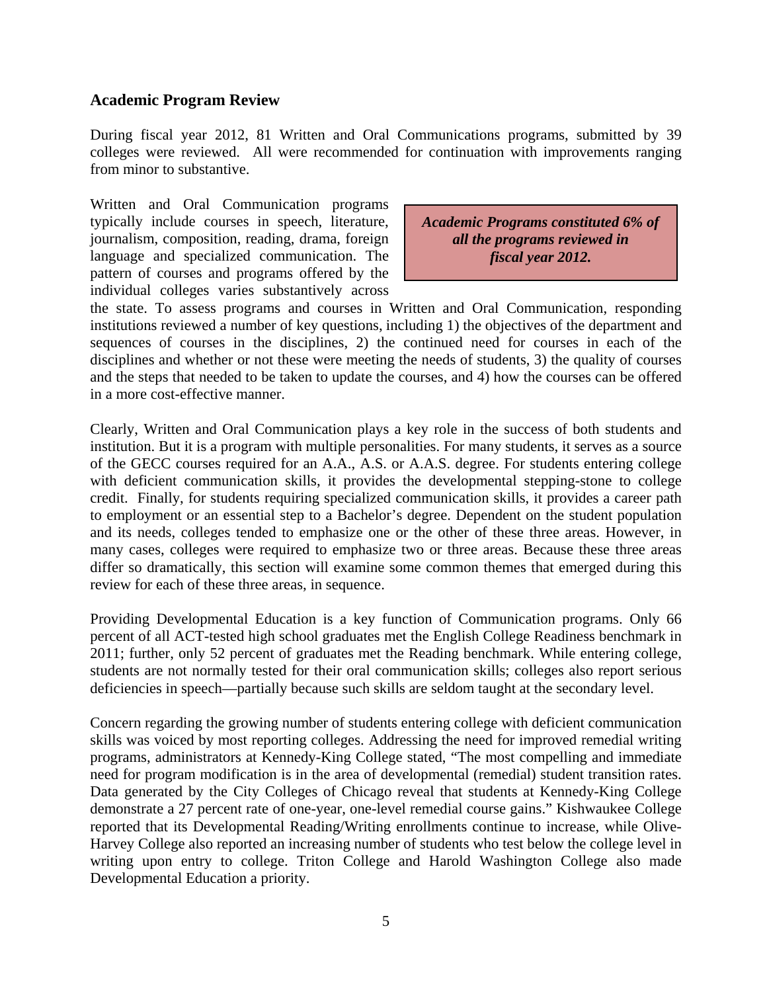### **Academic Program Review**

During fiscal year 2012, 81 Written and Oral Communications programs, submitted by 39 colleges were reviewed. All were recommended for continuation with improvements ranging from minor to substantive.

Written and Oral Communication programs typically include courses in speech, literature, journalism, composition, reading, drama, foreign language and specialized communication. The pattern of courses and programs offered by the individual colleges varies substantively across

*Academic Programs constituted 6% of all the programs reviewed in fiscal year 2012.*

the state. To assess programs and courses in Written and Oral Communication, responding institutions reviewed a number of key questions, including 1) the objectives of the department and sequences of courses in the disciplines, 2) the continued need for courses in each of the disciplines and whether or not these were meeting the needs of students, 3) the quality of courses and the steps that needed to be taken to update the courses, and 4) how the courses can be offered in a more cost-effective manner.

Clearly, Written and Oral Communication plays a key role in the success of both students and institution. But it is a program with multiple personalities. For many students, it serves as a source of the GECC courses required for an A.A., A.S. or A.A.S. degree. For students entering college with deficient communication skills, it provides the developmental stepping-stone to college credit. Finally, for students requiring specialized communication skills, it provides a career path to employment or an essential step to a Bachelor's degree. Dependent on the student population and its needs, colleges tended to emphasize one or the other of these three areas. However, in many cases, colleges were required to emphasize two or three areas. Because these three areas differ so dramatically, this section will examine some common themes that emerged during this review for each of these three areas, in sequence.

Providing Developmental Education is a key function of Communication programs. Only 66 percent of all ACT-tested high school graduates met the English College Readiness benchmark in 2011; further, only 52 percent of graduates met the Reading benchmark. While entering college, students are not normally tested for their oral communication skills; colleges also report serious deficiencies in speech—partially because such skills are seldom taught at the secondary level.

Concern regarding the growing number of students entering college with deficient communication skills was voiced by most reporting colleges. Addressing the need for improved remedial writing programs, administrators at Kennedy-King College stated, "The most compelling and immediate need for program modification is in the area of developmental (remedial) student transition rates. Data generated by the City Colleges of Chicago reveal that students at Kennedy-King College demonstrate a 27 percent rate of one-year, one-level remedial course gains." Kishwaukee College reported that its Developmental Reading/Writing enrollments continue to increase, while Olive-Harvey College also reported an increasing number of students who test below the college level in writing upon entry to college. Triton College and Harold Washington College also made Developmental Education a priority.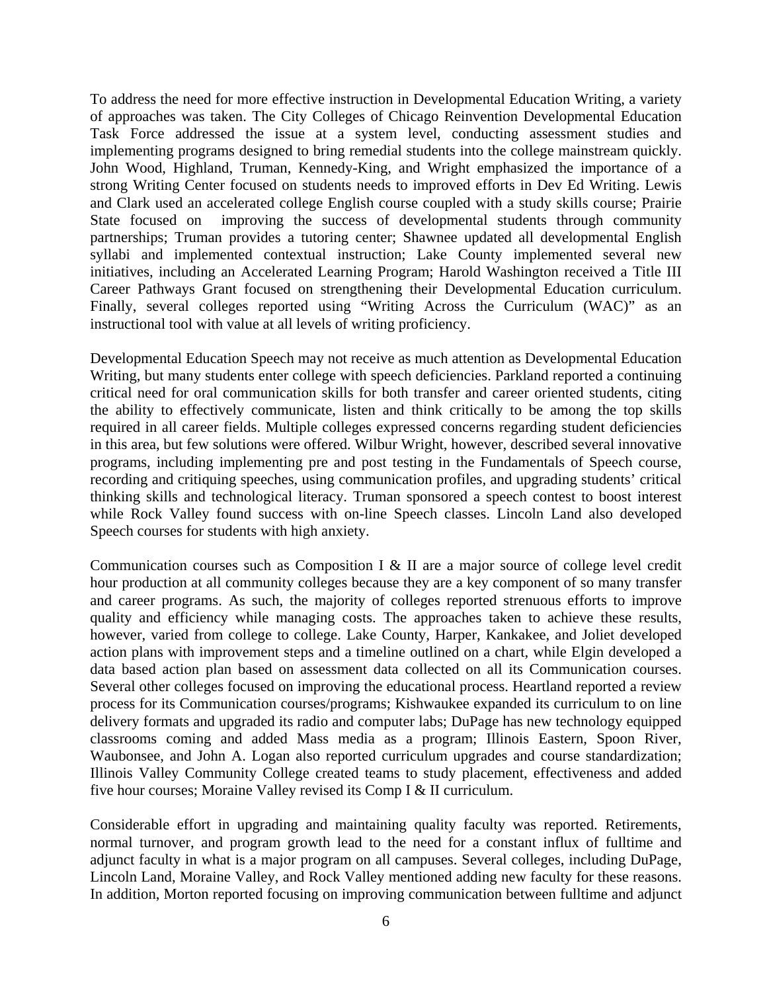To address the need for more effective instruction in Developmental Education Writing, a variety of approaches was taken. The City Colleges of Chicago Reinvention Developmental Education Task Force addressed the issue at a system level, conducting assessment studies and implementing programs designed to bring remedial students into the college mainstream quickly. John Wood, Highland, Truman, Kennedy-King, and Wright emphasized the importance of a strong Writing Center focused on students needs to improved efforts in Dev Ed Writing. Lewis and Clark used an accelerated college English course coupled with a study skills course; Prairie State focused on improving the success of developmental students through community partnerships; Truman provides a tutoring center; Shawnee updated all developmental English syllabi and implemented contextual instruction; Lake County implemented several new initiatives, including an Accelerated Learning Program; Harold Washington received a Title III Career Pathways Grant focused on strengthening their Developmental Education curriculum. Finally, several colleges reported using "Writing Across the Curriculum (WAC)" as an instructional tool with value at all levels of writing proficiency.

Developmental Education Speech may not receive as much attention as Developmental Education Writing, but many students enter college with speech deficiencies. Parkland reported a continuing critical need for oral communication skills for both transfer and career oriented students, citing the ability to effectively communicate, listen and think critically to be among the top skills required in all career fields. Multiple colleges expressed concerns regarding student deficiencies in this area, but few solutions were offered. Wilbur Wright, however, described several innovative programs, including implementing pre and post testing in the Fundamentals of Speech course, recording and critiquing speeches, using communication profiles, and upgrading students' critical thinking skills and technological literacy. Truman sponsored a speech contest to boost interest while Rock Valley found success with on-line Speech classes. Lincoln Land also developed Speech courses for students with high anxiety.

Communication courses such as Composition I & II are a major source of college level credit hour production at all community colleges because they are a key component of so many transfer and career programs. As such, the majority of colleges reported strenuous efforts to improve quality and efficiency while managing costs. The approaches taken to achieve these results, however, varied from college to college. Lake County, Harper, Kankakee, and Joliet developed action plans with improvement steps and a timeline outlined on a chart, while Elgin developed a data based action plan based on assessment data collected on all its Communication courses. Several other colleges focused on improving the educational process. Heartland reported a review process for its Communication courses/programs; Kishwaukee expanded its curriculum to on line delivery formats and upgraded its radio and computer labs; DuPage has new technology equipped classrooms coming and added Mass media as a program; Illinois Eastern, Spoon River, Waubonsee, and John A. Logan also reported curriculum upgrades and course standardization; Illinois Valley Community College created teams to study placement, effectiveness and added five hour courses; Moraine Valley revised its Comp I & II curriculum.

Considerable effort in upgrading and maintaining quality faculty was reported. Retirements, normal turnover, and program growth lead to the need for a constant influx of fulltime and adjunct faculty in what is a major program on all campuses. Several colleges, including DuPage, Lincoln Land, Moraine Valley, and Rock Valley mentioned adding new faculty for these reasons. In addition, Morton reported focusing on improving communication between fulltime and adjunct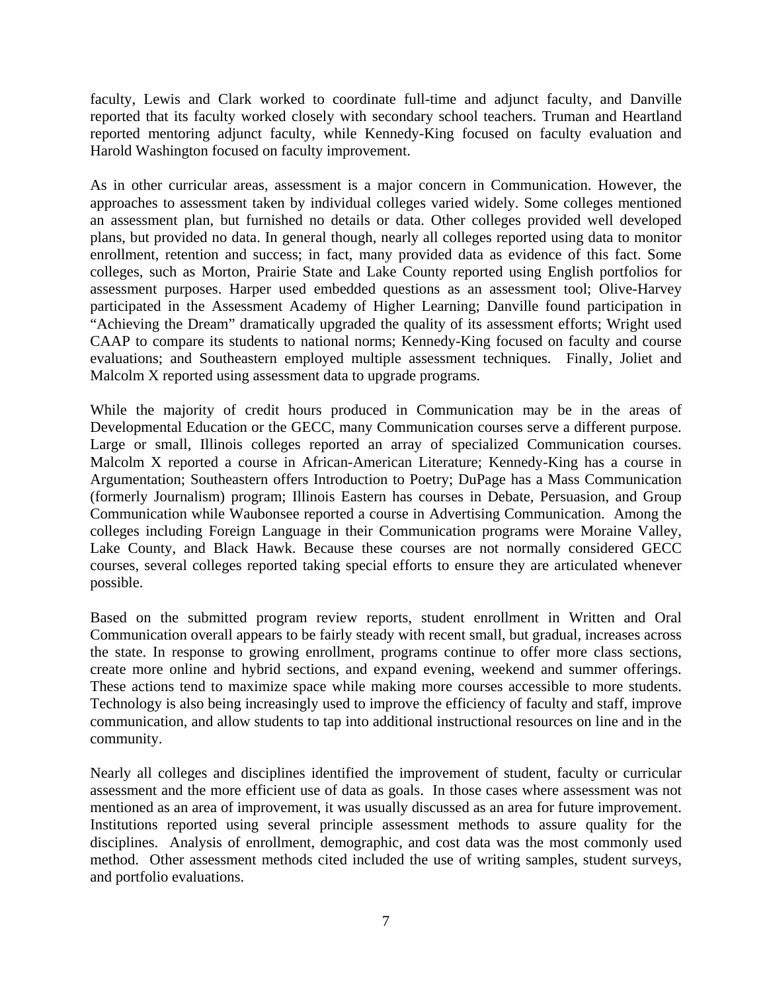faculty, Lewis and Clark worked to coordinate full-time and adjunct faculty, and Danville reported that its faculty worked closely with secondary school teachers. Truman and Heartland reported mentoring adjunct faculty, while Kennedy-King focused on faculty evaluation and Harold Washington focused on faculty improvement.

As in other curricular areas, assessment is a major concern in Communication. However, the approaches to assessment taken by individual colleges varied widely. Some colleges mentioned an assessment plan, but furnished no details or data. Other colleges provided well developed plans, but provided no data. In general though, nearly all colleges reported using data to monitor enrollment, retention and success; in fact, many provided data as evidence of this fact. Some colleges, such as Morton, Prairie State and Lake County reported using English portfolios for assessment purposes. Harper used embedded questions as an assessment tool; Olive-Harvey participated in the Assessment Academy of Higher Learning; Danville found participation in "Achieving the Dream" dramatically upgraded the quality of its assessment efforts; Wright used CAAP to compare its students to national norms; Kennedy-King focused on faculty and course evaluations; and Southeastern employed multiple assessment techniques. Finally, Joliet and Malcolm X reported using assessment data to upgrade programs.

While the majority of credit hours produced in Communication may be in the areas of Developmental Education or the GECC, many Communication courses serve a different purpose. Large or small, Illinois colleges reported an array of specialized Communication courses. Malcolm X reported a course in African-American Literature; Kennedy-King has a course in Argumentation; Southeastern offers Introduction to Poetry; DuPage has a Mass Communication (formerly Journalism) program; Illinois Eastern has courses in Debate, Persuasion, and Group Communication while Waubonsee reported a course in Advertising Communication. Among the colleges including Foreign Language in their Communication programs were Moraine Valley, Lake County, and Black Hawk. Because these courses are not normally considered GECC courses, several colleges reported taking special efforts to ensure they are articulated whenever possible.

Based on the submitted program review reports, student enrollment in Written and Oral Communication overall appears to be fairly steady with recent small, but gradual, increases across the state. In response to growing enrollment, programs continue to offer more class sections, create more online and hybrid sections, and expand evening, weekend and summer offerings. These actions tend to maximize space while making more courses accessible to more students. Technology is also being increasingly used to improve the efficiency of faculty and staff, improve communication, and allow students to tap into additional instructional resources on line and in the community.

Nearly all colleges and disciplines identified the improvement of student, faculty or curricular assessment and the more efficient use of data as goals. In those cases where assessment was not mentioned as an area of improvement, it was usually discussed as an area for future improvement. Institutions reported using several principle assessment methods to assure quality for the disciplines. Analysis of enrollment, demographic, and cost data was the most commonly used method. Other assessment methods cited included the use of writing samples, student surveys, and portfolio evaluations.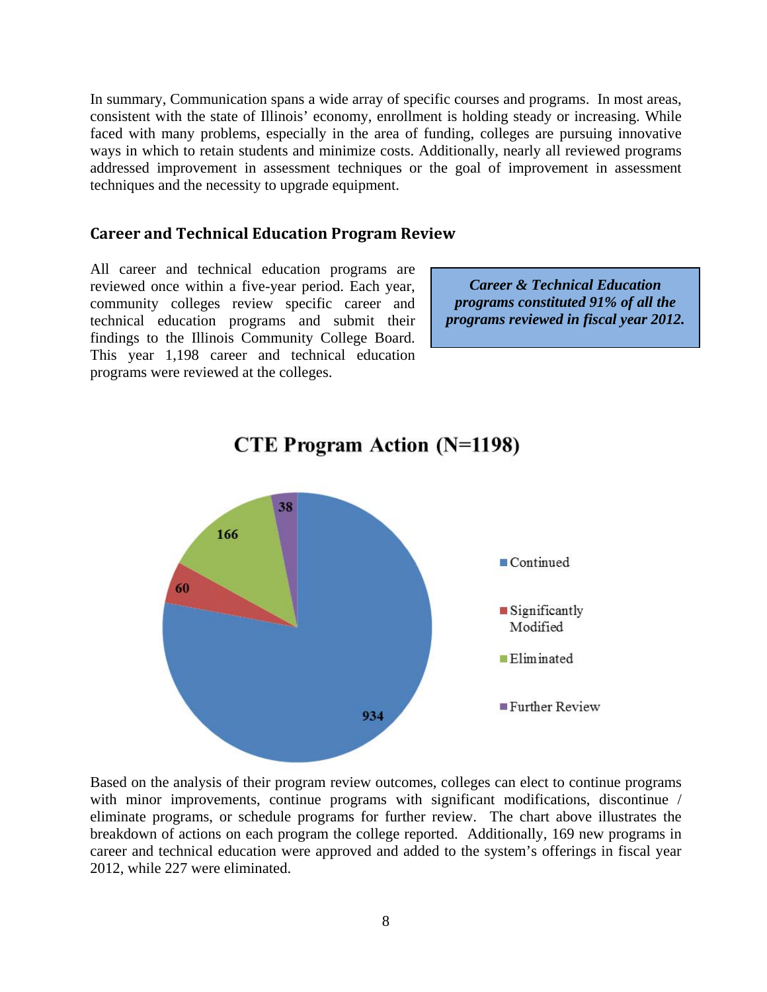In summary, Communication spans a wide array of specific courses and programs. In most areas, consistent with the state of Illinois' economy, enrollment is holding steady or increasing. While faced with many problems, especially in the area of funding, colleges are pursuing innovative ways in which to retain students and minimize costs. Additionally, nearly all reviewed programs addressed improvement in assessment techniques or the goal of improvement in assessment techniques and the necessity to upgrade equipment.

### **Career and Technical Education Program Review**

All career and technical education programs are reviewed once within a five-year period. Each year, community colleges review specific career and technical education programs and submit their findings to the Illinois Community College Board. This year 1,198 career and technical education programs were reviewed at the colleges.

*Career & Technical Education programs constituted 91% of all the programs reviewed in fiscal year 2012.*



# **CTE Program Action (N=1198)**

Based on the analysis of their program review outcomes, colleges can elect to continue programs with minor improvements, continue programs with significant modifications, discontinue / eliminate programs, or schedule programs for further review. The chart above illustrates the breakdown of actions on each program the college reported. Additionally, 169 new programs in career and technical education were approved and added to the system's offerings in fiscal year 2012, while 227 were eliminated.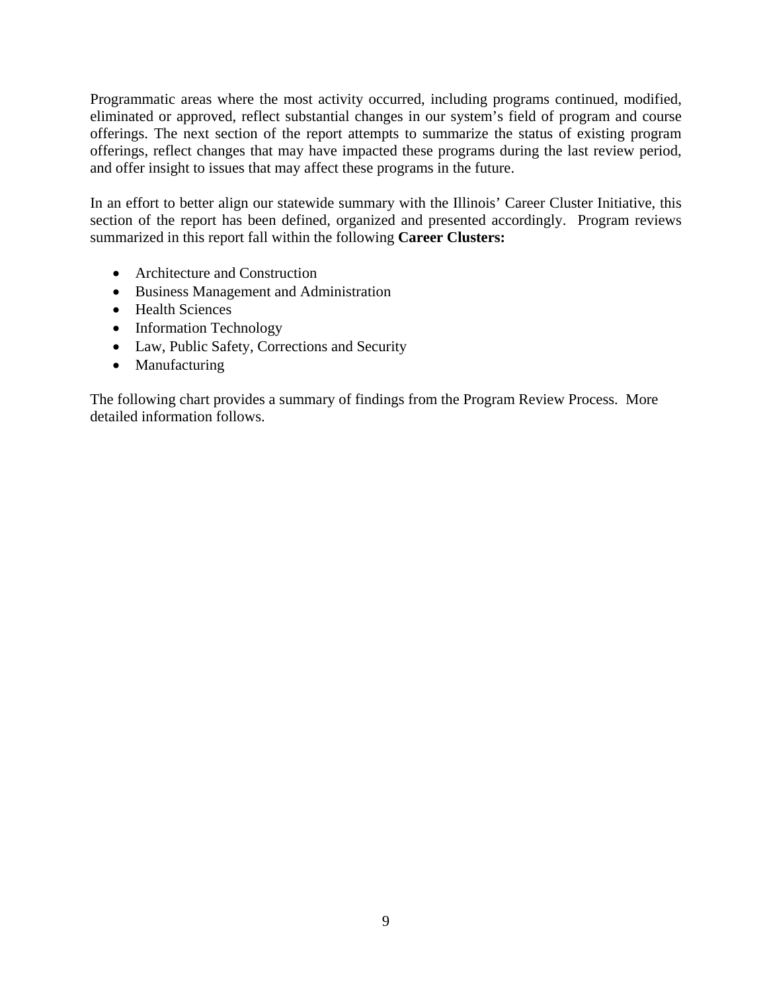Programmatic areas where the most activity occurred, including programs continued, modified, eliminated or approved, reflect substantial changes in our system's field of program and course offerings. The next section of the report attempts to summarize the status of existing program offerings, reflect changes that may have impacted these programs during the last review period, and offer insight to issues that may affect these programs in the future.

In an effort to better align our statewide summary with the Illinois' Career Cluster Initiative, this section of the report has been defined, organized and presented accordingly. Program reviews summarized in this report fall within the following **Career Clusters:** 

- Architecture and Construction
- Business Management and Administration
- Health Sciences
- Information Technology
- Law, Public Safety, Corrections and Security
- Manufacturing

The following chart provides a summary of findings from the Program Review Process. More detailed information follows.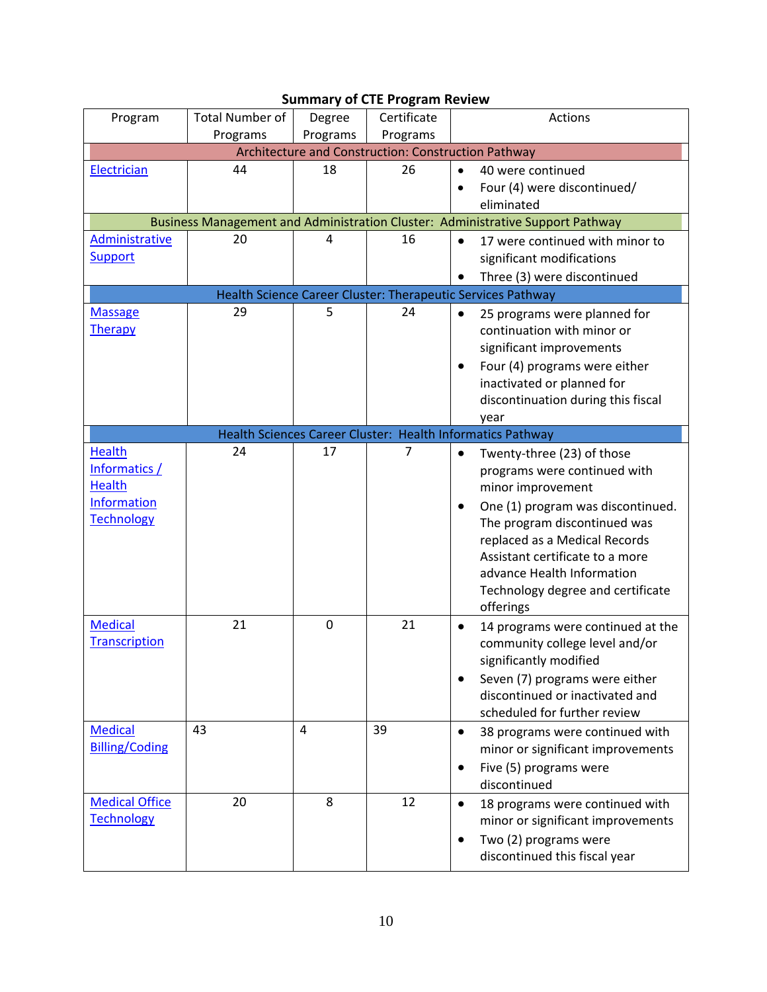| Program                                                               | <b>Total Number of</b> | Degree      | Certificate | Actions                                                                                                                                                                                                               |  |  |  |
|-----------------------------------------------------------------------|------------------------|-------------|-------------|-----------------------------------------------------------------------------------------------------------------------------------------------------------------------------------------------------------------------|--|--|--|
|                                                                       | Programs               | Programs    | Programs    |                                                                                                                                                                                                                       |  |  |  |
| Architecture and Construction: Construction Pathway                   |                        |             |             |                                                                                                                                                                                                                       |  |  |  |
| Electrician                                                           | 44                     | 18          | 26          | 40 were continued<br>Four (4) were discontinued/<br>eliminated                                                                                                                                                        |  |  |  |
|                                                                       |                        |             |             | Business Management and Administration Cluster: Administrative Support Pathway                                                                                                                                        |  |  |  |
| Administrative<br><b>Support</b>                                      | 20                     | 4           | 16          | 17 were continued with minor to<br>$\bullet$<br>significant modifications                                                                                                                                             |  |  |  |
|                                                                       |                        |             |             | Three (3) were discontinued                                                                                                                                                                                           |  |  |  |
|                                                                       |                        |             |             | Health Science Career Cluster: Therapeutic Services Pathway                                                                                                                                                           |  |  |  |
| <b>Massage</b><br>Therapy                                             | 29                     | 5           | 24          | 25 programs were planned for<br>$\bullet$<br>continuation with minor or<br>significant improvements<br>Four (4) programs were either<br>٠<br>inactivated or planned for<br>discontinuation during this fiscal<br>year |  |  |  |
|                                                                       |                        |             |             | Health Sciences Career Cluster: Health Informatics Pathway                                                                                                                                                            |  |  |  |
| <b>Health</b><br>Informatics /<br><b>Health</b><br><b>Information</b> | 24                     | 17          | 7           | Twenty-three (23) of those<br>$\bullet$<br>programs were continued with<br>minor improvement<br>One (1) program was discontinued.                                                                                     |  |  |  |
| <b>Technology</b>                                                     |                        |             |             | The program discontinued was<br>replaced as a Medical Records<br>Assistant certificate to a more<br>advance Health Information<br>Technology degree and certificate<br>offerings                                      |  |  |  |
| <b>Medical</b><br><b>Transcription</b>                                | 21                     | $\mathbf 0$ | 21          | 14 programs were continued at the<br>$\bullet$<br>community college level and/or<br>significantly modified                                                                                                            |  |  |  |
|                                                                       |                        |             |             | Seven (7) programs were either<br>discontinued or inactivated and<br>scheduled for further review                                                                                                                     |  |  |  |
| <b>Medical</b><br><b>Billing/Coding</b>                               | 43                     | 4           | 39          | 38 programs were continued with<br>$\bullet$<br>minor or significant improvements<br>Five (5) programs were<br>discontinued                                                                                           |  |  |  |
| <b>Medical Office</b><br><b>Technology</b>                            | 20                     | 8           | 12          | 18 programs were continued with<br>minor or significant improvements<br>Two (2) programs were<br>$\bullet$<br>discontinued this fiscal year                                                                           |  |  |  |

# **Summary of CTE Program Review**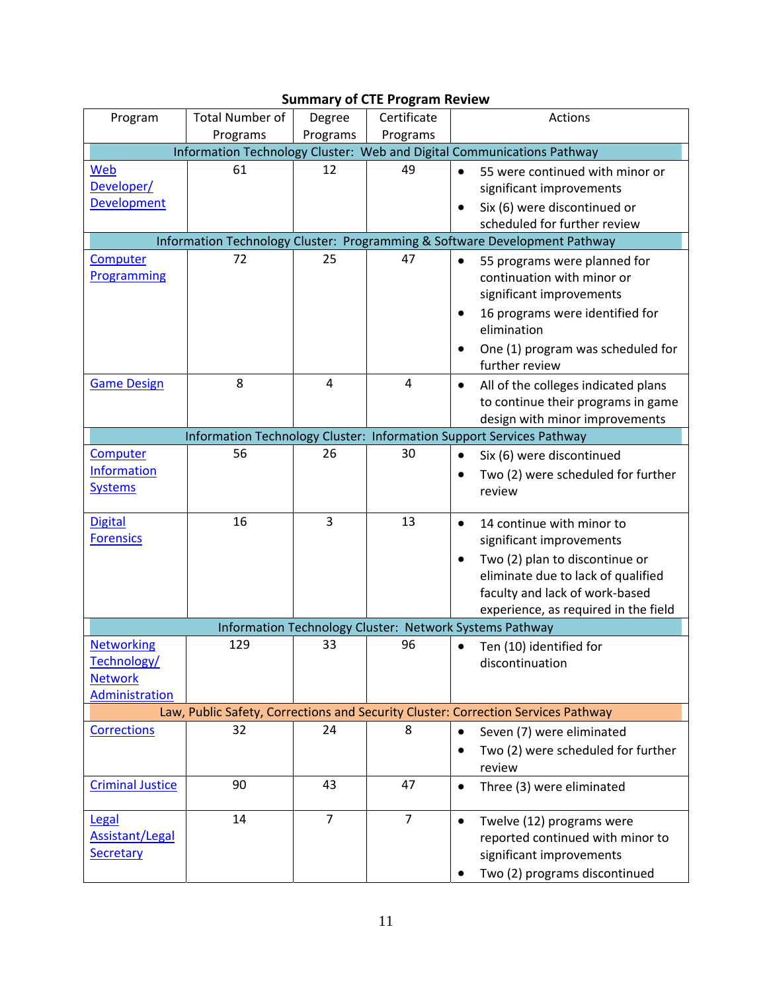| Program                                                                | Total Number of | Degree         | Certificate    | Actions                                                                           |  |  |  |
|------------------------------------------------------------------------|-----------------|----------------|----------------|-----------------------------------------------------------------------------------|--|--|--|
|                                                                        | Programs        | Programs       | Programs       |                                                                                   |  |  |  |
| Information Technology Cluster: Web and Digital Communications Pathway |                 |                |                |                                                                                   |  |  |  |
| Web                                                                    | 61              | 12             | 49             | 55 were continued with minor or                                                   |  |  |  |
| Developer/                                                             |                 |                |                | significant improvements                                                          |  |  |  |
| <b>Development</b>                                                     |                 |                |                | Six (6) were discontinued or                                                      |  |  |  |
|                                                                        |                 |                |                | scheduled for further review                                                      |  |  |  |
|                                                                        |                 |                |                | Information Technology Cluster: Programming & Software Development Pathway        |  |  |  |
| <b>Computer</b>                                                        | 72              | 25             | 47             |                                                                                   |  |  |  |
| Programming                                                            |                 |                |                | 55 programs were planned for<br>continuation with minor or                        |  |  |  |
|                                                                        |                 |                |                |                                                                                   |  |  |  |
|                                                                        |                 |                |                | significant improvements                                                          |  |  |  |
|                                                                        |                 |                |                | 16 programs were identified for                                                   |  |  |  |
|                                                                        |                 |                |                | elimination                                                                       |  |  |  |
|                                                                        |                 |                |                | One (1) program was scheduled for                                                 |  |  |  |
|                                                                        |                 |                |                | further review                                                                    |  |  |  |
| <b>Game Design</b>                                                     | 8               | 4              | $\overline{4}$ | All of the colleges indicated plans<br>$\bullet$                                  |  |  |  |
|                                                                        |                 |                |                | to continue their programs in game                                                |  |  |  |
|                                                                        |                 |                |                | design with minor improvements                                                    |  |  |  |
|                                                                        |                 |                |                | Information Technology Cluster: Information Support Services Pathway              |  |  |  |
| Computer                                                               | 56              | 26             | 30             | Six (6) were discontinued                                                         |  |  |  |
| Information                                                            |                 |                |                | Two (2) were scheduled for further                                                |  |  |  |
| <b>Systems</b>                                                         |                 |                |                | review                                                                            |  |  |  |
|                                                                        |                 |                |                |                                                                                   |  |  |  |
| <b>Digital</b>                                                         | 16              | 3              | 13             | 14 continue with minor to                                                         |  |  |  |
| <b>Forensics</b>                                                       |                 |                |                | significant improvements                                                          |  |  |  |
|                                                                        |                 |                |                | Two (2) plan to discontinue or                                                    |  |  |  |
|                                                                        |                 |                |                | eliminate due to lack of qualified                                                |  |  |  |
|                                                                        |                 |                |                | faculty and lack of work-based                                                    |  |  |  |
|                                                                        |                 |                |                | experience, as required in the field                                              |  |  |  |
|                                                                        |                 |                |                | Information Technology Cluster: Network Systems Pathway                           |  |  |  |
| <b>Networking</b>                                                      | 129             | 33             | 96             | Ten (10) identified for                                                           |  |  |  |
| Technology/                                                            |                 |                |                | discontinuation                                                                   |  |  |  |
| <b>Network</b>                                                         |                 |                |                |                                                                                   |  |  |  |
| Administration                                                         |                 |                |                |                                                                                   |  |  |  |
|                                                                        |                 |                |                | Law, Public Safety, Corrections and Security Cluster: Correction Services Pathway |  |  |  |
| <b>Corrections</b>                                                     | 32              | 24             | 8              | $\bullet$                                                                         |  |  |  |
|                                                                        |                 |                |                | Seven (7) were eliminated                                                         |  |  |  |
|                                                                        |                 |                |                | Two (2) were scheduled for further                                                |  |  |  |
|                                                                        |                 |                |                | review                                                                            |  |  |  |
| <b>Criminal Justice</b>                                                | 90              | 43             | 47             | Three (3) were eliminated<br>$\bullet$                                            |  |  |  |
|                                                                        |                 |                |                |                                                                                   |  |  |  |
| <b>Legal</b>                                                           | 14              | $\overline{7}$ | $\overline{7}$ | Twelve (12) programs were<br>$\bullet$                                            |  |  |  |
| <b>Assistant/Legal</b>                                                 |                 |                |                | reported continued with minor to                                                  |  |  |  |
| Secretary                                                              |                 |                |                | significant improvements                                                          |  |  |  |
|                                                                        |                 |                |                | Two (2) programs discontinued                                                     |  |  |  |

## **Summary of CTE Program Review**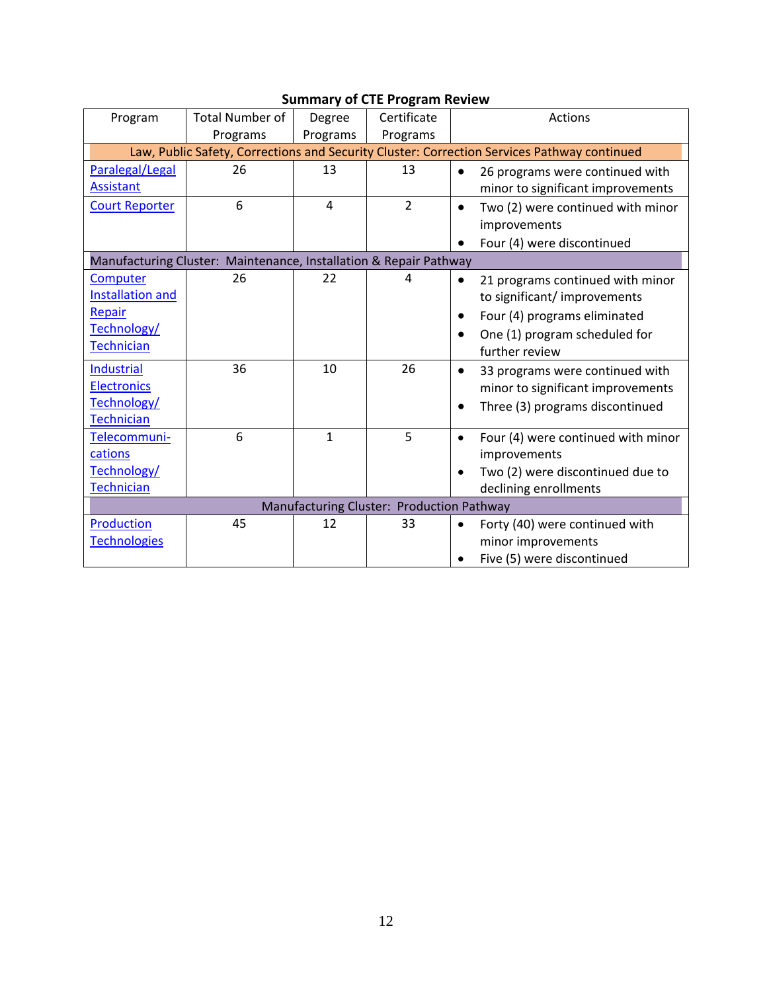| Program                                                                                     | <b>Total Number of</b> | Degree         | Certificate    | Actions                                         |  |  |  |
|---------------------------------------------------------------------------------------------|------------------------|----------------|----------------|-------------------------------------------------|--|--|--|
|                                                                                             | Programs               | Programs       | Programs       |                                                 |  |  |  |
| Law, Public Safety, Corrections and Security Cluster: Correction Services Pathway continued |                        |                |                |                                                 |  |  |  |
| Paralegal/Legal                                                                             | 26                     | 13             | 13             | 26 programs were continued with<br>$\bullet$    |  |  |  |
| <b>Assistant</b>                                                                            |                        |                |                | minor to significant improvements               |  |  |  |
| <b>Court Reporter</b>                                                                       | 6                      | $\overline{a}$ | $\overline{2}$ | Two (2) were continued with minor<br>$\bullet$  |  |  |  |
|                                                                                             |                        |                |                | improvements                                    |  |  |  |
|                                                                                             |                        |                |                | Four (4) were discontinued                      |  |  |  |
| Manufacturing Cluster: Maintenance, Installation & Repair Pathway                           |                        |                |                |                                                 |  |  |  |
| Computer                                                                                    | 26                     | 22             | 4              | 21 programs continued with minor<br>$\bullet$   |  |  |  |
| <b>Installation and</b>                                                                     |                        |                |                | to significant/improvements                     |  |  |  |
| Repair                                                                                      |                        |                |                | Four (4) programs eliminated<br>$\bullet$       |  |  |  |
| Technology/                                                                                 |                        |                |                | One (1) program scheduled for                   |  |  |  |
| <b>Technician</b>                                                                           |                        |                |                | further review                                  |  |  |  |
| <b>Industrial</b>                                                                           | 36                     | 10             | 26             | 33 programs were continued with<br>$\bullet$    |  |  |  |
| <b>Electronics</b>                                                                          |                        |                |                | minor to significant improvements               |  |  |  |
| Technology/                                                                                 |                        |                |                | Three (3) programs discontinued                 |  |  |  |
| <b>Technician</b>                                                                           |                        |                |                |                                                 |  |  |  |
| Telecommuni-                                                                                | 6                      | $\mathbf{1}$   | 5              | Four (4) were continued with minor<br>$\bullet$ |  |  |  |
| cations                                                                                     |                        |                |                | improvements                                    |  |  |  |
| Technology/                                                                                 |                        |                |                | Two (2) were discontinued due to<br>$\bullet$   |  |  |  |
| <b>Technician</b>                                                                           |                        |                |                | declining enrollments                           |  |  |  |
| Manufacturing Cluster: Production Pathway                                                   |                        |                |                |                                                 |  |  |  |
| Production                                                                                  | 45                     | 12             | 33             | Forty (40) were continued with<br>$\bullet$     |  |  |  |
| <b>Technologies</b>                                                                         |                        |                |                | minor improvements                              |  |  |  |
|                                                                                             |                        |                |                | Five (5) were discontinued                      |  |  |  |

## **Summary of CTE Program Review**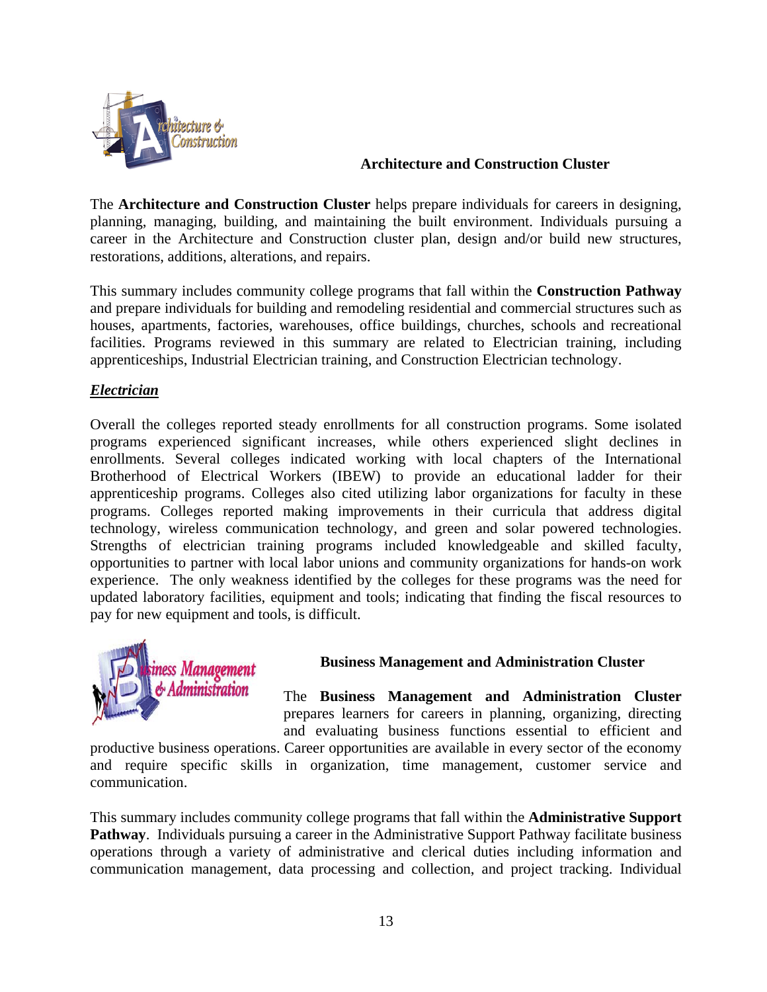

### **Architecture and Construction Cluster**

The **Architecture and Construction Cluster** helps prepare individuals for careers in designing, planning, managing, building, and maintaining the built environment. Individuals pursuing a career in the Architecture and Construction cluster plan, design and/or build new structures, restorations, additions, alterations, and repairs.

This summary includes community college programs that fall within the **Construction Pathway**  and prepare individuals for building and remodeling residential and commercial structures such as houses, apartments, factories, warehouses, office buildings, churches, schools and recreational facilities. Programs reviewed in this summary are related to Electrician training, including apprenticeships, Industrial Electrician training, and Construction Electrician technology.

### *Electrician*

Overall the colleges reported steady enrollments for all construction programs. Some isolated programs experienced significant increases, while others experienced slight declines in enrollments. Several colleges indicated working with local chapters of the International Brotherhood of Electrical Workers (IBEW) to provide an educational ladder for their apprenticeship programs. Colleges also cited utilizing labor organizations for faculty in these programs. Colleges reported making improvements in their curricula that address digital technology, wireless communication technology, and green and solar powered technologies. Strengths of electrician training programs included knowledgeable and skilled faculty, opportunities to partner with local labor unions and community organizations for hands-on work experience. The only weakness identified by the colleges for these programs was the need for updated laboratory facilities, equipment and tools; indicating that finding the fiscal resources to pay for new equipment and tools, is difficult.



### **Business Management and Administration Cluster**

The **Business Management and Administration Cluster** prepares learners for careers in planning, organizing, directing and evaluating business functions essential to efficient and

productive business operations. Career opportunities are available in every sector of the economy and require specific skills in organization, time management, customer service and communication.

This summary includes community college programs that fall within the **Administrative Support Pathway**. Individuals pursuing a career in the Administrative Support Pathway facilitate business operations through a variety of administrative and clerical duties including information and communication management, data processing and collection, and project tracking. Individual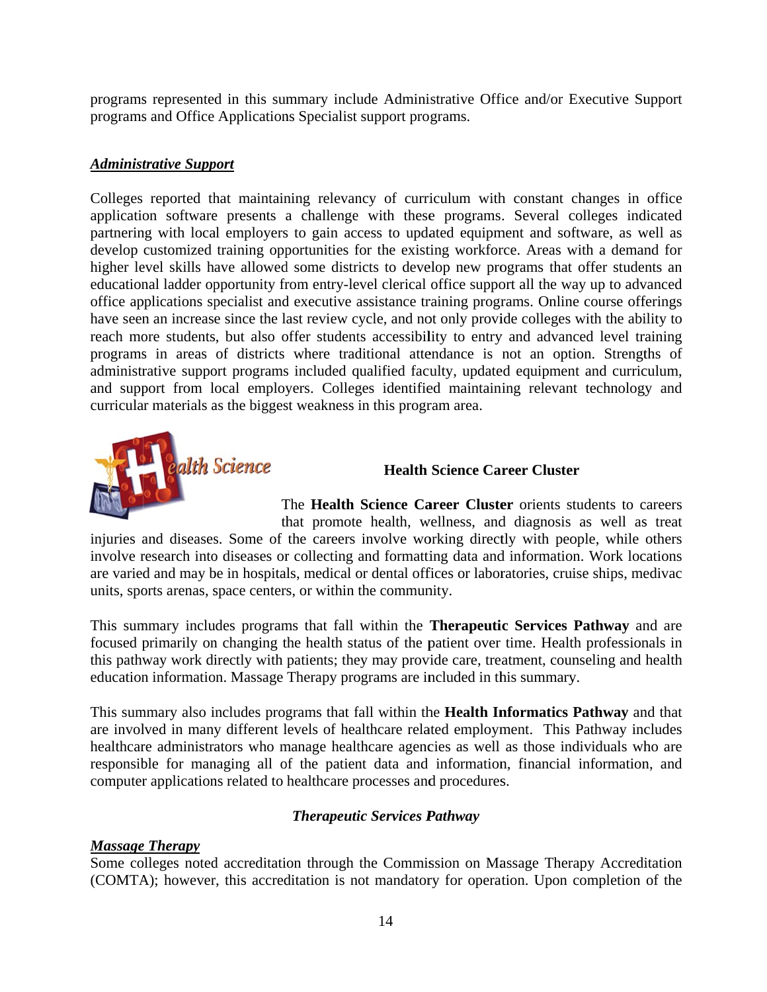programs represented in this summary include Administrative Office and/or Executive Support programs and Office Applications Specialist support programs.

### *Administ trative Supp port*

Colleges reported that maintaining relevancy of curriculum with constant changes in office application software presents a challenge with these programs. Several colleges indicated partnering with local employers to gain access to updated equipment and software, as well as develop customized training opportunities for the existing workforce. Areas with a demand for higher level skills have allowed some districts to develop new programs that offer students an educational ladder opportunity from entry-level clerical office support all the way up to advanced office applications specialist and executive assistance training programs. Online course offerings have seen an increase since the last review cycle, and not only provide colleges with the ability to reach more students, but also offer students accessibility to entry and advanced level training programs in areas of districts where traditional attendance is not an option. Strengths of administrative support programs included qualified faculty, updated equipment and curriculum, and support from local employers. Colleges identified maintaining relevant technology and curricular materials as the biggest weakness in this program area.



### **Health Science Career Cluster**

The Health Science Career Cluster orients students to careers that promote health, wellness, and diagnosis as well as treat

injuries and diseases. Some of the careers involve working directly with people, while others involve research into diseases or collecting and formatting data and information. Work locations are varied and may be in hospitals, medical or dental offices or laboratories, cruise ships, medivac units, sports arenas, space centers, or within the community.

This summary includes programs that fall within the **Therapeutic Services Pathway** and are focused primarily on changing the health status of the patient over time. Health professionals in this pathway work directly with patients; they may provide care, treatment, counseling and health education information. Massage Therapy programs are included in this summary.

This summary also includes programs that fall within the Health Informatics Pathway and that are involved in many different levels of healthcare related employment. This Pathway includes healthcare administrators who manage healthcare agencies as well as those individuals who are responsible for managing all of the patient data and information, financial information, and computer applications related to healthcare processes and procedures.

### *Therapeutic Services Pathway*

### *Massage Therapy*

Some colleges noted accreditation through the Commission on Massage Therapy Accreditation (COMTA); however, this accreditation is not mandatory for operation. Upon completion of the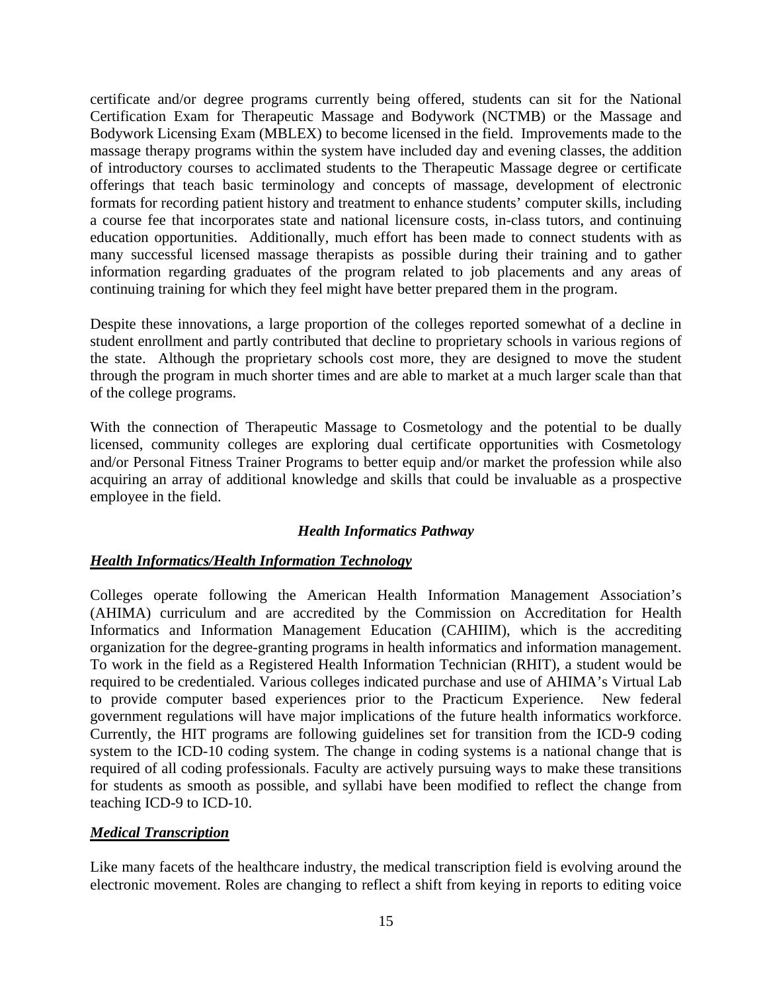certificate and/or degree programs currently being offered, students can sit for the National Certification Exam for Therapeutic Massage and Bodywork (NCTMB) or the Massage and Bodywork Licensing Exam (MBLEX) to become licensed in the field. Improvements made to the massage therapy programs within the system have included day and evening classes, the addition of introductory courses to acclimated students to the Therapeutic Massage degree or certificate offerings that teach basic terminology and concepts of massage, development of electronic formats for recording patient history and treatment to enhance students' computer skills, including a course fee that incorporates state and national licensure costs, in-class tutors, and continuing education opportunities. Additionally, much effort has been made to connect students with as many successful licensed massage therapists as possible during their training and to gather information regarding graduates of the program related to job placements and any areas of continuing training for which they feel might have better prepared them in the program.

Despite these innovations, a large proportion of the colleges reported somewhat of a decline in student enrollment and partly contributed that decline to proprietary schools in various regions of the state. Although the proprietary schools cost more, they are designed to move the student through the program in much shorter times and are able to market at a much larger scale than that of the college programs.

With the connection of Therapeutic Massage to Cosmetology and the potential to be dually licensed, community colleges are exploring dual certificate opportunities with Cosmetology and/or Personal Fitness Trainer Programs to better equip and/or market the profession while also acquiring an array of additional knowledge and skills that could be invaluable as a prospective employee in the field.

### *Health Informatics Pathway*

### *Health Informatics/Health Information Technology*

Colleges operate following the American Health Information Management Association's (AHIMA) curriculum and are accredited by the Commission on Accreditation for Health Informatics and Information Management Education (CAHIIM), which is the accrediting organization for the degree-granting programs in health informatics and information management. To work in the field as a Registered Health Information Technician (RHIT), a student would be required to be credentialed. Various colleges indicated purchase and use of AHIMA's Virtual Lab to provide computer based experiences prior to the Practicum Experience. New federal government regulations will have major implications of the future health informatics workforce. Currently, the HIT programs are following guidelines set for transition from the ICD-9 coding system to the ICD-10 coding system. The change in coding systems is a national change that is required of all coding professionals. Faculty are actively pursuing ways to make these transitions for students as smooth as possible, and syllabi have been modified to reflect the change from teaching ICD-9 to ICD-10.

### *Medical Transcription*

Like many facets of the healthcare industry, the medical transcription field is evolving around the electronic movement. Roles are changing to reflect a shift from keying in reports to editing voice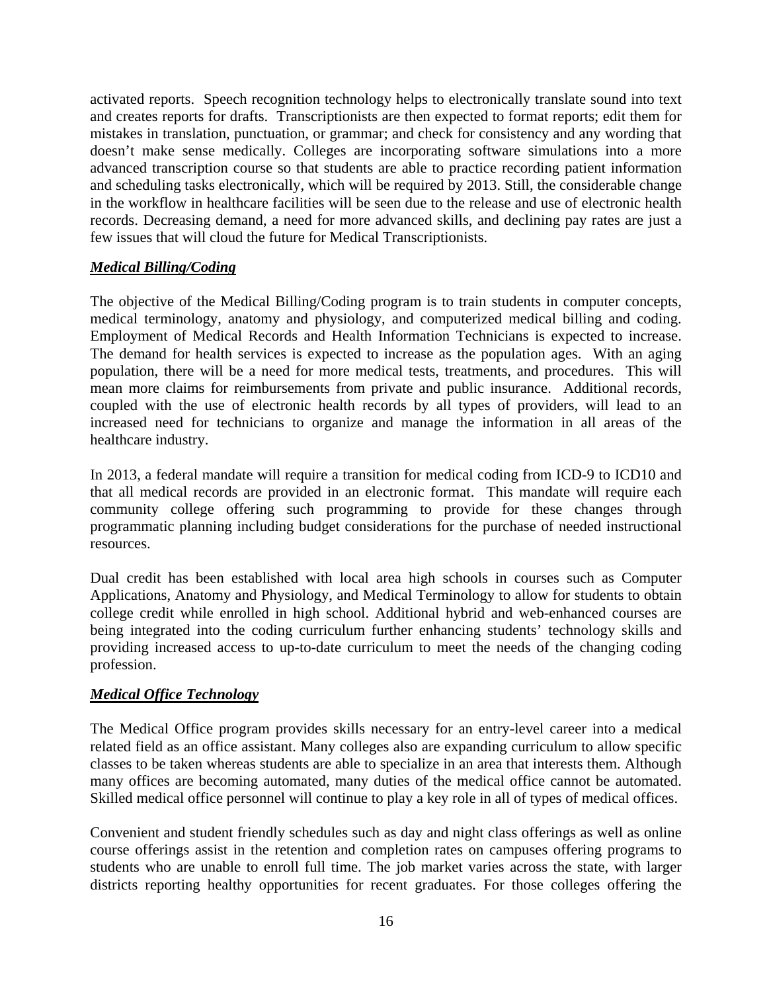activated reports. Speech recognition technology helps to electronically translate sound into text and creates reports for drafts. Transcriptionists are then expected to format reports; edit them for mistakes in translation, punctuation, or grammar; and check for consistency and any wording that doesn't make sense medically. Colleges are incorporating software simulations into a more advanced transcription course so that students are able to practice recording patient information and scheduling tasks electronically, which will be required by 2013. Still, the considerable change in the workflow in healthcare facilities will be seen due to the release and use of electronic health records. Decreasing demand, a need for more advanced skills, and declining pay rates are just a few issues that will cloud the future for Medical Transcriptionists.

### *Medical Billing/Coding*

The objective of the Medical Billing/Coding program is to train students in computer concepts, medical terminology, anatomy and physiology, and computerized medical billing and coding. Employment of Medical Records and Health Information Technicians is expected to increase. The demand for health services is expected to increase as the population ages. With an aging population, there will be a need for more medical tests, treatments, and procedures. This will mean more claims for reimbursements from private and public insurance. Additional records, coupled with the use of electronic health records by all types of providers, will lead to an increased need for technicians to organize and manage the information in all areas of the healthcare industry.

In 2013, a federal mandate will require a transition for medical coding from ICD-9 to ICD10 and that all medical records are provided in an electronic format. This mandate will require each community college offering such programming to provide for these changes through programmatic planning including budget considerations for the purchase of needed instructional resources.

Dual credit has been established with local area high schools in courses such as Computer Applications, Anatomy and Physiology, and Medical Terminology to allow for students to obtain college credit while enrolled in high school. Additional hybrid and web-enhanced courses are being integrated into the coding curriculum further enhancing students' technology skills and providing increased access to up-to-date curriculum to meet the needs of the changing coding profession.

### *Medical Office Technology*

The Medical Office program provides skills necessary for an entry-level career into a medical related field as an office assistant. Many colleges also are expanding curriculum to allow specific classes to be taken whereas students are able to specialize in an area that interests them. Although many offices are becoming automated, many duties of the medical office cannot be automated. Skilled medical office personnel will continue to play a key role in all of types of medical offices.

Convenient and student friendly schedules such as day and night class offerings as well as online course offerings assist in the retention and completion rates on campuses offering programs to students who are unable to enroll full time. The job market varies across the state, with larger districts reporting healthy opportunities for recent graduates. For those colleges offering the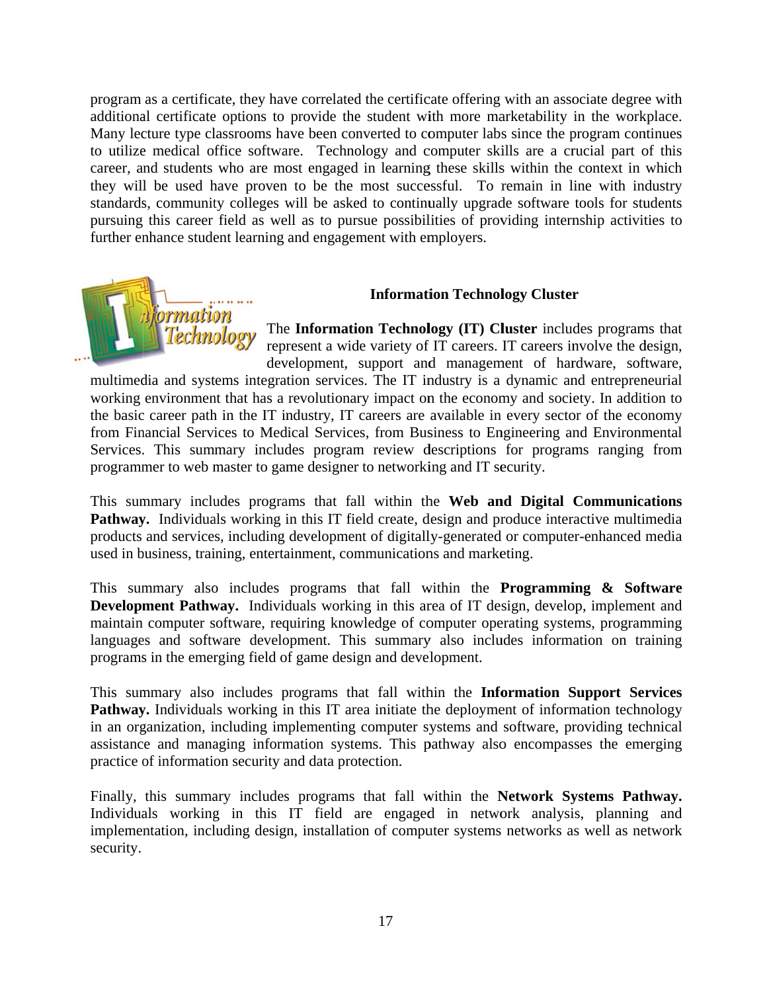program as a certificate, they have correlated the certificate offering with an associate degree with additional certificate options to provide the student with more marketability in the workplace. Many lecture type classrooms have been converted to computer labs since the program continues to utilize medical office software. Technology and computer skills are a crucial part of this career, and students who are most engaged in learning these skills within the context in which they will be used have proven to be the most successful. To remain in line with industry standards, community colleges will be asked to continually upgrade software tools for students pursuing this career field as well as to pursue possibilities of providing internship activities to further enhance student learning and engagement with employers.



#### **Information Technology Cluster**

The Information Technology (IT) Cluster includes programs that represent a wide variety of IT careers. IT careers involve the design, development, support and management of hardware, software,

multimedia and systems integration services. The IT industry is a dynamic and entrepreneurial working environment that has a revolutionary impact on the economy and society. In addition to the basic career path in the IT industry, IT careers are available in every sector of the economy from Financial Services to Medical Services, from Business to Engineering and Environmental Services. This summary includes program review descriptions for programs ranging from programmer to web master to game designer to networking and IT security.

This summary includes programs that fall within the Web and Digital Communications Pathway. Individuals working in this IT field create, design and produce interactive multimedia products and services, including development of digitally-generated or computer-enhanced media used in business, training, entertainment, communications and marketing.

This summary also includes programs that fall within the **Programming & Software Development Pathway.** Individuals working in this area of IT design, develop, implement and maintain computer software, requiring knowledge of computer operating systems, programming languages and software development. This summary also includes information on training programs in the emerging field of game design and development.

This summary also includes programs that fall within the Information Support Services Pathway. Individuals working in this IT area initiate the deployment of information technology in an organization, including implementing computer systems and software, providing technical assistance and managing information systems. This pathway also encompasses the emerging practice of information security and data protection.

Finally, this summary includes programs that fall within the Network Systems Pathway. Individuals working in this IT field are engaged in network analysis, planning and implementation, including design, installation of computer systems networks as well as network security.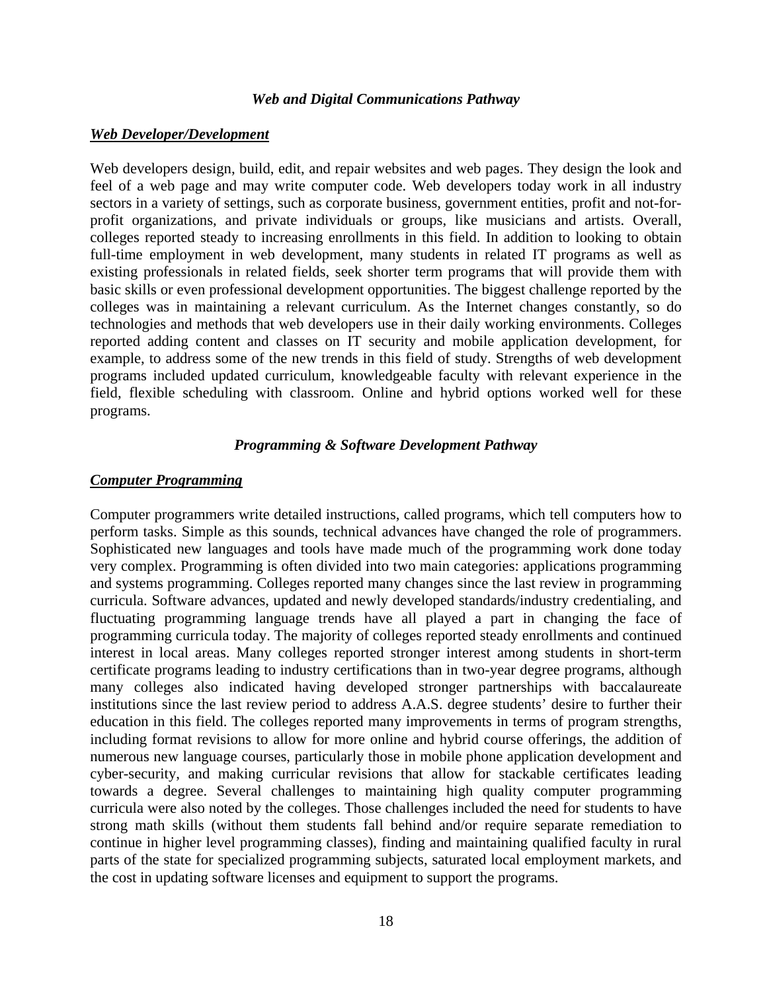#### *Web and Digital Communications Pathway*

#### *Web Developer/Development*

Web developers design, build, edit, and repair websites and web pages. They design the look and feel of a web page and may write computer code. Web developers today work in all industry sectors in a variety of settings, such as corporate business, government entities, profit and not-forprofit organizations, and private individuals or groups, like musicians and artists. Overall, colleges reported steady to increasing enrollments in this field. In addition to looking to obtain full-time employment in web development, many students in related IT programs as well as existing professionals in related fields, seek shorter term programs that will provide them with basic skills or even professional development opportunities. The biggest challenge reported by the colleges was in maintaining a relevant curriculum. As the Internet changes constantly, so do technologies and methods that web developers use in their daily working environments. Colleges reported adding content and classes on IT security and mobile application development, for example, to address some of the new trends in this field of study. Strengths of web development programs included updated curriculum, knowledgeable faculty with relevant experience in the field, flexible scheduling with classroom. Online and hybrid options worked well for these programs.

#### *Programming & Software Development Pathway*

#### *Computer Programming*

Computer programmers write detailed instructions, called programs, which tell computers how to perform tasks. Simple as this sounds, technical advances have changed the role of programmers. Sophisticated new languages and tools have made much of the programming work done today very complex. Programming is often divided into two main categories: applications programming and systems programming. Colleges reported many changes since the last review in programming curricula. Software advances, updated and newly developed standards/industry credentialing, and fluctuating programming language trends have all played a part in changing the face of programming curricula today. The majority of colleges reported steady enrollments and continued interest in local areas. Many colleges reported stronger interest among students in short-term certificate programs leading to industry certifications than in two-year degree programs, although many colleges also indicated having developed stronger partnerships with baccalaureate institutions since the last review period to address A.A.S. degree students' desire to further their education in this field. The colleges reported many improvements in terms of program strengths, including format revisions to allow for more online and hybrid course offerings, the addition of numerous new language courses, particularly those in mobile phone application development and cyber-security, and making curricular revisions that allow for stackable certificates leading towards a degree. Several challenges to maintaining high quality computer programming curricula were also noted by the colleges. Those challenges included the need for students to have strong math skills (without them students fall behind and/or require separate remediation to continue in higher level programming classes), finding and maintaining qualified faculty in rural parts of the state for specialized programming subjects, saturated local employment markets, and the cost in updating software licenses and equipment to support the programs.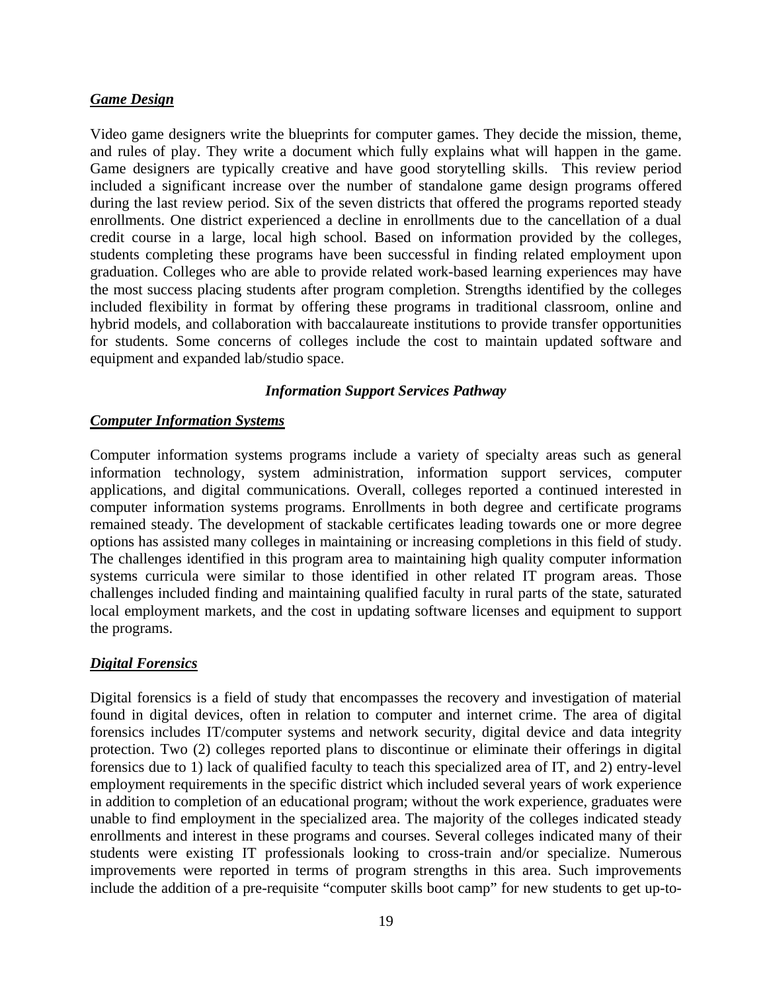### *Game Design*

Video game designers write the blueprints for computer games. They decide the mission, theme, and rules of play. They write a document which fully explains what will happen in the game. Game designers are typically creative and have good storytelling skills. This review period included a significant increase over the number of standalone game design programs offered during the last review period. Six of the seven districts that offered the programs reported steady enrollments. One district experienced a decline in enrollments due to the cancellation of a dual credit course in a large, local high school. Based on information provided by the colleges, students completing these programs have been successful in finding related employment upon graduation. Colleges who are able to provide related work-based learning experiences may have the most success placing students after program completion. Strengths identified by the colleges included flexibility in format by offering these programs in traditional classroom, online and hybrid models, and collaboration with baccalaureate institutions to provide transfer opportunities for students. Some concerns of colleges include the cost to maintain updated software and equipment and expanded lab/studio space.

### *Information Support Services Pathway*

#### *Computer Information Systems*

Computer information systems programs include a variety of specialty areas such as general information technology, system administration, information support services, computer applications, and digital communications. Overall, colleges reported a continued interested in computer information systems programs. Enrollments in both degree and certificate programs remained steady. The development of stackable certificates leading towards one or more degree options has assisted many colleges in maintaining or increasing completions in this field of study. The challenges identified in this program area to maintaining high quality computer information systems curricula were similar to those identified in other related IT program areas. Those challenges included finding and maintaining qualified faculty in rural parts of the state, saturated local employment markets, and the cost in updating software licenses and equipment to support the programs.

### *Digital Forensics*

Digital forensics is a field of study that encompasses the recovery and investigation of material found in digital devices, often in relation to computer and internet crime. The area of digital forensics includes IT/computer systems and network security, digital device and data integrity protection. Two (2) colleges reported plans to discontinue or eliminate their offerings in digital forensics due to 1) lack of qualified faculty to teach this specialized area of IT, and 2) entry-level employment requirements in the specific district which included several years of work experience in addition to completion of an educational program; without the work experience, graduates were unable to find employment in the specialized area. The majority of the colleges indicated steady enrollments and interest in these programs and courses. Several colleges indicated many of their students were existing IT professionals looking to cross-train and/or specialize. Numerous improvements were reported in terms of program strengths in this area. Such improvements include the addition of a pre-requisite "computer skills boot camp" for new students to get up-to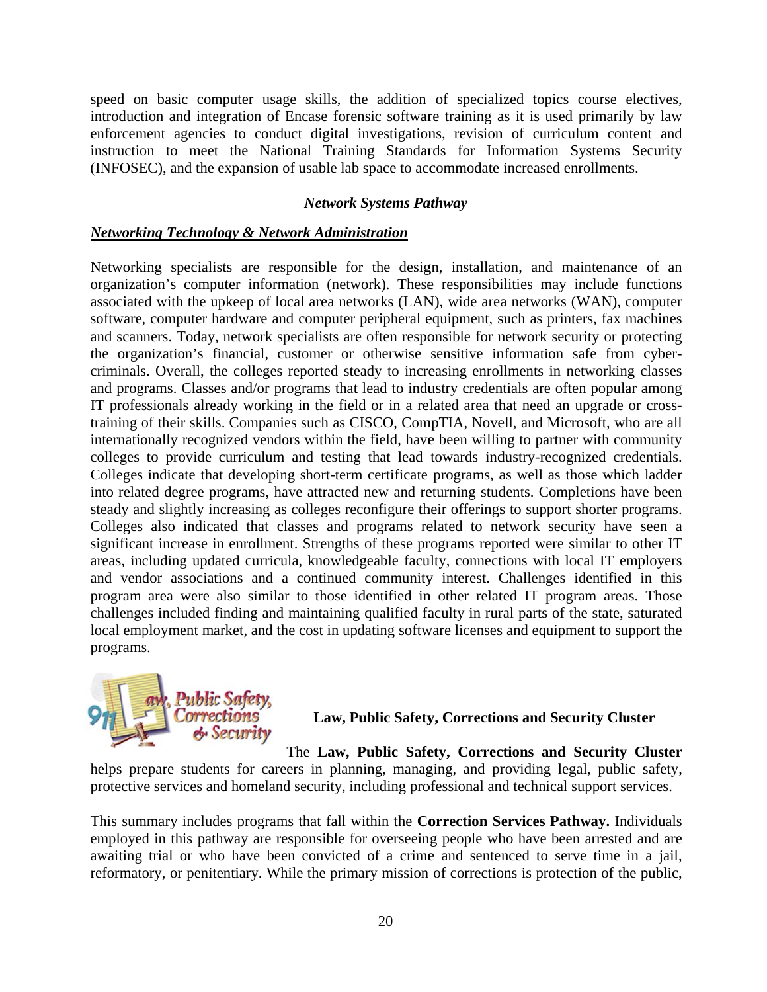speed on basic computer usage skills, the addition of specialized topics course electives, introduction and integration of Encase forensic software training as it is used primarily by law enforcement agencies to conduct digital investigations, revision of curriculum content and instruction to meet the National Training Standards for Information Systems Security (INFOSEC), and the expansion of usable lab space to accommodate increased enrollments.

### **Network Systems Pathway**

### *Networking Technology & Network Administration*

Networking specialists are responsible for the design, installation, and maintenance of an organization's computer information (network). These responsibilities may include functions associated with the upkeep of local area networks (LAN), wide area networks (WAN), computer software, computer hardware and computer peripheral equipment, such as printers, fax machines and scanners. Today, network specialists are often responsible for network security or protecting the organization's financial, customer or otherwise sensitive information safe from cybercriminals. Overall, the colleges reported steady to increasing enrollments in networking classes and programs. Classes and/or programs that lead to industry credentials are often popular among IT professionals already working in the field or in a related area that need an upgrade or crosstraining of their skills. Companies such as CISCO, CompTIA, Novell, and Microsoft, who are all internationally recognized vendors within the field, have been willing to partner with community colleges to provide curriculum and testing that lead towards industry-recognized credentials. Colleges indicate that developing short-term certificate programs, as well as those which ladder into related degree programs, have attracted new and returning students. Completions have been steady and slightly increasing as colleges reconfigure their offerings to support shorter programs. Colleges also indicated that classes and programs related to network security have seen a significant increase in enrollment. Strengths of these programs reported were similar to other IT areas, including updated curricula, knowledgeable faculty, connections with local IT employers and vendor associations and a continued community interest. Challenges identified in this program area were also similar to those identified in other related IT program areas. Those challenges included finding and maintaining qualified faculty in rural parts of the state, saturated local employment market, and the cost in updating software licenses and equipment to support the programs s.



Law, Public Safety, Corrections and Security Cluster

The Law, Public Safety, Corrections and Security Cluster

helps prepare students for careers in planning, managing, and providing legal, public safety, protective services and homeland security, including professional and technical support services.

This summary includes programs that fall within the **Correction Services Pathway.** Individuals employed in this pathway are responsible for overseeing people who have been arrested and are awaiting trial or who have been convicted of a crime and sentenced to serve time in a jail, reformatory, or penitentiary. While the primary mission of corrections is protection of the public,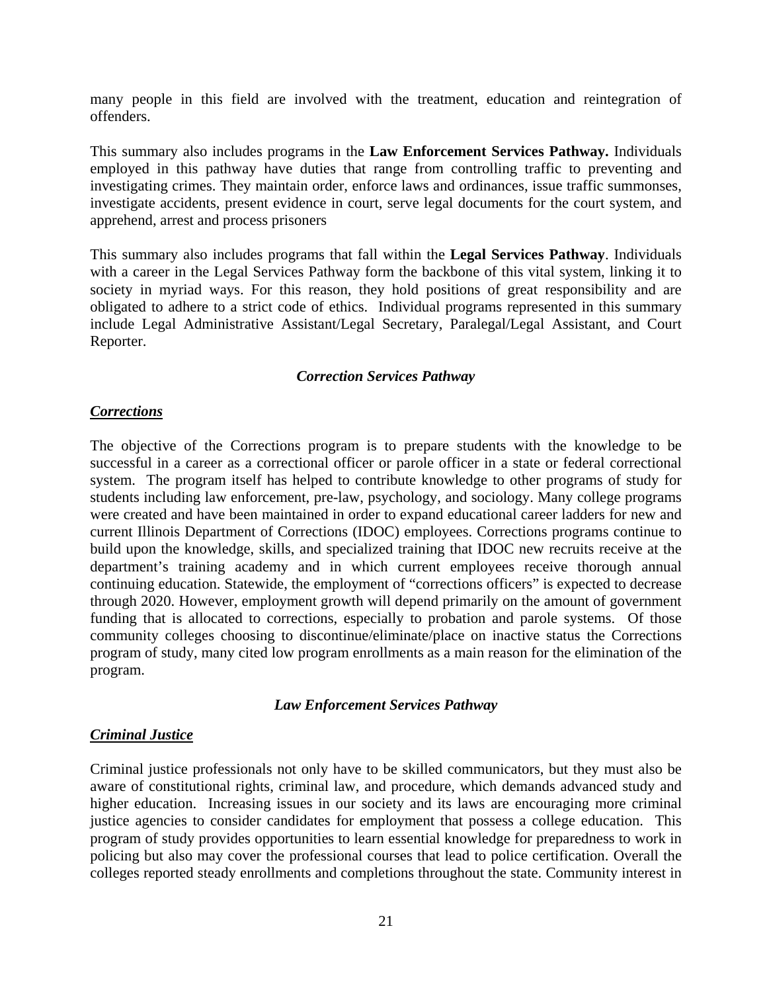many people in this field are involved with the treatment, education and reintegration of offenders.

This summary also includes programs in the **Law Enforcement Services Pathway.** Individuals employed in this pathway have duties that range from controlling traffic to preventing and investigating crimes. They maintain order, enforce laws and ordinances, issue traffic summonses, investigate accidents, present evidence in court, serve legal documents for the court system, and apprehend, arrest and process prisoners

This summary also includes programs that fall within the **Legal Services Pathway**. Individuals with a career in the Legal Services Pathway form the backbone of this vital system, linking it to society in myriad ways. For this reason, they hold positions of great responsibility and are obligated to adhere to a strict code of ethics. Individual programs represented in this summary include Legal Administrative Assistant/Legal Secretary, Paralegal/Legal Assistant, and Court Reporter.

#### *Correction Services Pathway*

#### *Corrections*

The objective of the Corrections program is to prepare students with the knowledge to be successful in a career as a correctional officer or parole officer in a state or federal correctional system. The program itself has helped to contribute knowledge to other programs of study for students including law enforcement, pre-law, psychology, and sociology. Many college programs were created and have been maintained in order to expand educational career ladders for new and current Illinois Department of Corrections (IDOC) employees. Corrections programs continue to build upon the knowledge, skills, and specialized training that IDOC new recruits receive at the department's training academy and in which current employees receive thorough annual continuing education. Statewide, the employment of "corrections officers" is expected to decrease through 2020. However, employment growth will depend primarily on the amount of government funding that is allocated to corrections, especially to probation and parole systems. Of those community colleges choosing to discontinue/eliminate/place on inactive status the Corrections program of study, many cited low program enrollments as a main reason for the elimination of the program.

#### *Law Enforcement Services Pathway*

#### *Criminal Justice*

Criminal justice professionals not only have to be skilled communicators, but they must also be aware of constitutional rights, criminal law, and procedure, which demands advanced study and higher education. Increasing issues in our society and its laws are encouraging more criminal justice agencies to consider candidates for employment that possess a college education. This program of study provides opportunities to learn essential knowledge for preparedness to work in policing but also may cover the professional courses that lead to police certification. Overall the colleges reported steady enrollments and completions throughout the state. Community interest in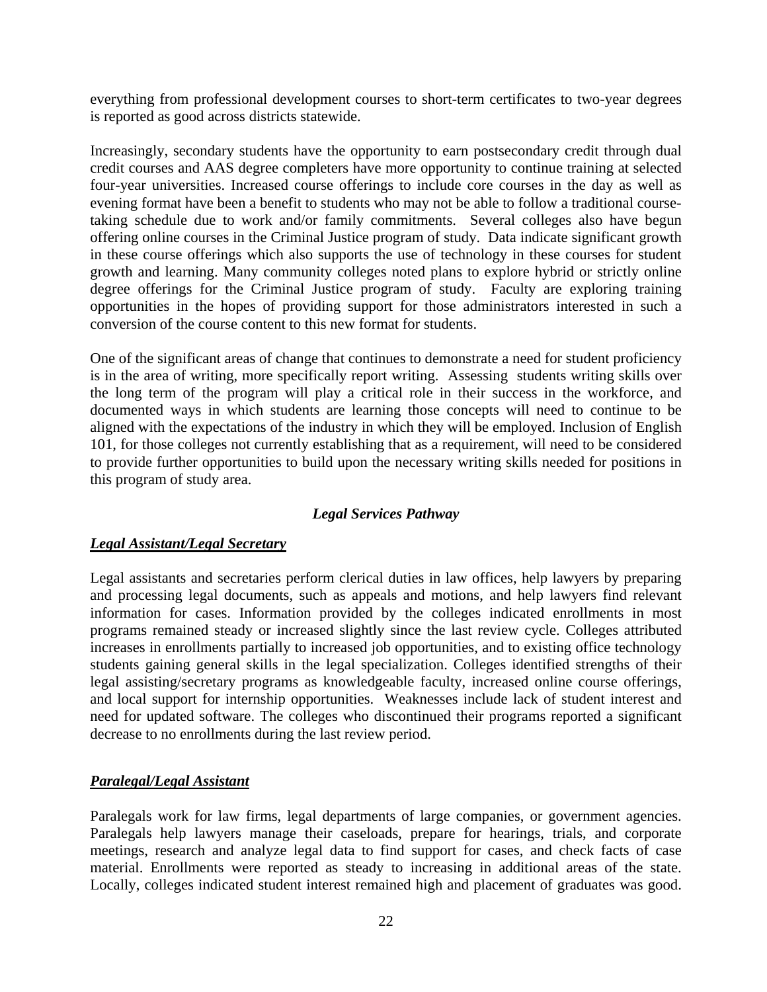everything from professional development courses to short-term certificates to two-year degrees is reported as good across districts statewide.

Increasingly, secondary students have the opportunity to earn postsecondary credit through dual credit courses and AAS degree completers have more opportunity to continue training at selected four-year universities. Increased course offerings to include core courses in the day as well as evening format have been a benefit to students who may not be able to follow a traditional coursetaking schedule due to work and/or family commitments. Several colleges also have begun offering online courses in the Criminal Justice program of study. Data indicate significant growth in these course offerings which also supports the use of technology in these courses for student growth and learning. Many community colleges noted plans to explore hybrid or strictly online degree offerings for the Criminal Justice program of study. Faculty are exploring training opportunities in the hopes of providing support for those administrators interested in such a conversion of the course content to this new format for students.

One of the significant areas of change that continues to demonstrate a need for student proficiency is in the area of writing, more specifically report writing. Assessing students writing skills over the long term of the program will play a critical role in their success in the workforce, and documented ways in which students are learning those concepts will need to continue to be aligned with the expectations of the industry in which they will be employed. Inclusion of English 101, for those colleges not currently establishing that as a requirement, will need to be considered to provide further opportunities to build upon the necessary writing skills needed for positions in this program of study area.

### *Legal Services Pathway*

### *Legal Assistant/Legal Secretary*

Legal assistants and secretaries perform clerical duties in law offices, help lawyers by preparing and processing legal documents, such as appeals and motions, and help lawyers find relevant information for cases. Information provided by the colleges indicated enrollments in most programs remained steady or increased slightly since the last review cycle. Colleges attributed increases in enrollments partially to increased job opportunities, and to existing office technology students gaining general skills in the legal specialization. Colleges identified strengths of their legal assisting/secretary programs as knowledgeable faculty, increased online course offerings, and local support for internship opportunities. Weaknesses include lack of student interest and need for updated software. The colleges who discontinued their programs reported a significant decrease to no enrollments during the last review period.

### *Paralegal/Legal Assistant*

Paralegals work for law firms, legal departments of large companies, or government agencies. Paralegals help lawyers manage their caseloads, prepare for hearings, trials, and corporate meetings, research and analyze legal data to find support for cases, and check facts of case material. Enrollments were reported as steady to increasing in additional areas of the state. Locally, colleges indicated student interest remained high and placement of graduates was good.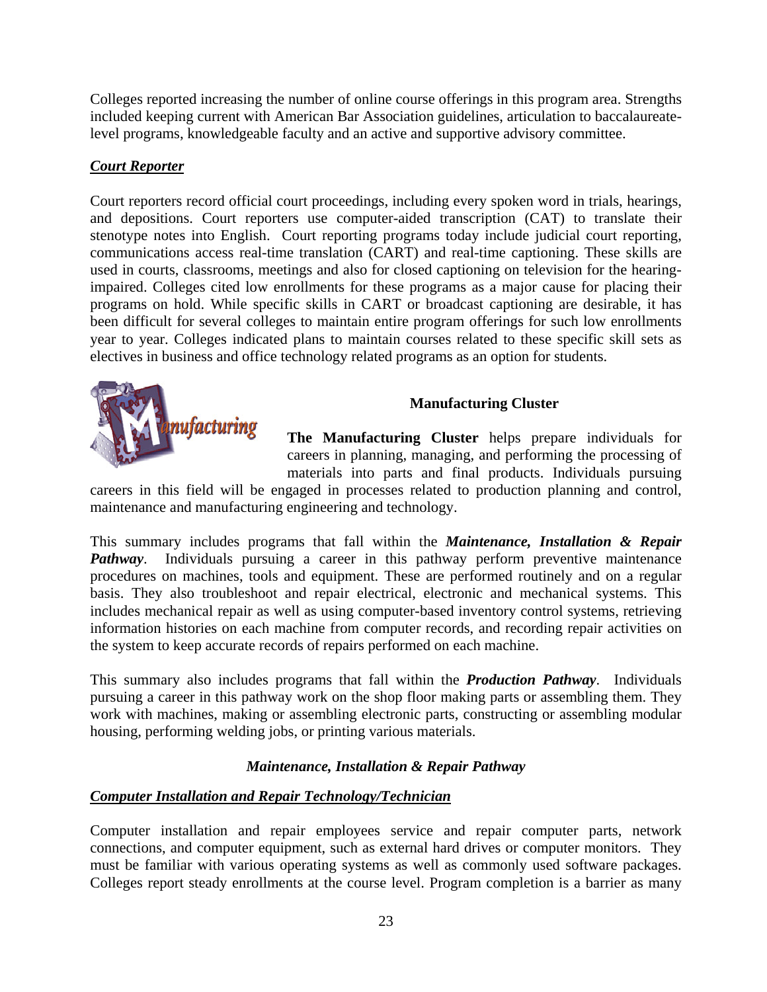Colleges reported increasing the number of online course offerings in this program area. Strengths included keeping current with American Bar Association guidelines, articulation to baccalaureatelevel programs, knowledgeable faculty and an active and supportive advisory committee.

### *Court Reporter*

Court reporters record official court proceedings, including every spoken word in trials, hearings, and depositions. Court reporters use computer-aided transcription (CAT) to translate their stenotype notes into English. Court reporting programs today include judicial court reporting, communications access real-time translation (CART) and real-time captioning. These skills are used in courts, classrooms, meetings and also for closed captioning on television for the hearingimpaired. Colleges cited low enrollments for these programs as a major cause for placing their programs on hold. While specific skills in CART or broadcast captioning are desirable, it has been difficult for several colleges to maintain entire program offerings for such low enrollments year to year. Colleges indicated plans to maintain courses related to these specific skill sets as electives in business and office technology related programs as an option for students.



### **Manufacturing Cluster**

**The Manufacturing Cluster** helps prepare individuals for careers in planning, managing, and performing the processing of materials into parts and final products. Individuals pursuing

careers in this field will be engaged in processes related to production planning and control, maintenance and manufacturing engineering and technology.

This summary includes programs that fall within the *Maintenance, Installation & Repair Pathway*. Individuals pursuing a career in this pathway perform preventive maintenance procedures on machines, tools and equipment. These are performed routinely and on a regular basis. They also troubleshoot and repair electrical, electronic and mechanical systems. This includes mechanical repair as well as using computer-based inventory control systems, retrieving information histories on each machine from computer records, and recording repair activities on the system to keep accurate records of repairs performed on each machine.

This summary also includes programs that fall within the *Production Pathway*. Individuals pursuing a career in this pathway work on the shop floor making parts or assembling them. They work with machines, making or assembling electronic parts, constructing or assembling modular housing, performing welding jobs, or printing various materials.

### *Maintenance, Installation & Repair Pathway*

### *Computer Installation and Repair Technology/Technician*

Computer installation and repair employees service and repair computer parts, network connections, and computer equipment, such as external hard drives or computer monitors. They must be familiar with various operating systems as well as commonly used software packages. Colleges report steady enrollments at the course level. Program completion is a barrier as many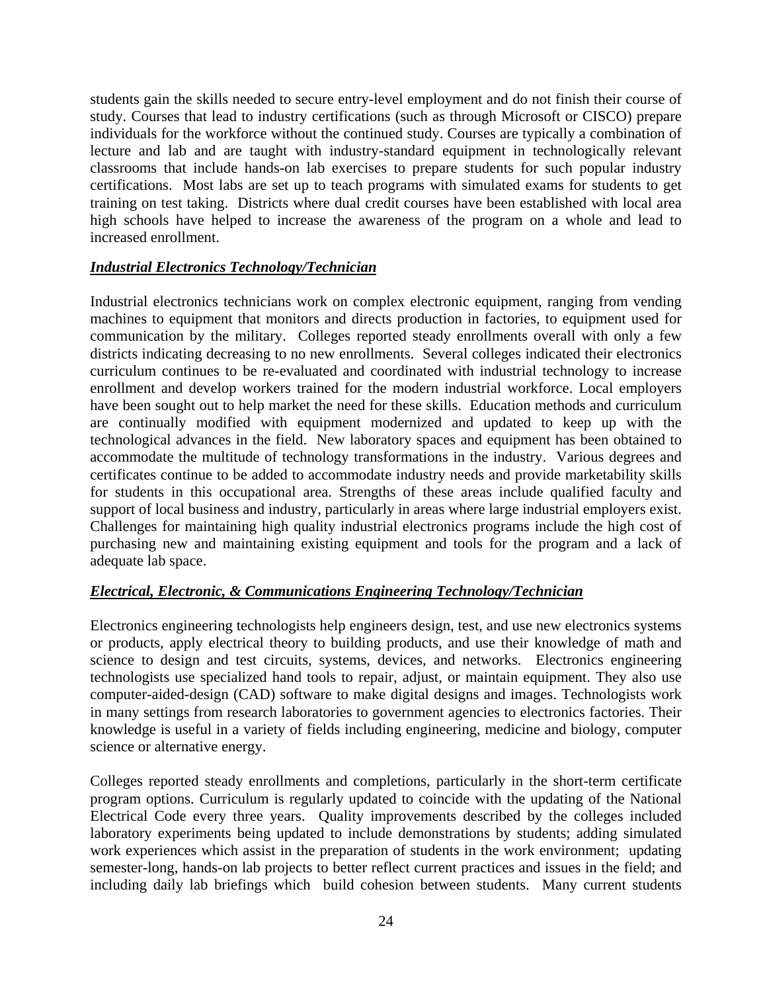students gain the skills needed to secure entry-level employment and do not finish their course of study. Courses that lead to industry certifications (such as through Microsoft or CISCO) prepare individuals for the workforce without the continued study. Courses are typically a combination of lecture and lab and are taught with industry-standard equipment in technologically relevant classrooms that include hands-on lab exercises to prepare students for such popular industry certifications. Most labs are set up to teach programs with simulated exams for students to get training on test taking. Districts where dual credit courses have been established with local area high schools have helped to increase the awareness of the program on a whole and lead to increased enrollment.

### *Industrial Electronics Technology/Technician*

Industrial electronics technicians work on complex electronic equipment, ranging from vending machines to equipment that monitors and directs production in factories, to equipment used for communication by the military. Colleges reported steady enrollments overall with only a few districts indicating decreasing to no new enrollments. Several colleges indicated their electronics curriculum continues to be re-evaluated and coordinated with industrial technology to increase enrollment and develop workers trained for the modern industrial workforce. Local employers have been sought out to help market the need for these skills. Education methods and curriculum are continually modified with equipment modernized and updated to keep up with the technological advances in the field. New laboratory spaces and equipment has been obtained to accommodate the multitude of technology transformations in the industry. Various degrees and certificates continue to be added to accommodate industry needs and provide marketability skills for students in this occupational area. Strengths of these areas include qualified faculty and support of local business and industry, particularly in areas where large industrial employers exist. Challenges for maintaining high quality industrial electronics programs include the high cost of purchasing new and maintaining existing equipment and tools for the program and a lack of adequate lab space.

### *Electrical, Electronic, & Communications Engineering Technology/Technician*

Electronics engineering technologists help engineers design, test, and use new electronics systems or products, apply electrical theory to building products, and use their knowledge of math and science to design and test circuits, systems, devices, and networks. Electronics engineering technologists use specialized hand tools to repair, adjust, or maintain equipment. They also use computer-aided-design (CAD) software to make digital designs and images. Technologists work in many settings from research laboratories to government agencies to electronics factories. Their knowledge is useful in a variety of fields including engineering, medicine and biology, computer science or alternative energy.

Colleges reported steady enrollments and completions, particularly in the short-term certificate program options. Curriculum is regularly updated to coincide with the updating of the National Electrical Code every three years. Quality improvements described by the colleges included laboratory experiments being updated to include demonstrations by students; adding simulated work experiences which assist in the preparation of students in the work environment; updating semester-long, hands-on lab projects to better reflect current practices and issues in the field; and including daily lab briefings which build cohesion between students. Many current students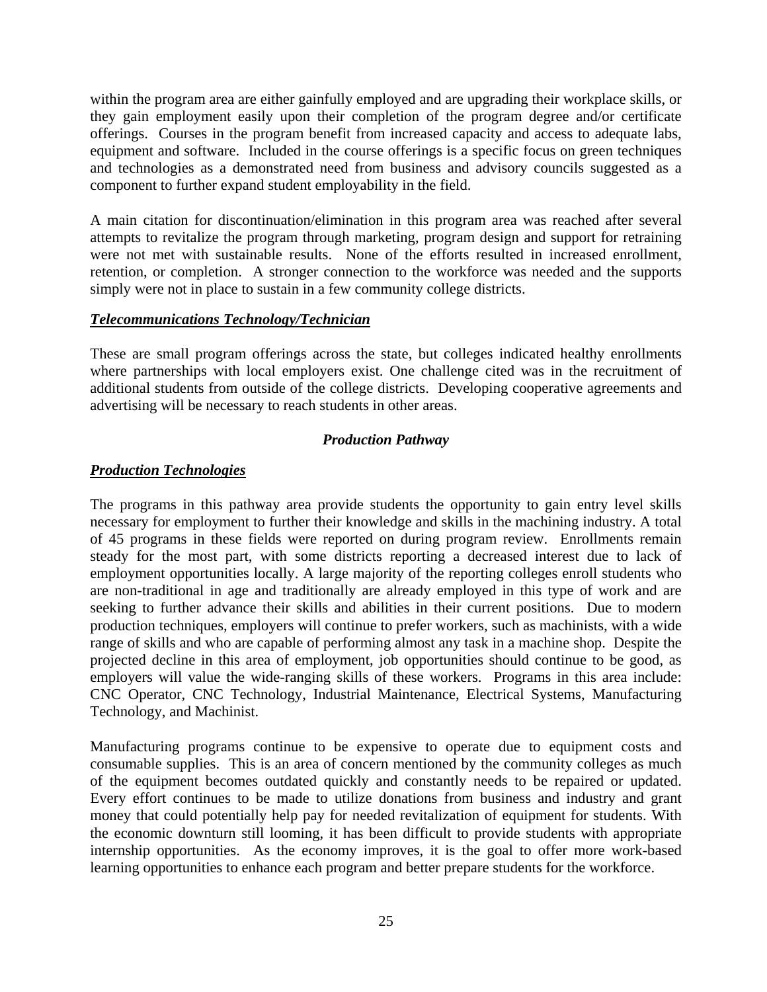within the program area are either gainfully employed and are upgrading their workplace skills, or they gain employment easily upon their completion of the program degree and/or certificate offerings. Courses in the program benefit from increased capacity and access to adequate labs, equipment and software. Included in the course offerings is a specific focus on green techniques and technologies as a demonstrated need from business and advisory councils suggested as a component to further expand student employability in the field.

A main citation for discontinuation/elimination in this program area was reached after several attempts to revitalize the program through marketing, program design and support for retraining were not met with sustainable results. None of the efforts resulted in increased enrollment, retention, or completion. A stronger connection to the workforce was needed and the supports simply were not in place to sustain in a few community college districts.

#### *Telecommunications Technology/Technician*

These are small program offerings across the state, but colleges indicated healthy enrollments where partnerships with local employers exist. One challenge cited was in the recruitment of additional students from outside of the college districts. Developing cooperative agreements and advertising will be necessary to reach students in other areas.

#### *Production Pathway*

#### *Production Technologies*

The programs in this pathway area provide students the opportunity to gain entry level skills necessary for employment to further their knowledge and skills in the machining industry. A total of 45 programs in these fields were reported on during program review. Enrollments remain steady for the most part, with some districts reporting a decreased interest due to lack of employment opportunities locally. A large majority of the reporting colleges enroll students who are non-traditional in age and traditionally are already employed in this type of work and are seeking to further advance their skills and abilities in their current positions. Due to modern production techniques, employers will continue to prefer workers, such as machinists, with a wide range of skills and who are capable of performing almost any task in a machine shop. Despite the projected decline in this area of employment, job opportunities should continue to be good, as employers will value the wide-ranging skills of these workers. Programs in this area include: CNC Operator, CNC Technology, Industrial Maintenance, Electrical Systems, Manufacturing Technology, and Machinist.

Manufacturing programs continue to be expensive to operate due to equipment costs and consumable supplies. This is an area of concern mentioned by the community colleges as much of the equipment becomes outdated quickly and constantly needs to be repaired or updated. Every effort continues to be made to utilize donations from business and industry and grant money that could potentially help pay for needed revitalization of equipment for students. With the economic downturn still looming, it has been difficult to provide students with appropriate internship opportunities. As the economy improves, it is the goal to offer more work-based learning opportunities to enhance each program and better prepare students for the workforce.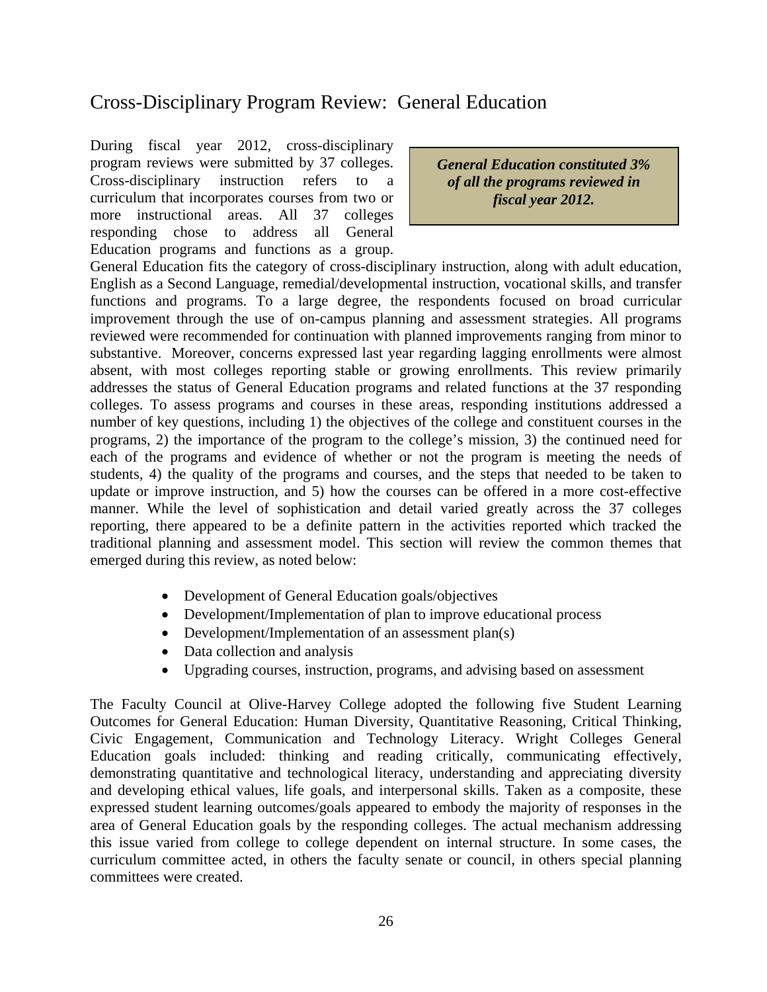# Cross-Disciplinary Program Review: General Education

During fiscal year 2012, cross-disciplinary program reviews were submitted by 37 colleges. Cross-disciplinary instruction refers to a curriculum that incorporates courses from two or more instructional areas. All 37 colleges responding chose to address all General Education programs and functions as a group.

*General Education constituted 3% of all the programs reviewed in fiscal year 2012.*

General Education fits the category of cross-disciplinary instruction, along with adult education, English as a Second Language, remedial/developmental instruction, vocational skills, and transfer functions and programs. To a large degree, the respondents focused on broad curricular improvement through the use of on-campus planning and assessment strategies. All programs reviewed were recommended for continuation with planned improvements ranging from minor to substantive. Moreover, concerns expressed last year regarding lagging enrollments were almost absent, with most colleges reporting stable or growing enrollments. This review primarily addresses the status of General Education programs and related functions at the 37 responding colleges. To assess programs and courses in these areas, responding institutions addressed a number of key questions, including 1) the objectives of the college and constituent courses in the programs, 2) the importance of the program to the college's mission, 3) the continued need for each of the programs and evidence of whether or not the program is meeting the needs of students, 4) the quality of the programs and courses, and the steps that needed to be taken to update or improve instruction, and 5) how the courses can be offered in a more cost-effective manner. While the level of sophistication and detail varied greatly across the 37 colleges reporting, there appeared to be a definite pattern in the activities reported which tracked the traditional planning and assessment model. This section will review the common themes that emerged during this review, as noted below:

- Development of General Education goals/objectives
- Development/Implementation of plan to improve educational process
- Development/Implementation of an assessment plan(s)
- Data collection and analysis
- Upgrading courses, instruction, programs, and advising based on assessment

The Faculty Council at Olive-Harvey College adopted the following five Student Learning Outcomes for General Education: Human Diversity, Quantitative Reasoning, Critical Thinking, Civic Engagement, Communication and Technology Literacy. Wright Colleges General Education goals included: thinking and reading critically, communicating effectively, demonstrating quantitative and technological literacy, understanding and appreciating diversity and developing ethical values, life goals, and interpersonal skills. Taken as a composite, these expressed student learning outcomes/goals appeared to embody the majority of responses in the area of General Education goals by the responding colleges. The actual mechanism addressing this issue varied from college to college dependent on internal structure. In some cases, the curriculum committee acted, in others the faculty senate or council, in others special planning committees were created.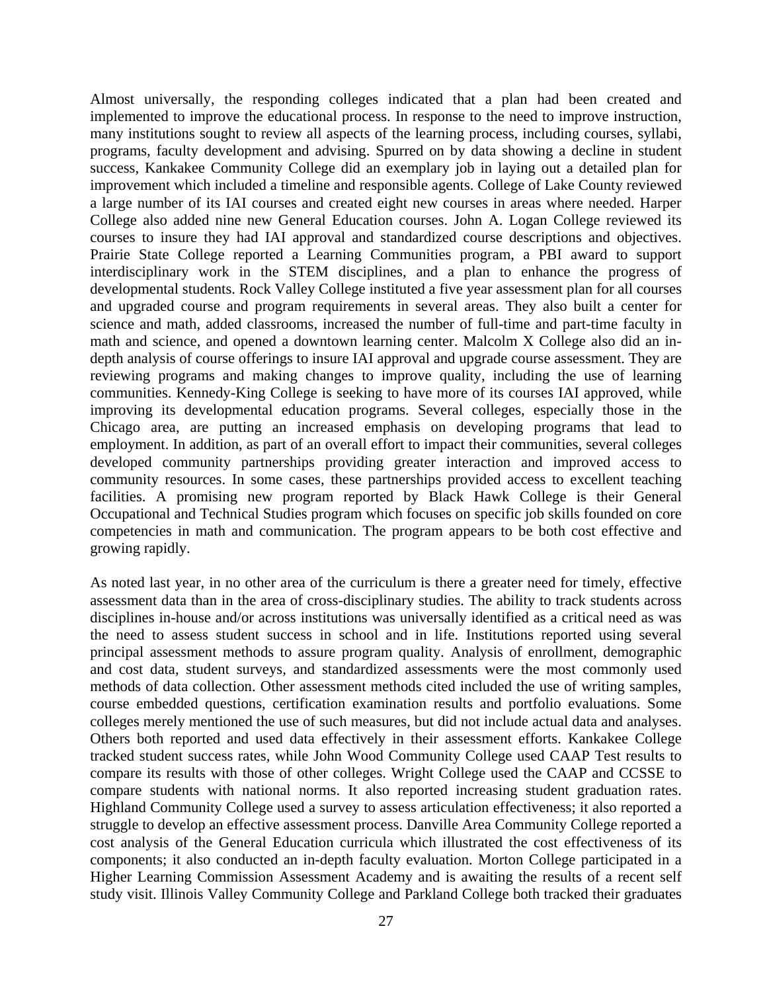Almost universally, the responding colleges indicated that a plan had been created and implemented to improve the educational process. In response to the need to improve instruction, many institutions sought to review all aspects of the learning process, including courses, syllabi, programs, faculty development and advising. Spurred on by data showing a decline in student success, Kankakee Community College did an exemplary job in laying out a detailed plan for improvement which included a timeline and responsible agents. College of Lake County reviewed a large number of its IAI courses and created eight new courses in areas where needed. Harper College also added nine new General Education courses. John A. Logan College reviewed its courses to insure they had IAI approval and standardized course descriptions and objectives. Prairie State College reported a Learning Communities program, a PBI award to support interdisciplinary work in the STEM disciplines, and a plan to enhance the progress of developmental students. Rock Valley College instituted a five year assessment plan for all courses and upgraded course and program requirements in several areas. They also built a center for science and math, added classrooms, increased the number of full-time and part-time faculty in math and science, and opened a downtown learning center. Malcolm X College also did an indepth analysis of course offerings to insure IAI approval and upgrade course assessment. They are reviewing programs and making changes to improve quality, including the use of learning communities. Kennedy-King College is seeking to have more of its courses IAI approved, while improving its developmental education programs. Several colleges, especially those in the Chicago area, are putting an increased emphasis on developing programs that lead to employment. In addition, as part of an overall effort to impact their communities, several colleges developed community partnerships providing greater interaction and improved access to community resources. In some cases, these partnerships provided access to excellent teaching facilities. A promising new program reported by Black Hawk College is their General Occupational and Technical Studies program which focuses on specific job skills founded on core competencies in math and communication. The program appears to be both cost effective and growing rapidly.

As noted last year, in no other area of the curriculum is there a greater need for timely, effective assessment data than in the area of cross-disciplinary studies. The ability to track students across disciplines in-house and/or across institutions was universally identified as a critical need as was the need to assess student success in school and in life. Institutions reported using several principal assessment methods to assure program quality. Analysis of enrollment, demographic and cost data, student surveys, and standardized assessments were the most commonly used methods of data collection. Other assessment methods cited included the use of writing samples, course embedded questions, certification examination results and portfolio evaluations. Some colleges merely mentioned the use of such measures, but did not include actual data and analyses. Others both reported and used data effectively in their assessment efforts. Kankakee College tracked student success rates, while John Wood Community College used CAAP Test results to compare its results with those of other colleges. Wright College used the CAAP and CCSSE to compare students with national norms. It also reported increasing student graduation rates. Highland Community College used a survey to assess articulation effectiveness; it also reported a struggle to develop an effective assessment process. Danville Area Community College reported a cost analysis of the General Education curricula which illustrated the cost effectiveness of its components; it also conducted an in-depth faculty evaluation. Morton College participated in a Higher Learning Commission Assessment Academy and is awaiting the results of a recent self study visit. Illinois Valley Community College and Parkland College both tracked their graduates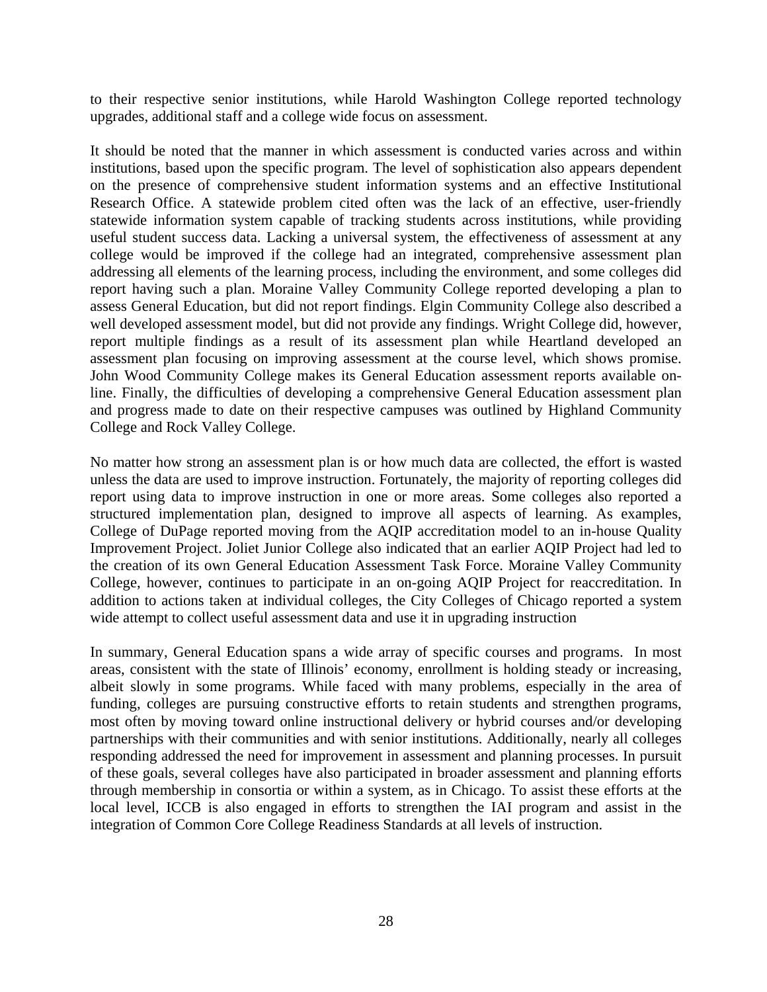to their respective senior institutions, while Harold Washington College reported technology upgrades, additional staff and a college wide focus on assessment.

It should be noted that the manner in which assessment is conducted varies across and within institutions, based upon the specific program. The level of sophistication also appears dependent on the presence of comprehensive student information systems and an effective Institutional Research Office. A statewide problem cited often was the lack of an effective, user-friendly statewide information system capable of tracking students across institutions, while providing useful student success data. Lacking a universal system, the effectiveness of assessment at any college would be improved if the college had an integrated, comprehensive assessment plan addressing all elements of the learning process, including the environment, and some colleges did report having such a plan. Moraine Valley Community College reported developing a plan to assess General Education, but did not report findings. Elgin Community College also described a well developed assessment model, but did not provide any findings. Wright College did, however, report multiple findings as a result of its assessment plan while Heartland developed an assessment plan focusing on improving assessment at the course level, which shows promise. John Wood Community College makes its General Education assessment reports available online. Finally, the difficulties of developing a comprehensive General Education assessment plan and progress made to date on their respective campuses was outlined by Highland Community College and Rock Valley College.

No matter how strong an assessment plan is or how much data are collected, the effort is wasted unless the data are used to improve instruction. Fortunately, the majority of reporting colleges did report using data to improve instruction in one or more areas. Some colleges also reported a structured implementation plan, designed to improve all aspects of learning. As examples, College of DuPage reported moving from the AQIP accreditation model to an in-house Quality Improvement Project. Joliet Junior College also indicated that an earlier AQIP Project had led to the creation of its own General Education Assessment Task Force. Moraine Valley Community College, however, continues to participate in an on-going AQIP Project for reaccreditation. In addition to actions taken at individual colleges, the City Colleges of Chicago reported a system wide attempt to collect useful assessment data and use it in upgrading instruction

In summary, General Education spans a wide array of specific courses and programs. In most areas, consistent with the state of Illinois' economy, enrollment is holding steady or increasing, albeit slowly in some programs. While faced with many problems, especially in the area of funding, colleges are pursuing constructive efforts to retain students and strengthen programs, most often by moving toward online instructional delivery or hybrid courses and/or developing partnerships with their communities and with senior institutions. Additionally, nearly all colleges responding addressed the need for improvement in assessment and planning processes. In pursuit of these goals, several colleges have also participated in broader assessment and planning efforts through membership in consortia or within a system, as in Chicago. To assist these efforts at the local level, ICCB is also engaged in efforts to strengthen the IAI program and assist in the integration of Common Core College Readiness Standards at all levels of instruction.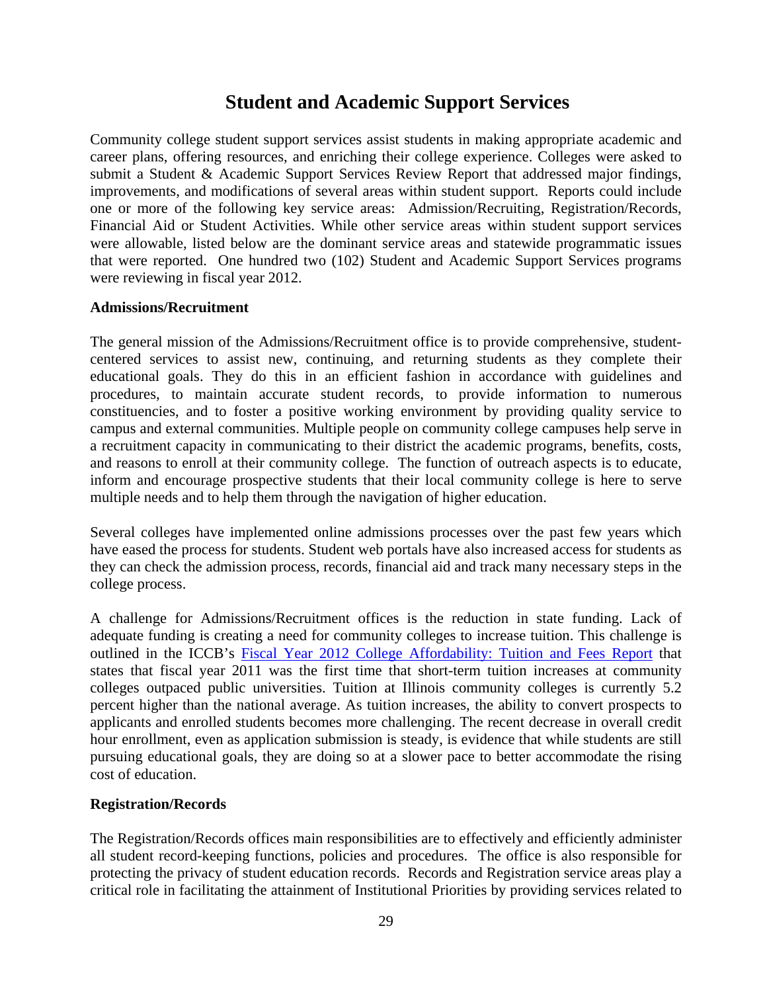# **Student and Academic Support Services**

Community college student support services assist students in making appropriate academic and career plans, offering resources, and enriching their college experience. Colleges were asked to submit a Student & Academic Support Services Review Report that addressed major findings, improvements, and modifications of several areas within student support. Reports could include one or more of the following key service areas: Admission/Recruiting, Registration/Records, Financial Aid or Student Activities. While other service areas within student support services were allowable, listed below are the dominant service areas and statewide programmatic issues that were reported. One hundred two (102) Student and Academic Support Services programs were reviewing in fiscal year 2012.

### **Admissions/Recruitment**

The general mission of the Admissions/Recruitment office is to provide comprehensive, studentcentered services to assist new, continuing, and returning students as they complete their educational goals. They do this in an efficient fashion in accordance with guidelines and procedures, to maintain accurate student records, to provide information to numerous constituencies, and to foster a positive working environment by providing quality service to campus and external communities. Multiple people on community college campuses help serve in a recruitment capacity in communicating to their district the academic programs, benefits, costs, and reasons to enroll at their community college. The function of outreach aspects is to educate, inform and encourage prospective students that their local community college is here to serve multiple needs and to help them through the navigation of higher education.

Several colleges have implemented online admissions processes over the past few years which have eased the process for students. Student web portals have also increased access for students as they can check the admission process, records, financial aid and track many necessary steps in the college process.

A challenge for Admissions/Recruitment offices is the reduction in state funding. Lack of adequate funding is creating a need for community colleges to increase tuition. This challenge is outlined in the ICCB's Fiscal Year 2012 College Affordability: Tuition and Fees Report that states that fiscal year 2011 was the first time that short-term tuition increases at community colleges outpaced public universities. Tuition at Illinois community colleges is currently 5.2 percent higher than the national average. As tuition increases, the ability to convert prospects to applicants and enrolled students becomes more challenging. The recent decrease in overall credit hour enrollment, even as application submission is steady, is evidence that while students are still pursuing educational goals, they are doing so at a slower pace to better accommodate the rising cost of education.

### **Registration/Records**

The Registration/Records offices main responsibilities are to effectively and efficiently administer all student record-keeping functions, policies and procedures. The office is also responsible for protecting the privacy of student education records. Records and Registration service areas play a critical role in facilitating the attainment of Institutional Priorities by providing services related to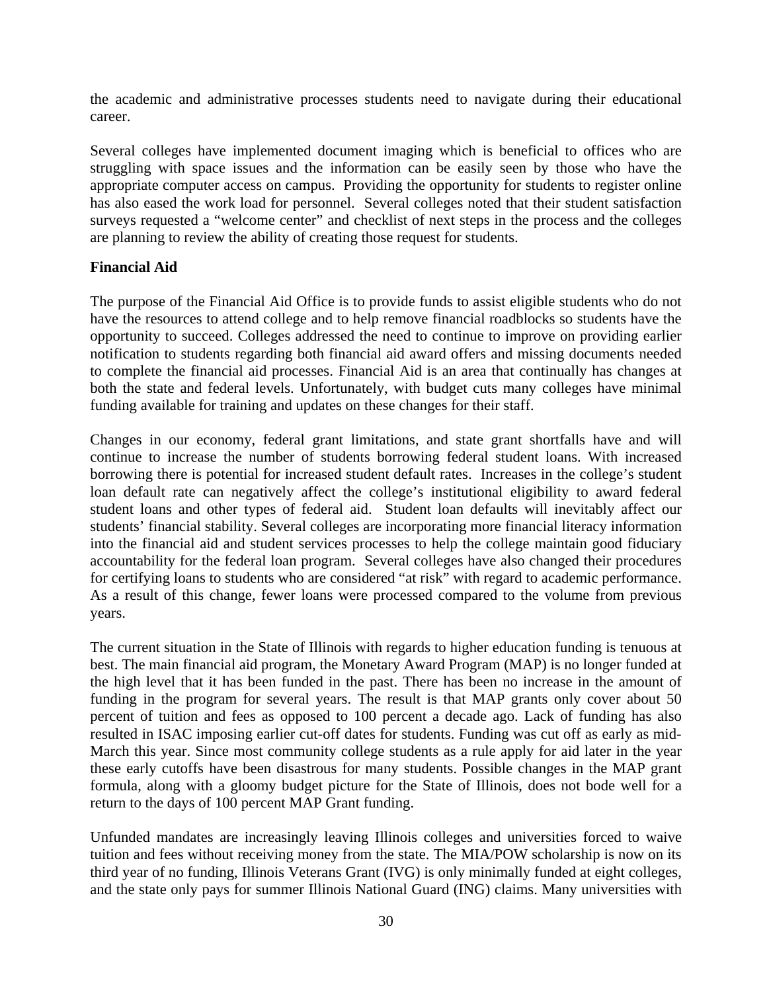the academic and administrative processes students need to navigate during their educational career.

Several colleges have implemented document imaging which is beneficial to offices who are struggling with space issues and the information can be easily seen by those who have the appropriate computer access on campus. Providing the opportunity for students to register online has also eased the work load for personnel. Several colleges noted that their student satisfaction surveys requested a "welcome center" and checklist of next steps in the process and the colleges are planning to review the ability of creating those request for students.

### **Financial Aid**

The purpose of the Financial Aid Office is to provide funds to assist eligible students who do not have the resources to attend college and to help remove financial roadblocks so students have the opportunity to succeed. Colleges addressed the need to continue to improve on providing earlier notification to students regarding both financial aid award offers and missing documents needed to complete the financial aid processes. Financial Aid is an area that continually has changes at both the state and federal levels. Unfortunately, with budget cuts many colleges have minimal funding available for training and updates on these changes for their staff.

Changes in our economy, federal grant limitations, and state grant shortfalls have and will continue to increase the number of students borrowing federal student loans. With increased borrowing there is potential for increased student default rates. Increases in the college's student loan default rate can negatively affect the college's institutional eligibility to award federal student loans and other types of federal aid. Student loan defaults will inevitably affect our students' financial stability. Several colleges are incorporating more financial literacy information into the financial aid and student services processes to help the college maintain good fiduciary accountability for the federal loan program. Several colleges have also changed their procedures for certifying loans to students who are considered "at risk" with regard to academic performance. As a result of this change, fewer loans were processed compared to the volume from previous years.

The current situation in the State of Illinois with regards to higher education funding is tenuous at best. The main financial aid program, the Monetary Award Program (MAP) is no longer funded at the high level that it has been funded in the past. There has been no increase in the amount of funding in the program for several years. The result is that MAP grants only cover about 50 percent of tuition and fees as opposed to 100 percent a decade ago. Lack of funding has also resulted in ISAC imposing earlier cut-off dates for students. Funding was cut off as early as mid-March this year. Since most community college students as a rule apply for aid later in the year these early cutoffs have been disastrous for many students. Possible changes in the MAP grant formula, along with a gloomy budget picture for the State of Illinois, does not bode well for a return to the days of 100 percent MAP Grant funding.

Unfunded mandates are increasingly leaving Illinois colleges and universities forced to waive tuition and fees without receiving money from the state. The MIA/POW scholarship is now on its third year of no funding, Illinois Veterans Grant (IVG) is only minimally funded at eight colleges, and the state only pays for summer Illinois National Guard (ING) claims. Many universities with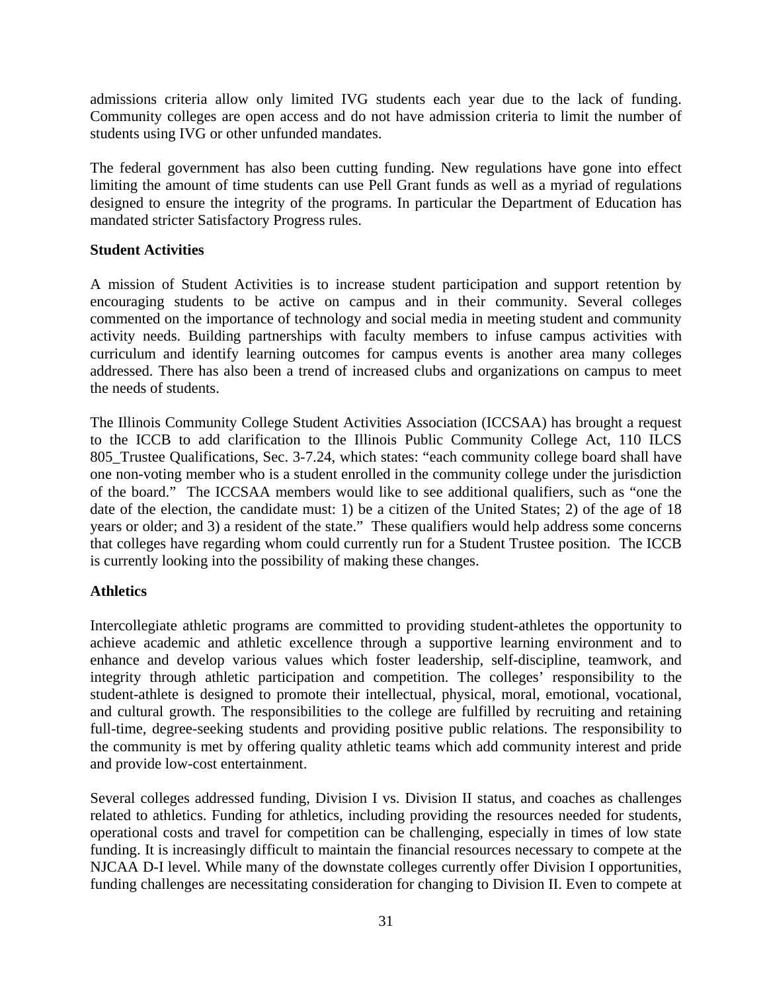admissions criteria allow only limited IVG students each year due to the lack of funding. Community colleges are open access and do not have admission criteria to limit the number of students using IVG or other unfunded mandates.

The federal government has also been cutting funding. New regulations have gone into effect limiting the amount of time students can use Pell Grant funds as well as a myriad of regulations designed to ensure the integrity of the programs. In particular the Department of Education has mandated stricter Satisfactory Progress rules.

### **Student Activities**

A mission of Student Activities is to increase student participation and support retention by encouraging students to be active on campus and in their community. Several colleges commented on the importance of technology and social media in meeting student and community activity needs. Building partnerships with faculty members to infuse campus activities with curriculum and identify learning outcomes for campus events is another area many colleges addressed. There has also been a trend of increased clubs and organizations on campus to meet the needs of students.

The Illinois Community College Student Activities Association (ICCSAA) has brought a request to the ICCB to add clarification to the Illinois Public Community College Act, 110 ILCS 805\_Trustee Qualifications, Sec. 3-7.24, which states: "each community college board shall have one non-voting member who is a student enrolled in the community college under the jurisdiction of the board." The ICCSAA members would like to see additional qualifiers, such as "one the date of the election, the candidate must: 1) be a citizen of the United States; 2) of the age of 18 years or older; and 3) a resident of the state." These qualifiers would help address some concerns that colleges have regarding whom could currently run for a Student Trustee position. The ICCB is currently looking into the possibility of making these changes.

### **Athletics**

Intercollegiate athletic programs are committed to providing student-athletes the opportunity to achieve academic and athletic excellence through a supportive learning environment and to enhance and develop various values which foster leadership, self-discipline, teamwork, and integrity through athletic participation and competition. The colleges' responsibility to the student-athlete is designed to promote their intellectual, physical, moral, emotional, vocational, and cultural growth. The responsibilities to the college are fulfilled by recruiting and retaining full-time, degree-seeking students and providing positive public relations. The responsibility to the community is met by offering quality athletic teams which add community interest and pride and provide low-cost entertainment.

Several colleges addressed funding, Division I vs. Division II status, and coaches as challenges related to athletics. Funding for athletics, including providing the resources needed for students, operational costs and travel for competition can be challenging, especially in times of low state funding. It is increasingly difficult to maintain the financial resources necessary to compete at the NJCAA D-I level. While many of the downstate colleges currently offer Division I opportunities, funding challenges are necessitating consideration for changing to Division II. Even to compete at